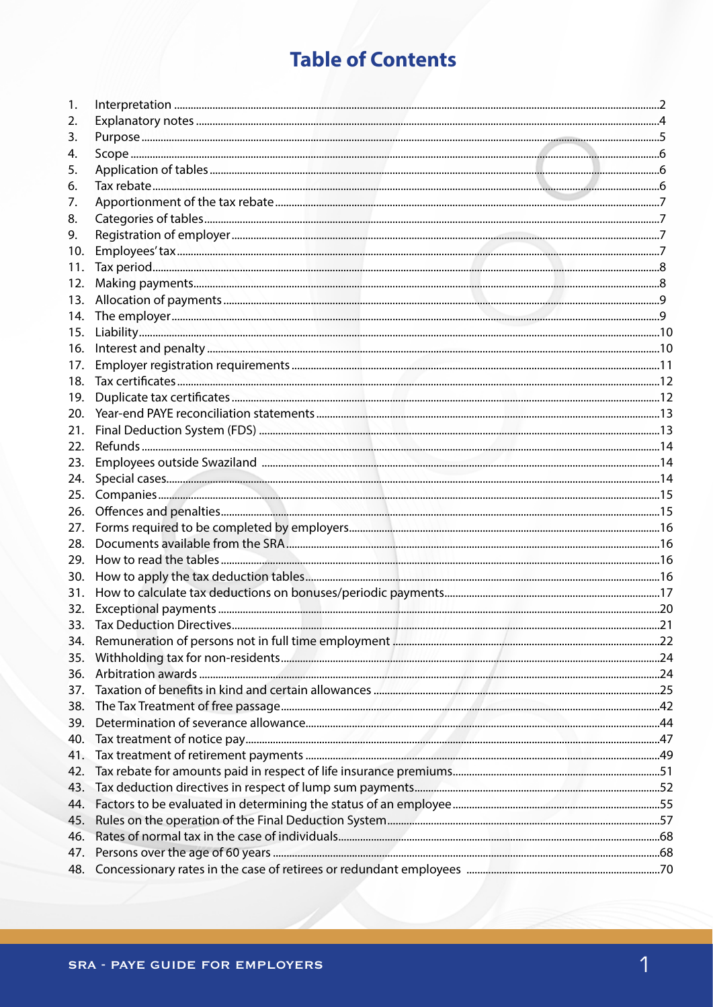# **Table of Contents**

| 1.  |  |
|-----|--|
| 2.  |  |
| 3.  |  |
| 4.  |  |
| 5.  |  |
| 6.  |  |
| 7.  |  |
| 8.  |  |
| 9.  |  |
| 10. |  |
| 11. |  |
| 12. |  |
| 13. |  |
| 14. |  |
| 15. |  |
| 16. |  |
| 17. |  |
| 18. |  |
| 19. |  |
| 20. |  |
| 21. |  |
| 22. |  |
| 23. |  |
| 24. |  |
| 25. |  |
| 26. |  |
| 27. |  |
| 28. |  |
| 29. |  |
| 30. |  |
| 31. |  |
| 32. |  |
|     |  |
|     |  |
| 35. |  |
| 36. |  |
| 37. |  |
| 38. |  |
| 39. |  |
| 40. |  |
| 41. |  |
| 42. |  |
| 43. |  |
| 44. |  |
| 45. |  |
| 46. |  |
| 47. |  |
| 48. |  |
|     |  |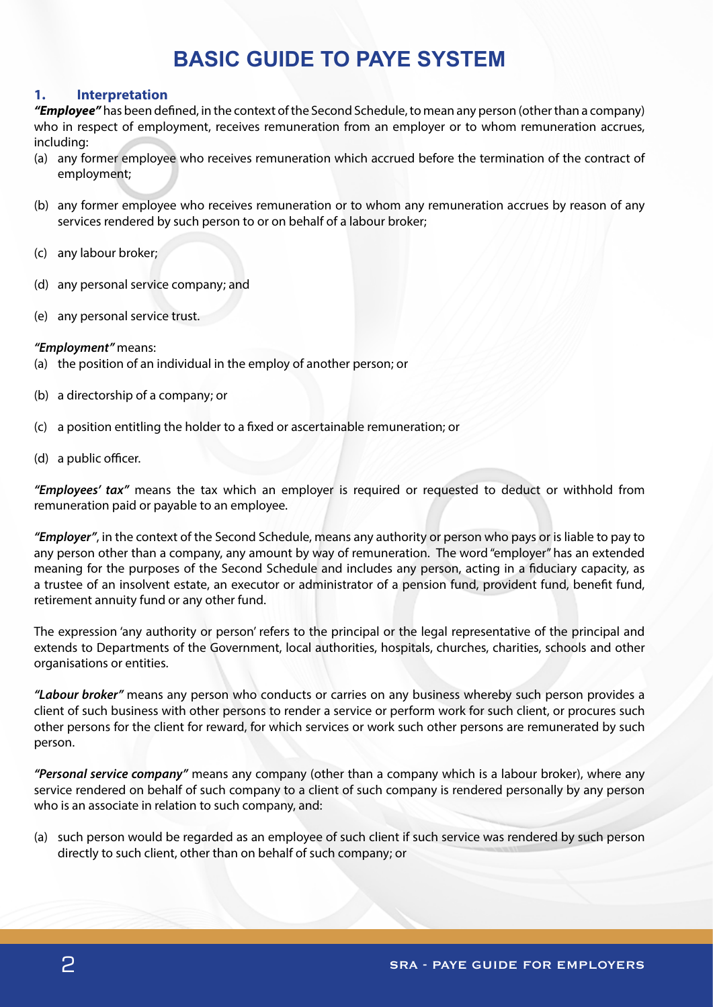# **BASIC GUIDE TO PAYE SYSTEM**

# **1. Interpretation**

*"Employee"* has been defined, in the context of the Second Schedule, to mean any person (other than a company) who in respect of employment, receives remuneration from an employer or to whom remuneration accrues, including:

- (a) any former employee who receives remuneration which accrued before the termination of the contract of employment;
- (b) any former employee who receives remuneration or to whom any remuneration accrues by reason of any services rendered by such person to or on behalf of a labour broker;
- (c) any labour broker;
- (d) any personal service company; and
- (e) any personal service trust.

## *"Employment"* means:

- (a) the position of an individual in the employ of another person; or
- (b) a directorship of a company; or
- (c) a position entitling the holder to a fixed or ascertainable remuneration; or
- (d) a public officer.

*"Employees' tax"* means the tax which an employer is required or requested to deduct or withhold from remuneration paid or payable to an employee.

*"Employer"*, in the context of the Second Schedule, means any authority or person who pays or is liable to pay to any person other than a company, any amount by way of remuneration. The word "employer" has an extended meaning for the purposes of the Second Schedule and includes any person, acting in a fiduciary capacity, as a trustee of an insolvent estate, an executor or administrator of a pension fund, provident fund, benefit fund, retirement annuity fund or any other fund.

The expression 'any authority or person' refers to the principal or the legal representative of the principal and extends to Departments of the Government, local authorities, hospitals, churches, charities, schools and other organisations or entities.

*"Labour broker"* means any person who conducts or carries on any business whereby such person provides a client of such business with other persons to render a service or perform work for such client, or procures such other persons for the client for reward, for which services or work such other persons are remunerated by such person.

*"Personal service company"* means any company (other than a company which is a labour broker), where any service rendered on behalf of such company to a client of such company is rendered personally by any person who is an associate in relation to such company, and:

(a) such person would be regarded as an employee of such client if such service was rendered by such person directly to such client, other than on behalf of such company; or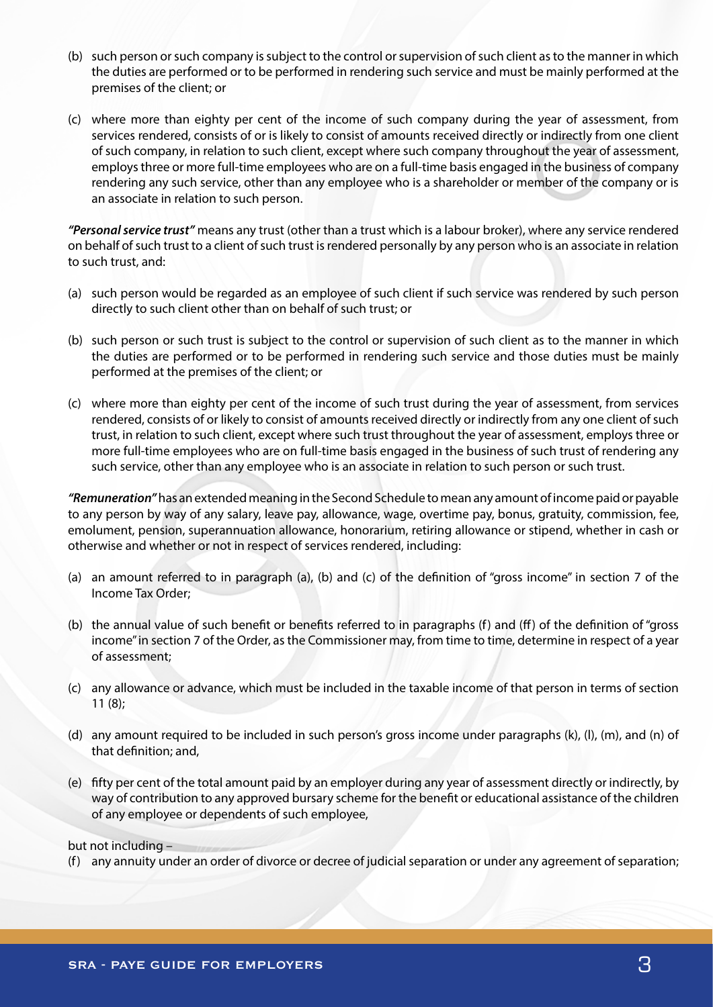- (b) such person or such company is subject to the control or supervision of such client as to the manner in which the duties are performed or to be performed in rendering such service and must be mainly performed at the premises of the client; or
- (c) where more than eighty per cent of the income of such company during the year of assessment, from services rendered, consists of or is likely to consist of amounts received directly or indirectly from one client of such company, in relation to such client, except where such company throughout the year of assessment, employs three or more full-time employees who are on a full-time basis engaged in the business of company rendering any such service, other than any employee who is a shareholder or member of the company or is an associate in relation to such person.

*"Personal service trust"* means any trust (other than a trust which is a labour broker), where any service rendered on behalf of such trust to a client of such trust is rendered personally by any person who is an associate in relation to such trust, and:

- (a) such person would be regarded as an employee of such client if such service was rendered by such person directly to such client other than on behalf of such trust; or
- (b) such person or such trust is subject to the control or supervision of such client as to the manner in which the duties are performed or to be performed in rendering such service and those duties must be mainly performed at the premises of the client; or
- (c) where more than eighty per cent of the income of such trust during the year of assessment, from services rendered, consists of or likely to consist of amounts received directly or indirectly from any one client of such trust, in relation to such client, except where such trust throughout the year of assessment, employs three or more full-time employees who are on full-time basis engaged in the business of such trust of rendering any such service, other than any employee who is an associate in relation to such person or such trust.

*"Remuneration"* has an extended meaning in the Second Schedule to mean any amount of income paid or payable to any person by way of any salary, leave pay, allowance, wage, overtime pay, bonus, gratuity, commission, fee, emolument, pension, superannuation allowance, honorarium, retiring allowance or stipend, whether in cash or otherwise and whether or not in respect of services rendered, including:

- (a) an amount referred to in paragraph (a), (b) and (c) of the definition of "gross income" in section 7 of the Income Tax Order;
- (b) the annual value of such benefit or benefits referred to in paragraphs (f) and (ff) of the definition of "gross income" in section 7 of the Order, as the Commissioner may, from time to time, determine in respect of a year of assessment;
- (c) any allowance or advance, which must be included in the taxable income of that person in terms of section 11 (8);
- (d) any amount required to be included in such person's gross income under paragraphs (k), (l), (m), and (n) of that definition; and,
- (e) fifty per cent of the total amount paid by an employer during any year of assessment directly or indirectly, by way of contribution to any approved bursary scheme for the benefit or educational assistance of the children of any employee or dependents of such employee,

but not including –

(f) any annuity under an order of divorce or decree of judicial separation or under any agreement of separation;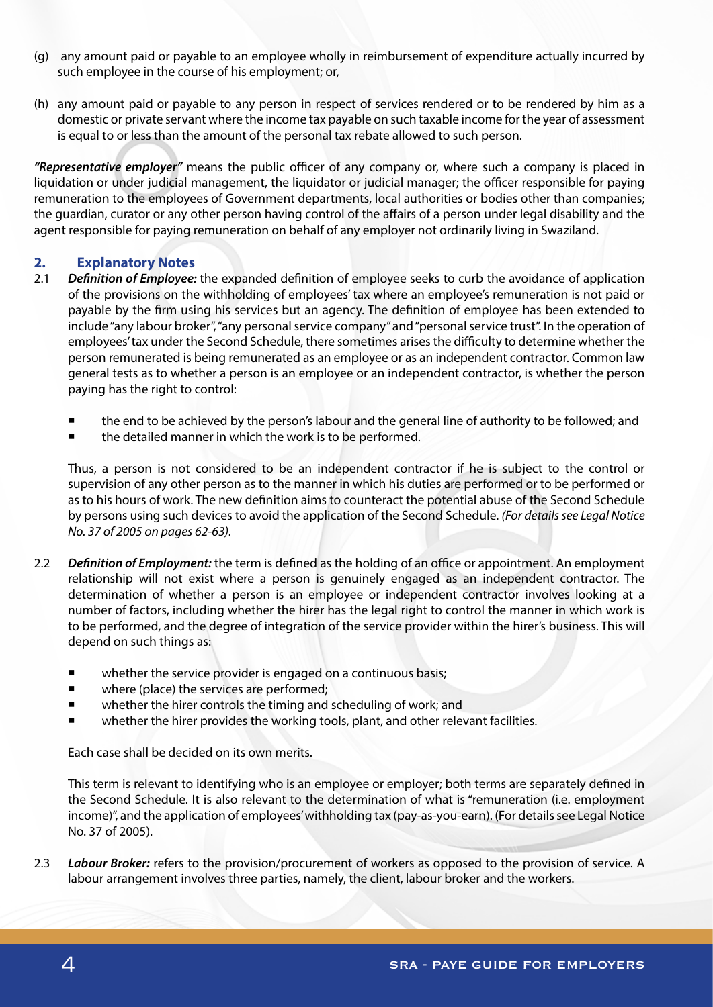- (g) any amount paid or payable to an employee wholly in reimbursement of expenditure actually incurred by such employee in the course of his employment; or,
- (h) any amount paid or payable to any person in respect of services rendered or to be rendered by him as a domestic or private servant where the income tax payable on such taxable income for the year of assessment is equal to or less than the amount of the personal tax rebate allowed to such person.

*"Representative employer"* means the public officer of any company or, where such a company is placed in liquidation or under judicial management, the liquidator or judicial manager; the officer responsible for paying remuneration to the employees of Government departments, local authorities or bodies other than companies; the guardian, curator or any other person having control of the affairs of a person under legal disability and the agent responsible for paying remuneration on behalf of any employer not ordinarily living in Swaziland.

# **2. Explanatory Notes**

- 2.1 *Definition of Employee:* the expanded definition of employee seeks to curb the avoidance of application of the provisions on the withholding of employees' tax where an employee's remuneration is not paid or payable by the firm using his services but an agency. The definition of employee has been extended to include "any labour broker", "any personal service company" and "personal service trust". In the operation of employees' tax under the Second Schedule, there sometimes arises the difficulty to determine whether the person remunerated is being remunerated as an employee or as an independent contractor. Common law general tests as to whether a person is an employee or an independent contractor, is whether the person paying has the right to control:
	- the end to be achieved by the person's labour and the general line of authority to be followed; and
	- the detailed manner in which the work is to be performed.

Thus, a person is not considered to be an independent contractor if he is subject to the control or supervision of any other person as to the manner in which his duties are performed or to be performed or as to his hours of work. The new definition aims to counteract the potential abuse of the Second Schedule by persons using such devices to avoid the application of the Second Schedule. *(For details see Legal Notice No. 37 of 2005 on pages 62-63).*

- 2.2 *Definition of Employment:* the term is defined as the holding of an office or appointment. An employment relationship will not exist where a person is genuinely engaged as an independent contractor. The determination of whether a person is an employee or independent contractor involves looking at a number of factors, including whether the hirer has the legal right to control the manner in which work is to be performed, and the degree of integration of the service provider within the hirer's business. This will depend on such things as:
	- whether the service provider is engaged on a continuous basis;
	- where (place) the services are performed;
	- whether the hirer controls the timing and scheduling of work; and
	- whether the hirer provides the working tools, plant, and other relevant facilities.

Each case shall be decided on its own merits.

This term is relevant to identifying who is an employee or employer; both terms are separately defined in the Second Schedule. It is also relevant to the determination of what is "remuneration (i.e. employment income)", and the application of employees' withholding tax (pay-as-you-earn). (For details see Legal Notice No. 37 of 2005).

2.3 *Labour Broker:* refers to the provision/procurement of workers as opposed to the provision of service. A labour arrangement involves three parties, namely, the client, labour broker and the workers.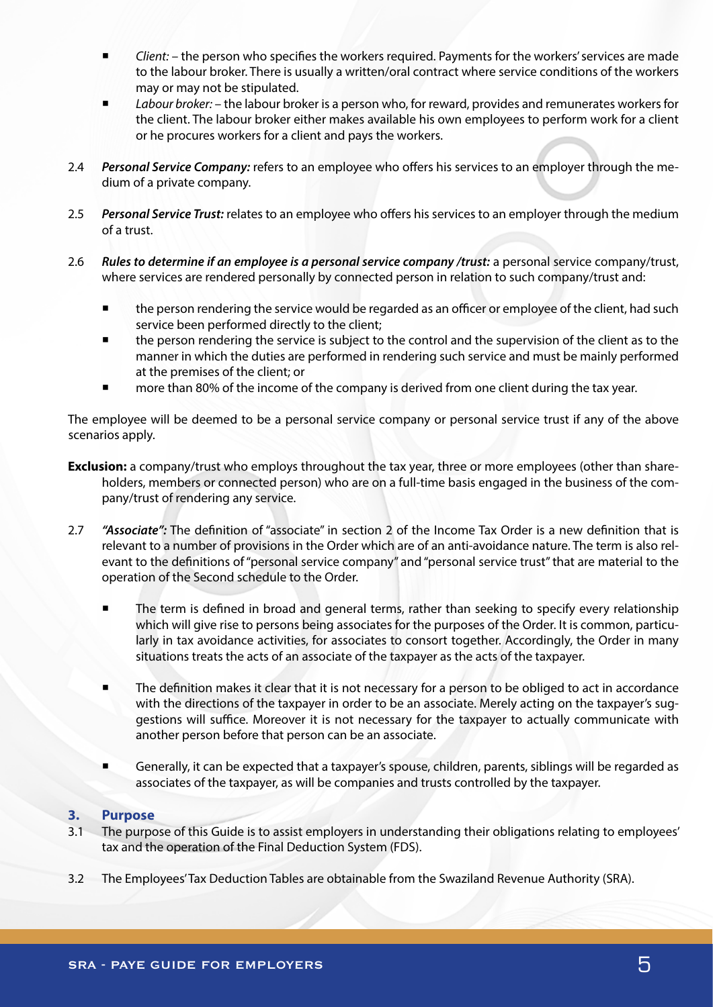- *Client:* the person who specifies the workers required. Payments for the workers' services are made to the labour broker. There is usually a written/oral contract where service conditions of the workers may or may not be stipulated.
- *Labour broker:* the labour broker is a person who, for reward, provides and remunerates workers for the client. The labour broker either makes available his own employees to perform work for a client or he procures workers for a client and pays the workers.
- 2.4 *Personal Service Company:* refers to an employee who offers his services to an employer through the medium of a private company.
- 2.5 *Personal Service Trust:* relates to an employee who offers his services to an employer through the medium of a trust.
- 2.6 *Rules to determine if an employee is a personal service company /trust:* a personal service company/trust, where services are rendered personally by connected person in relation to such company/trust and:
	- the person rendering the service would be regarded as an officer or employee of the client, had such service been performed directly to the client;
	- the person rendering the service is subject to the control and the supervision of the client as to the manner in which the duties are performed in rendering such service and must be mainly performed at the premises of the client; or
	- more than 80% of the income of the company is derived from one client during the tax year.

The employee will be deemed to be a personal service company or personal service trust if any of the above scenarios apply.

- **Exclusion:** a company/trust who employs throughout the tax year, three or more employees (other than shareholders, members or connected person) who are on a full-time basis engaged in the business of the company/trust of rendering any service.
- 2.7 *"Associate":* The definition of "associate" in section 2 of the Income Tax Order is a new definition that is relevant to a number of provisions in the Order which are of an anti-avoidance nature. The term is also relevant to the definitions of "personal service company" and "personal service trust" that are material to the operation of the Second schedule to the Order.
	- The term is defined in broad and general terms, rather than seeking to specify every relationship which will give rise to persons being associates for the purposes of the Order. It is common, particularly in tax avoidance activities, for associates to consort together. Accordingly, the Order in many situations treats the acts of an associate of the taxpayer as the acts of the taxpayer.
	- The definition makes it clear that it is not necessary for a person to be obliged to act in accordance with the directions of the taxpayer in order to be an associate. Merely acting on the taxpayer's suggestions will suffice. Moreover it is not necessary for the taxpayer to actually communicate with another person before that person can be an associate.
	- Generally, it can be expected that a taxpayer's spouse, children, parents, siblings will be regarded as associates of the taxpayer, as will be companies and trusts controlled by the taxpayer.

## **3. Purpose**

- 3.1 The purpose of this Guide is to assist employers in understanding their obligations relating to employees' tax and the operation of the Final Deduction System (FDS).
- 3.2 The Employees' Tax Deduction Tables are obtainable from the Swaziland Revenue Authority (SRA).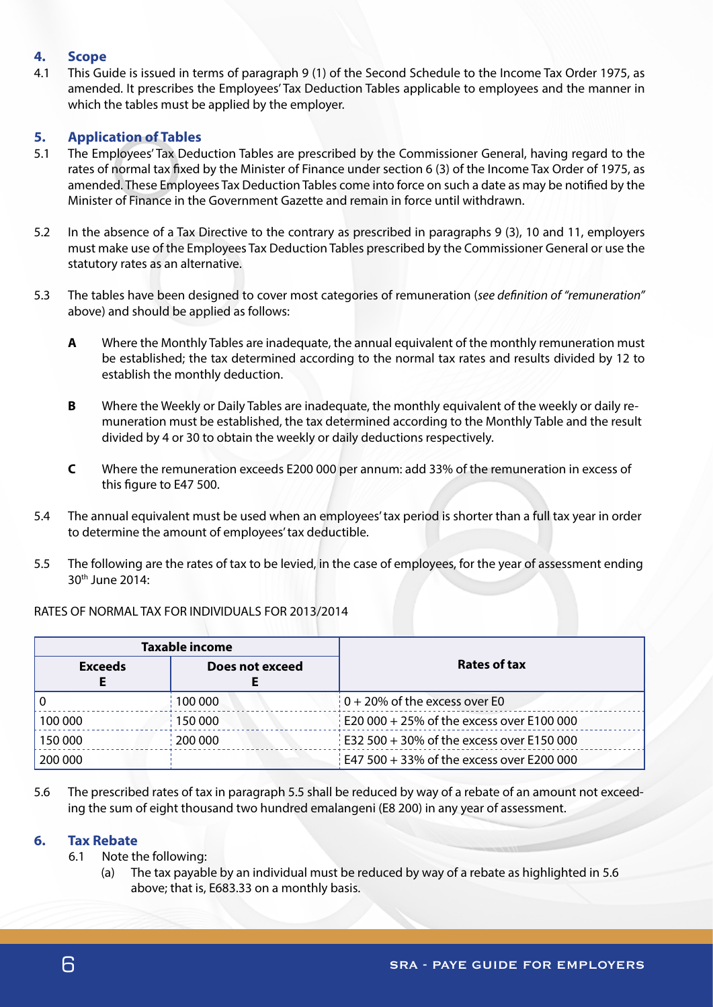# **4. Scope**

4.1 This Guide is issued in terms of paragraph 9 (1) of the Second Schedule to the Income Tax Order 1975, as amended. It prescribes the Employees' Tax Deduction Tables applicable to employees and the manner in which the tables must be applied by the employer.

# **5. Application of Tables**

- 5.1 The Employees' Tax Deduction Tables are prescribed by the Commissioner General, having regard to the rates of normal tax fixed by the Minister of Finance under section 6 (3) of the Income Tax Order of 1975, as amended. These Employees Tax Deduction Tables come into force on such a date as may be notified by the Minister of Finance in the Government Gazette and remain in force until withdrawn.
- 5.2 In the absence of a Tax Directive to the contrary as prescribed in paragraphs 9 (3), 10 and 11, employers must make use of the Employees Tax Deduction Tables prescribed by the Commissioner General or use the statutory rates as an alternative.
- 5.3 The tables have been designed to cover most categories of remuneration (*see definition of "remuneration"*  above) and should be applied as follows:
	- **A** Where the Monthly Tables are inadequate, the annual equivalent of the monthly remuneration must be established; the tax determined according to the normal tax rates and results divided by 12 to establish the monthly deduction.
	- **B** Where the Weekly or Daily Tables are inadequate, the monthly equivalent of the weekly or daily remuneration must be established, the tax determined according to the Monthly Table and the result divided by 4 or 30 to obtain the weekly or daily deductions respectively.
	- **C** Where the remuneration exceeds E200 000 per annum: add 33% of the remuneration in excess of this figure to E47 500.
- 5.4 The annual equivalent must be used when an employees' tax period is shorter than a full tax year in order to determine the amount of employees' tax deductible.
- 5.5 The following are the rates of tax to be levied, in the case of employees, for the year of assessment ending 30th June 2014:

|                                   | <b>Taxable income</b> |                                           |  |
|-----------------------------------|-----------------------|-------------------------------------------|--|
| Does not exceed<br><b>Exceeds</b> |                       | Rates of tax                              |  |
|                                   | 100 000               | $0 + 20\%$ of the excess over E0          |  |
| 150 000<br>100 000                |                       | E20 000 + 25% of the excess over E100 000 |  |
| 200 000<br>150 000                |                       | E32 500 + 30% of the excess over E150 000 |  |
| 200 000                           |                       | E47 500 + 33% of the excess over E200 000 |  |

## RATES OF NORMAL TAX FOR INDIVIDUALS FOR 2013/2014

5.6 The prescribed rates of tax in paragraph 5.5 shall be reduced by way of a rebate of an amount not exceeding the sum of eight thousand two hundred emalangeni (E8 200) in any year of assessment.

## **6. Tax Rebate**

- 6.1 Note the following:
	- (a) The tax payable by an individual must be reduced by way of a rebate as highlighted in 5.6 above; that is, E683.33 on a monthly basis.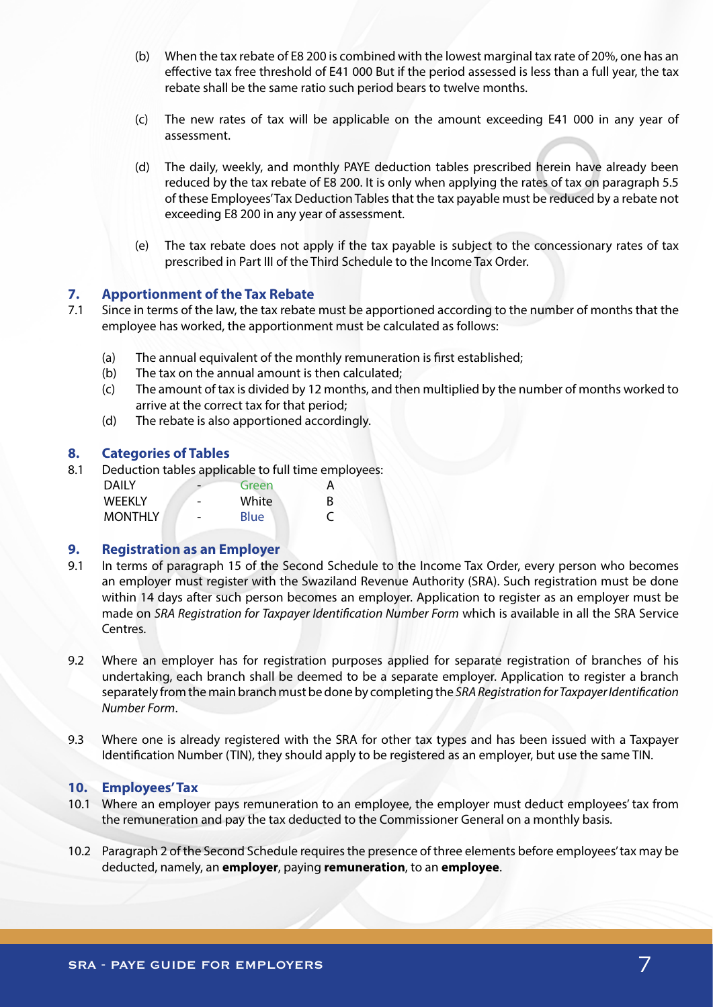- (b) When the tax rebate of E8 200 is combined with the lowest marginal tax rate of 20%, one has an effective tax free threshold of E41 000 But if the period assessed is less than a full year, the tax rebate shall be the same ratio such period bears to twelve months.
- (c) The new rates of tax will be applicable on the amount exceeding E41 000 in any year of assessment.
- (d) The daily, weekly, and monthly PAYE deduction tables prescribed herein have already been reduced by the tax rebate of E8 200. It is only when applying the rates of tax on paragraph 5.5 of these Employees' Tax Deduction Tables that the tax payable must be reduced by a rebate not exceeding E8 200 in any year of assessment.
- (e) The tax rebate does not apply if the tax payable is subject to the concessionary rates of tax prescribed in Part III of the Third Schedule to the Income Tax Order.

## **7. Apportionment of the Tax Rebate**

- 7.1 Since in terms of the law, the tax rebate must be apportioned according to the number of months that the employee has worked, the apportionment must be calculated as follows:
	- (a) The annual equivalent of the monthly remuneration is first established;
	- (b) The tax on the annual amount is then calculated;
	- (c) The amount of tax is divided by 12 months, and then multiplied by the number of months worked to arrive at the correct tax for that period;
	- (d) The rebate is also apportioned accordingly.

#### **8. Categories of Tables**

8.1 Deduction tables applicable to full time employees:

| DAILY          |   | Green       |  |
|----------------|---|-------------|--|
| WEEKLY         | - | White       |  |
| <b>MONTHLY</b> | - | <b>Blue</b> |  |

## **9. Registration as an Employer**

- 9.1 In terms of paragraph 15 of the Second Schedule to the Income Tax Order, every person who becomes an employer must register with the Swaziland Revenue Authority (SRA). Such registration must be done within 14 days after such person becomes an employer. Application to register as an employer must be made on *SRA Registration for Taxpayer Identification Number Form* which is available in all the SRA Service Centres.
- 9.2 Where an employer has for registration purposes applied for separate registration of branches of his undertaking, each branch shall be deemed to be a separate employer. Application to register a branch separately from the main branch must be done by completing the *SRA Registration for Taxpayer Identification Number Form*.
- 9.3 Where one is already registered with the SRA for other tax types and has been issued with a Taxpayer Identification Number (TIN), they should apply to be registered as an employer, but use the same TIN.

#### **10. Employees' Tax**

- 10.1 Where an employer pays remuneration to an employee, the employer must deduct employees' tax from the remuneration and pay the tax deducted to the Commissioner General on a monthly basis.
- 10.2 Paragraph 2 of the Second Schedule requires the presence of three elements before employees' tax may be deducted, namely, an **employer**, paying **remuneration**, to an **employee**.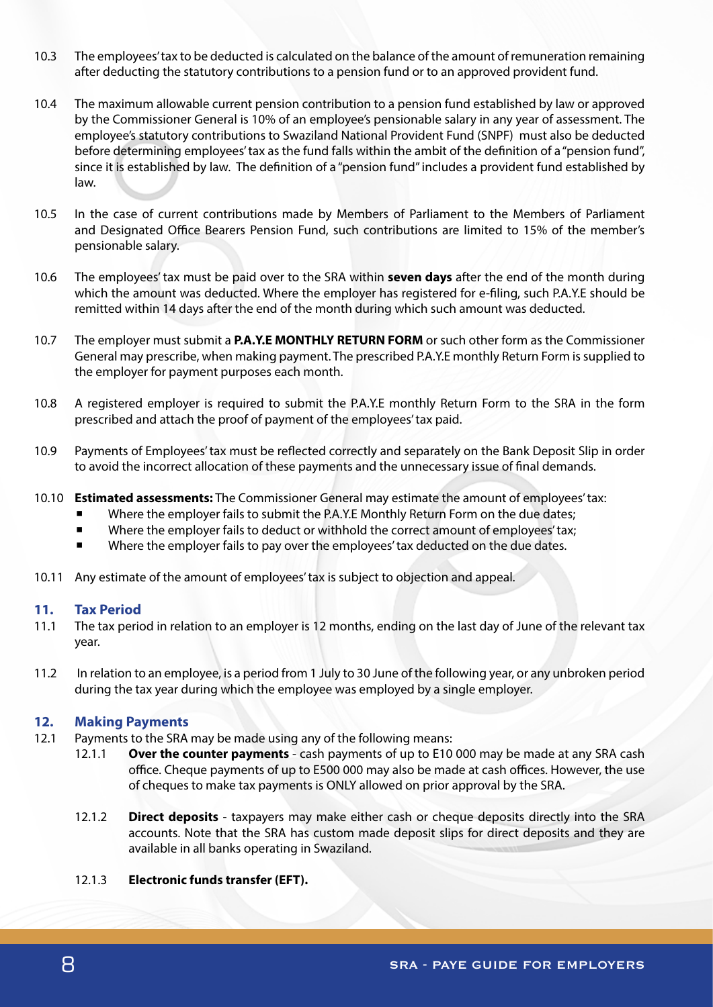- 10.3 The employees' tax to be deducted is calculated on the balance of the amount of remuneration remaining after deducting the statutory contributions to a pension fund or to an approved provident fund.
- 10.4 The maximum allowable current pension contribution to a pension fund established by law or approved by the Commissioner General is 10% of an employee's pensionable salary in any year of assessment. The employee's statutory contributions to Swaziland National Provident Fund (SNPF) must also be deducted before determining employees' tax as the fund falls within the ambit of the definition of a "pension fund", since it is established by law. The definition of a "pension fund" includes a provident fund established by law.
- 10.5 In the case of current contributions made by Members of Parliament to the Members of Parliament and Designated Office Bearers Pension Fund, such contributions are limited to 15% of the member's pensionable salary.
- 10.6 The employees' tax must be paid over to the SRA within **seven days** after the end of the month during which the amount was deducted. Where the employer has registered for e-filing, such P.A.Y.E should be remitted within 14 days after the end of the month during which such amount was deducted.
- 10.7 The employer must submit a **P.A.Y.E MONTHLY RETURN FORM** or such other form as the Commissioner General may prescribe, when making payment. The prescribed P.A.Y.E monthly Return Form is supplied to the employer for payment purposes each month.
- 10.8 A registered employer is required to submit the P.A.Y.E monthly Return Form to the SRA in the form prescribed and attach the proof of payment of the employees' tax paid.
- 10.9 Payments of Employees' tax must be reflected correctly and separately on the Bank Deposit Slip in order to avoid the incorrect allocation of these payments and the unnecessary issue of final demands.
- 10.10 **Estimated assessments:** The Commissioner General may estimate the amount of employees' tax:
	- Where the employer fails to submit the P.A.Y.E Monthly Return Form on the due dates;
	- Where the employer fails to deduct or withhold the correct amount of employees' tax;
	- Where the employer fails to pay over the employees' tax deducted on the due dates.
- 10.11 Any estimate of the amount of employees' tax is subject to objection and appeal.

## **11. Tax Period**

- 11.1 The tax period in relation to an employer is 12 months, ending on the last day of June of the relevant tax year.
- 11.2 In relation to an employee, is a period from 1 July to 30 June of the following year, or any unbroken period during the tax year during which the employee was employed by a single employer.

# **12. Making Payments**

- 12.1 Payments to the SRA may be made using any of the following means:
	- 12.1.1 **Over the counter payments** cash payments of up to E10 000 may be made at any SRA cash office. Cheque payments of up to E500 000 may also be made at cash offices. However, the use of cheques to make tax payments is ONLY allowed on prior approval by the SRA.
	- 12.1.2 **Direct deposits** taxpayers may make either cash or cheque deposits directly into the SRA accounts. Note that the SRA has custom made deposit slips for direct deposits and they are available in all banks operating in Swaziland.

## 12.1.3 **Electronic funds transfer (EFT).**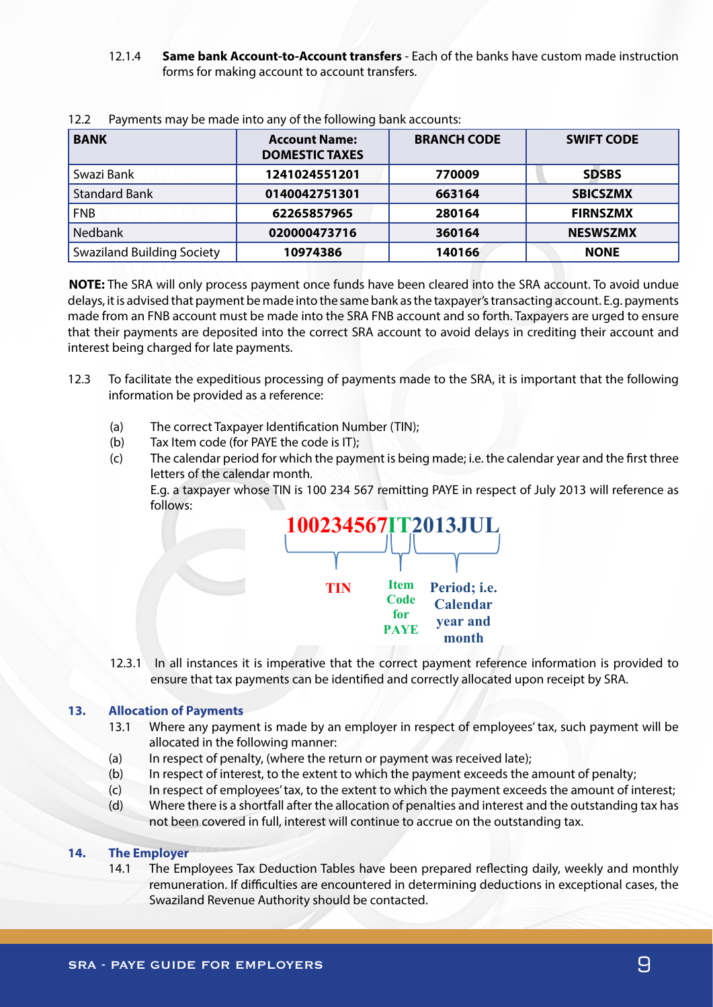12.1.4 **Same bank Account-to-Account transfers** - Each of the banks have custom made instruction forms for making account to account transfers.

| <b>BANK</b>                       | <b>Account Name:</b><br><b>DOMESTIC TAXES</b> | <b>BRANCH CODE</b> | <b>SWIFT CODE</b> |
|-----------------------------------|-----------------------------------------------|--------------------|-------------------|
| Swazi Bank                        | 1241024551201                                 | 770009             | <b>SDSBS</b>      |
| <b>Standard Bank</b>              | 0140042751301                                 | 663164             | <b>SBICSZMX</b>   |
| <b>FNB</b>                        | 62265857965                                   | 280164             | <b>FIRNSZMX</b>   |
| <b>Nedbank</b>                    | 020000473716                                  | 360164             | <b>NESWSZMX</b>   |
| <b>Swaziland Building Society</b> | 10974386                                      | 140166             | <b>NONE</b>       |

12.2 Payments may be made into any of the following bank accounts:<br> **Example 8 1097486 <b>1097486 1097486 1097486 1097486 1097486 1097486 1097486 1097486 1097486 1097486 1097486 1097486 1097486 10** 

**NOTE:** The SRA will only process payment once funds have been cleared into the SRA account. To avoid undue delays, it is advised that payment be made into the same bank as the taxpayer's transacting account. E.g. payments made from an FNB account must be made into the SRA FNB account and so forth. Taxpayers are urged to ensure made not an integree and mast be made me one on this account and so forth happyers are arged to ensure that their payments are deposited into the correct SRA account to avoid delays in crediting their account and interest being charged for late payments.

- 12.3 To facilitate the expeditious processing of payments made to the SRA, it is important that the following information be provided as a reference: (c) The calendar period for which the payment is being made; i.e. the calendar year and the first made; i.e. the first made; i.e. the first made; i.e. the first made; i.e. the first made; i.e. the first made; i.e. the firs
	- (a) The correct Taxpayer Identification Number (TIN);
	- (a) The correct Taxpayer identification Nu<br>(b) Tax Item code (for PAYE the code is IT);
- (c) The calendar period for which the payment is being made; i.e. the calendar year and the first three (c) The calendar period for when the payment is being made, i.e. the calendar year and the mst three<br>letters of the calendar month. E.g. a taxpayer whose TIN is 100 234 567 remitting PAYE in respect of July 2013 will reference as follows:



12.3.1 In all instances it is imperative that the correct payment reference information is provided to ensure that tax payments can be identified and correctly allocated upon receipt by SRA.

#### **13. Allocation of Payments** ensure that tax payments can be identified and correctly allocated upon receipt by SRA.

- 13.1 Where any payment is made by an employer in respect of employees' tax, such payment will be allocated in the following manner:
	- (a) In respect of penalty, (where the return or payment was received late);
- (a) In respect or penaity, (where the return or payment was received late);<br>(b) In respect of interest, to the extent to which the payment exceeds the amount of penalty;
- (c) In respect of employees' tax, to the extent to which the payment exceeds the amount of interest;<br>(c) In respect of employees' tax, to the extent to which the payment exceeds the amount of interest;
	- (d) Where there is a shortfall after the allocation of penalties and interest and the outstanding tax has (a) In where there is a shortain after the anotation or periatives and interest and the outstanding tax.

# **14. The Employer** (b) In respect to the extent to the extent to the extent to which the penalty; the amount of penalty;  $\mathcal{L}(\mathcal{L})$

14.1 The Employees Tax Deduction Tables have been prepared reflecting daily, weekly and monthly remuneration. If difficulties are encountered in determining deductions in exceptional cases, the Swaziland Revenue Authority should be contacted.  $\overline{c}$  In respect of extent to the extent to the extent to the extent to which the payment extent to which the amount of  $\overline{c}$  $14.1$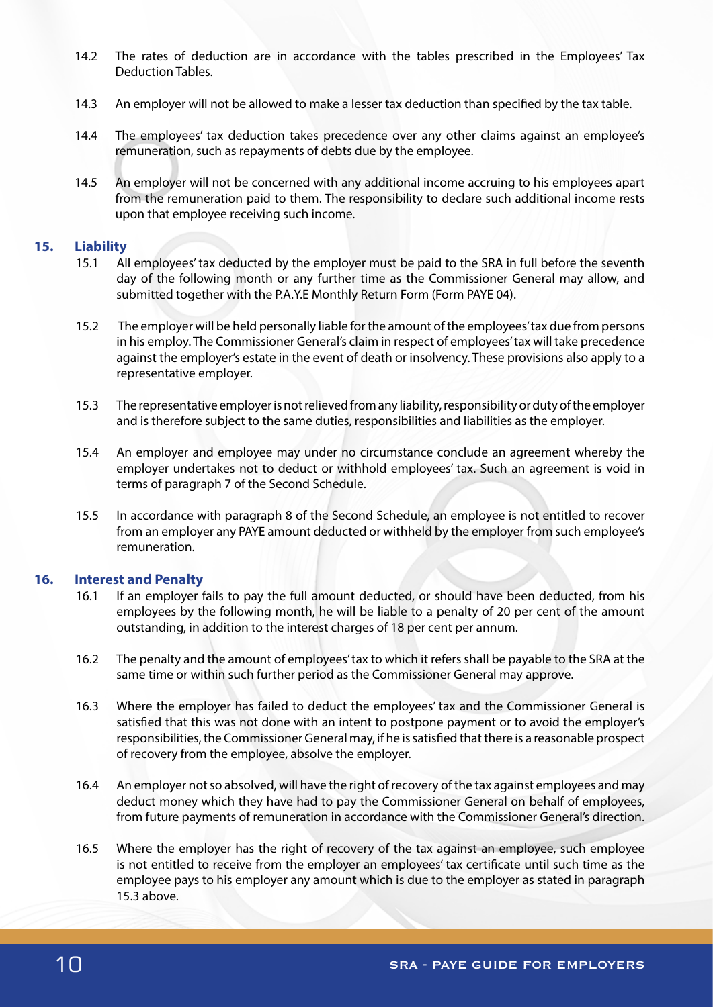- 14.2 The rates of deduction are in accordance with the tables prescribed in the Employees' Tax Deduction Tables.
- 14.3 An employer will not be allowed to make a lesser tax deduction than specified by the tax table.
- 14.4 The employees' tax deduction takes precedence over any other claims against an employee's remuneration, such as repayments of debts due by the employee.
- 14.5 An employer will not be concerned with any additional income accruing to his employees apart from the remuneration paid to them. The responsibility to declare such additional income rests upon that employee receiving such income.

## **15. Liability**

- 15.1 All employees' tax deducted by the employer must be paid to the SRA in full before the seventh day of the following month or any further time as the Commissioner General may allow, and submitted together with the P.A.Y.E Monthly Return Form (Form PAYE 04).
- 15.2 The employer will be held personally liable for the amount of the employees' tax due from persons in his employ. The Commissioner General's claim in respect of employees' tax will take precedence against the employer's estate in the event of death or insolvency. These provisions also apply to a representative employer.
- 15.3 The representative employer is not relieved from any liability, responsibility or duty of the employer and is therefore subject to the same duties, responsibilities and liabilities as the employer.
- 15.4 An employer and employee may under no circumstance conclude an agreement whereby the employer undertakes not to deduct or withhold employees' tax. Such an agreement is void in terms of paragraph 7 of the Second Schedule.
- 15.5 In accordance with paragraph 8 of the Second Schedule, an employee is not entitled to recover from an employer any PAYE amount deducted or withheld by the employer from such employee's remuneration.

## **16. Interest and Penalty**

- 16.1 If an employer fails to pay the full amount deducted, or should have been deducted, from his employees by the following month, he will be liable to a penalty of 20 per cent of the amount outstanding, in addition to the interest charges of 18 per cent per annum.
- 16.2 The penalty and the amount of employees' tax to which it refers shall be payable to the SRA at the same time or within such further period as the Commissioner General may approve.
- 16.3 Where the employer has failed to deduct the employees' tax and the Commissioner General is satisfied that this was not done with an intent to postpone payment or to avoid the employer's responsibilities, the Commissioner General may, if he is satisfied that there is a reasonable prospect of recovery from the employee, absolve the employer.
- 16.4 An employer not so absolved, will have the right of recovery of the tax against employees and may deduct money which they have had to pay the Commissioner General on behalf of employees, from future payments of remuneration in accordance with the Commissioner General's direction.
- 16.5 Where the employer has the right of recovery of the tax against an employee, such employee is not entitled to receive from the employer an employees' tax certificate until such time as the employee pays to his employer any amount which is due to the employer as stated in paragraph 15.3 above.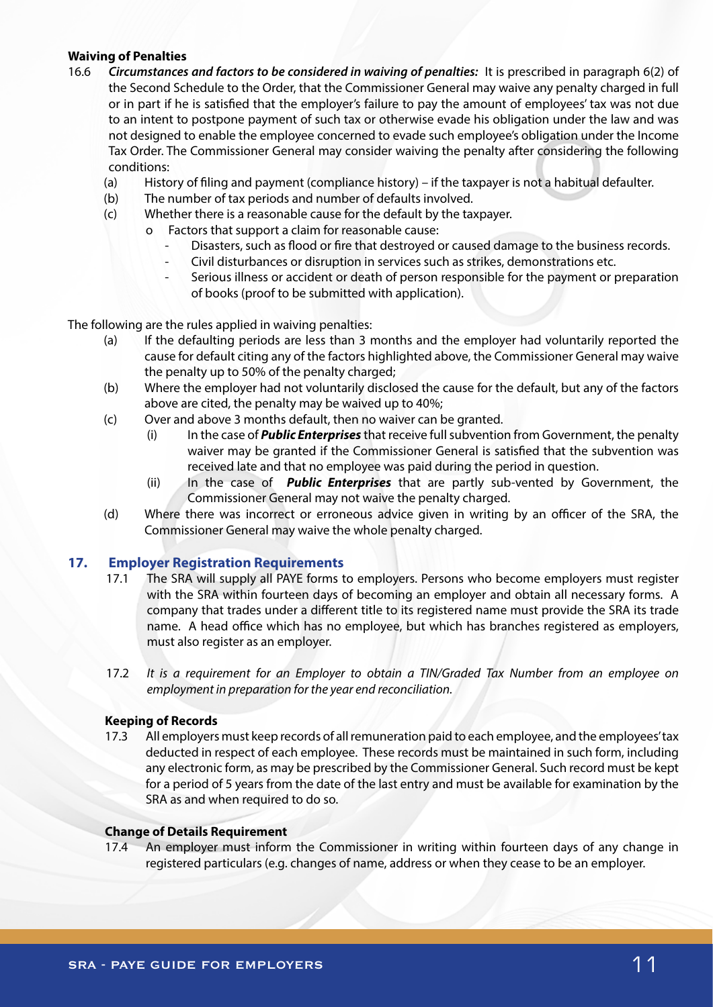## **Waiving of Penalties**

- 16.6 *Circumstances and factors to be considered in waiving of penalties:* It is prescribed in paragraph 6(2) of the Second Schedule to the Order, that the Commissioner General may waive any penalty charged in full or in part if he is satisfied that the employer's failure to pay the amount of employees' tax was not due to an intent to postpone payment of such tax or otherwise evade his obligation under the law and was not designed to enable the employee concerned to evade such employee's obligation under the Income Tax Order. The Commissioner General may consider waiving the penalty after considering the following conditions:
	- (a) History of filing and payment (compliance history) if the taxpayer is not a habitual defaulter.
	- (b) The number of tax periods and number of defaults involved.
	- (c) Whether there is a reasonable cause for the default by the taxpayer.
		- o Factors that support a claim for reasonable cause:
			- Disasters, such as flood or fire that destroyed or caused damage to the business records.
			- Civil disturbances or disruption in services such as strikes, demonstrations etc.
			- Serious illness or accident or death of person responsible for the payment or preparation of books (proof to be submitted with application).

The following are the rules applied in waiving penalties:

- (a) If the defaulting periods are less than 3 months and the employer had voluntarily reported the cause for default citing any of the factors highlighted above, the Commissioner General may waive the penalty up to 50% of the penalty charged;
- (b) Where the employer had not voluntarily disclosed the cause for the default, but any of the factors above are cited, the penalty may be waived up to 40%;
- (c) Over and above 3 months default, then no waiver can be granted.
	- (i) In the case of *Public Enterprises* that receive full subvention from Government, the penalty waiver may be granted if the Commissioner General is satisfied that the subvention was received late and that no employee was paid during the period in question.
	- (ii) In the case of *Public Enterprises* that are partly sub-vented by Government, the Commissioner General may not waive the penalty charged.
- (d) Where there was incorrect or erroneous advice given in writing by an officer of the SRA, the Commissioner General may waive the whole penalty charged.

# **17. Employer Registration Requirements**

- 17.1 The SRA will supply all PAYE forms to employers. Persons who become employers must register with the SRA within fourteen days of becoming an employer and obtain all necessary forms. A company that trades under a different title to its registered name must provide the SRA its trade name. A head office which has no employee, but which has branches registered as employers, must also register as an employer.
- 17.2 *It is a requirement for an Employer to obtain a TIN/Graded Tax Number from an employee on employment in preparation for the year end reconciliation.*

## **Keeping of Records**

17.3 All employers must keep records of all remuneration paid to each employee, and the employees' tax deducted in respect of each employee. These records must be maintained in such form, including any electronic form, as may be prescribed by the Commissioner General. Such record must be kept for a period of 5 years from the date of the last entry and must be available for examination by the SRA as and when required to do so.

## **Change of Details Requirement**

17.4 An employer must inform the Commissioner in writing within fourteen days of any change in registered particulars (e.g. changes of name, address or when they cease to be an employer.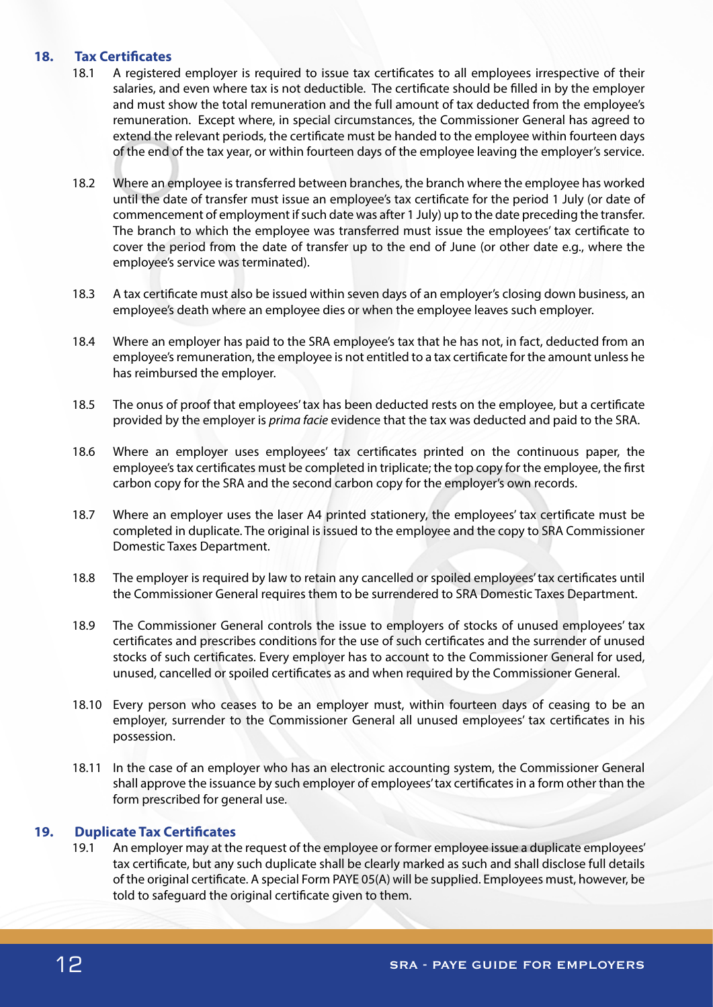## **18. Tax Certificates**

- 18.1 A registered employer is required to issue tax certificates to all employees irrespective of their salaries, and even where tax is not deductible. The certificate should be filled in by the employer and must show the total remuneration and the full amount of tax deducted from the employee's remuneration. Except where, in special circumstances, the Commissioner General has agreed to extend the relevant periods, the certificate must be handed to the employee within fourteen days of the end of the tax year, or within fourteen days of the employee leaving the employer's service.
- 18.2 Where an employee is transferred between branches, the branch where the employee has worked until the date of transfer must issue an employee's tax certificate for the period 1 July (or date of commencement of employment if such date was after 1 July) up to the date preceding the transfer. The branch to which the employee was transferred must issue the employees' tax certificate to cover the period from the date of transfer up to the end of June (or other date e.g., where the employee's service was terminated).
- 18.3 A tax certificate must also be issued within seven days of an employer's closing down business, an employee's death where an employee dies or when the employee leaves such employer.
- 18.4 Where an employer has paid to the SRA employee's tax that he has not, in fact, deducted from an employee's remuneration, the employee is not entitled to a tax certificate for the amount unless he has reimbursed the employer.
- 18.5 The onus of proof that employees' tax has been deducted rests on the employee, but a certificate provided by the employer is *prima facie* evidence that the tax was deducted and paid to the SRA.
- 18.6 Where an employer uses employees' tax certificates printed on the continuous paper, the employee's tax certificates must be completed in triplicate; the top copy for the employee, the first carbon copy for the SRA and the second carbon copy for the employer's own records.
- 18.7 Where an employer uses the laser A4 printed stationery, the employees' tax certificate must be completed in duplicate. The original is issued to the employee and the copy to SRA Commissioner Domestic Taxes Department.
- 18.8 The employer is required by law to retain any cancelled or spoiled employees' tax certificates until the Commissioner General requires them to be surrendered to SRA Domestic Taxes Department.
- 18.9 The Commissioner General controls the issue to employers of stocks of unused employees' tax certificates and prescribes conditions for the use of such certificates and the surrender of unused stocks of such certificates. Every employer has to account to the Commissioner General for used, unused, cancelled or spoiled certificates as and when required by the Commissioner General.
- 18.10 Every person who ceases to be an employer must, within fourteen days of ceasing to be an employer, surrender to the Commissioner General all unused employees' tax certificates in his possession.
- 18.11 In the case of an employer who has an electronic accounting system, the Commissioner General shall approve the issuance by such employer of employees' tax certificates in a form other than the form prescribed for general use.

# **19. Duplicate Tax Certificates**

19.1 An employer may at the request of the employee or former employee issue a duplicate employees' tax certificate, but any such duplicate shall be clearly marked as such and shall disclose full details of the original certificate. A special Form PAYE 05(A) will be supplied. Employees must, however, be told to safeguard the original certificate given to them.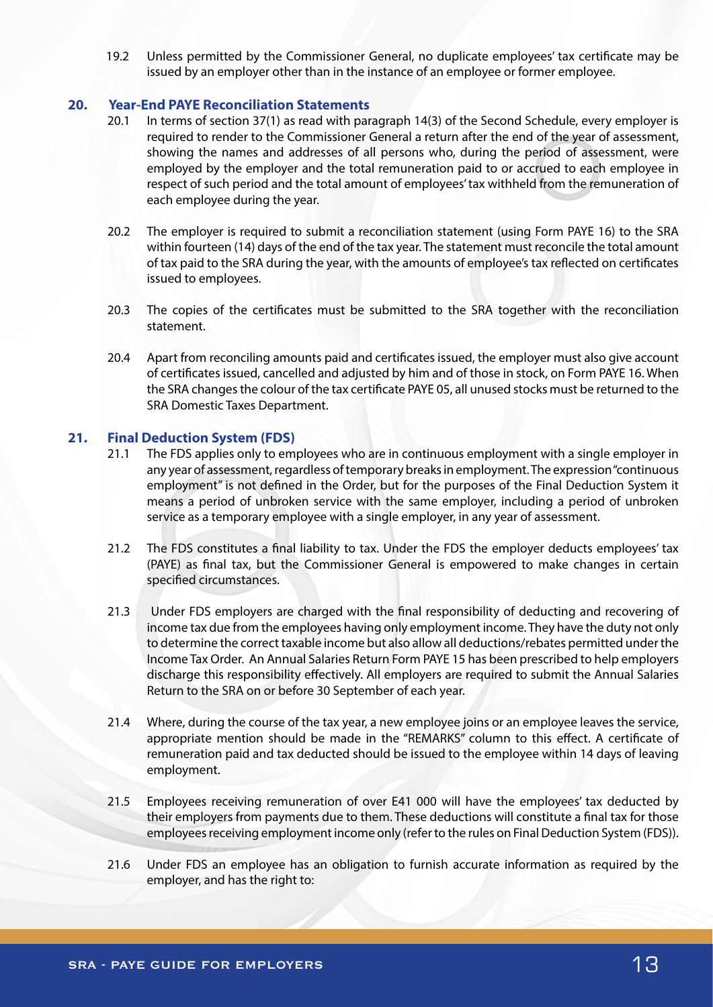19.2 Unless permitted by the Commissioner General, no duplicate employees' tax certificate may be issued by an employer other than in the instance of an employee or former employee.

## **20. Year-End PAYE Reconciliation Statements**

- 20.1 In terms of section 37(1) as read with paragraph 14(3) of the Second Schedule, every employer is required to render to the Commissioner General a return after the end of the year of assessment, showing the names and addresses of all persons who, during the period of assessment, were employed by the employer and the total remuneration paid to or accrued to each employee in respect of such period and the total amount of employees' tax withheld from the remuneration of each employee during the year.
- 20.2 The employer is required to submit a reconciliation statement (using Form PAYE 16) to the SRA within fourteen (14) days of the end of the tax year. The statement must reconcile the total amount of tax paid to the SRA during the year, with the amounts of employee's tax reflected on certificates issued to employees.
- 20.3 The copies of the certificates must be submitted to the SRA together with the reconciliation statement.
- 20.4 Apart from reconciling amounts paid and certificates issued, the employer must also give account of certificates issued, cancelled and adjusted by him and of those in stock, on Form PAYE 16. When the SRA changes the colour of the tax certificate PAYE 05, all unused stocks must be returned to the SRA Domestic Taxes Department.

## **21. Final Deduction System (FDS)**

- 21.1 The FDS applies only to employees who are in continuous employment with a single employer in any year of assessment, regardless of temporary breaks in employment. The expression "continuous employment" is not defined in the Order, but for the purposes of the Final Deduction System it means a period of unbroken service with the same employer, including a period of unbroken service as a temporary employee with a single employer, in any year of assessment.
- 21.2 The FDS constitutes a final liability to tax. Under the FDS the employer deducts employees' tax (PAYE) as final tax, but the Commissioner General is empowered to make changes in certain specified circumstances.
- 21.3 Under FDS employers are charged with the final responsibility of deducting and recovering of income tax due from the employees having only employment income. They have the duty not only to determine the correct taxable income but also allow all deductions/rebates permitted under the Income Tax Order. An Annual Salaries Return Form PAYE 15 has been prescribed to help employers discharge this responsibility effectively. All employers are required to submit the Annual Salaries Return to the SRA on or before 30 September of each year.
- 21.4 Where, during the course of the tax year, a new employee joins or an employee leaves the service, appropriate mention should be made in the "REMARKS" column to this effect. A certificate of remuneration paid and tax deducted should be issued to the employee within 14 days of leaving employment.
- 21.5 Employees receiving remuneration of over E41 000 will have the employees' tax deducted by their employers from payments due to them. These deductions will constitute a final tax for those employees receiving employment income only (refer to the rules on Final Deduction System (FDS)).
- 21.6 Under FDS an employee has an obligation to furnish accurate information as required by the employer, and has the right to: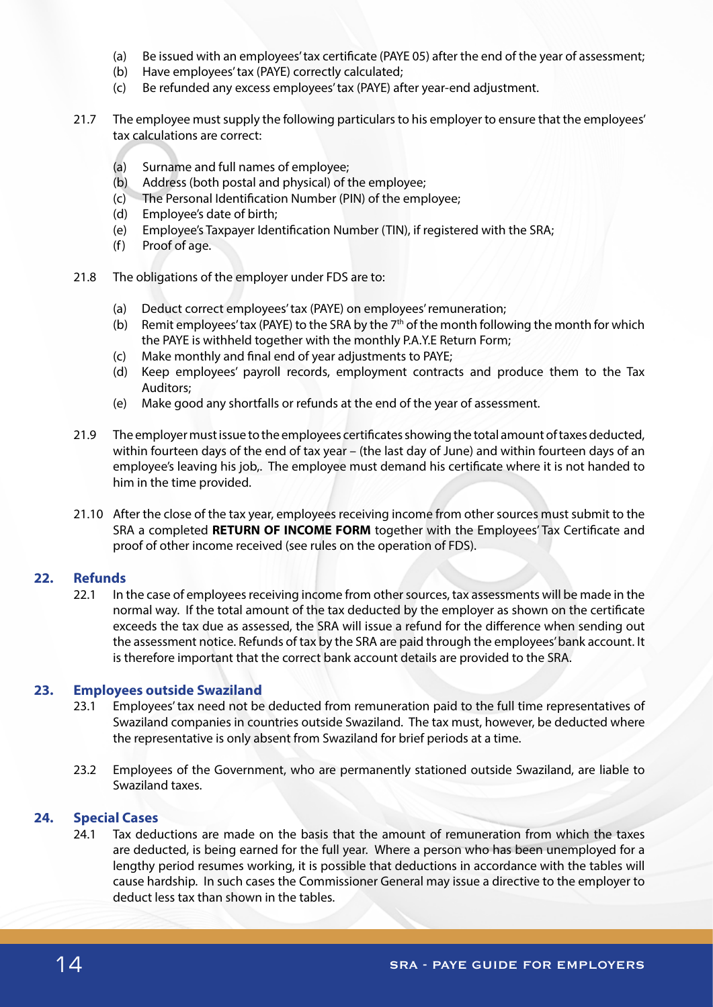- (a) Be issued with an employees' tax certificate (PAYE 05) after the end of the year of assessment;
- (b) Have employees' tax (PAYE) correctly calculated;
- (c) Be refunded any excess employees' tax (PAYE) after year-end adjustment.
- 21.7 The employee must supply the following particulars to his employer to ensure that the employees' tax calculations are correct:
	- (a) Surname and full names of employee;
	- (b) Address (both postal and physical) of the employee;
	- (c) The Personal Identification Number (PIN) of the employee;
	- (d) Employee's date of birth;
	- (e) Employee's Taxpayer Identification Number (TIN), if registered with the SRA;
	- (f) Proof of age.
- 21.8 The obligations of the employer under FDS are to:
	- (a) Deduct correct employees' tax (PAYE) on employees' remuneration;
	- (b) Remit employees' tax (PAYE) to the SRA by the  $7<sup>th</sup>$  of the month following the month for which the PAYE is withheld together with the monthly P.A.Y.E Return Form;
	- (c) Make monthly and final end of year adjustments to PAYE;
	- (d) Keep employees' payroll records, employment contracts and produce them to the Tax Auditors;
	- (e) Make good any shortfalls or refunds at the end of the year of assessment.
- 21.9 The employer must issue to the employees certificates showing the total amount of taxes deducted, within fourteen days of the end of tax year – (the last day of June) and within fourteen days of an employee's leaving his job,. The employee must demand his certificate where it is not handed to him in the time provided.
- 21.10 After the close of the tax year, employees receiving income from other sources must submit to the SRA a completed **RETURN OF INCOME FORM** together with the Employees' Tax Certificate and proof of other income received (see rules on the operation of FDS).

## **22. Refunds**

22.1 In the case of employees receiving income from other sources, tax assessments will be made in the normal way. If the total amount of the tax deducted by the employer as shown on the certificate exceeds the tax due as assessed, the SRA will issue a refund for the difference when sending out the assessment notice. Refunds of tax by the SRA are paid through the employees' bank account. It is therefore important that the correct bank account details are provided to the SRA.

## **23. Employees outside Swaziland**

- 23.1 Employees' tax need not be deducted from remuneration paid to the full time representatives of Swaziland companies in countries outside Swaziland. The tax must, however, be deducted where the representative is only absent from Swaziland for brief periods at a time.
- 23.2 Employees of the Government, who are permanently stationed outside Swaziland, are liable to Swaziland taxes.

#### **24. Special Cases**

24.1 Tax deductions are made on the basis that the amount of remuneration from which the taxes are deducted, is being earned for the full year. Where a person who has been unemployed for a lengthy period resumes working, it is possible that deductions in accordance with the tables will cause hardship. In such cases the Commissioner General may issue a directive to the employer to deduct less tax than shown in the tables.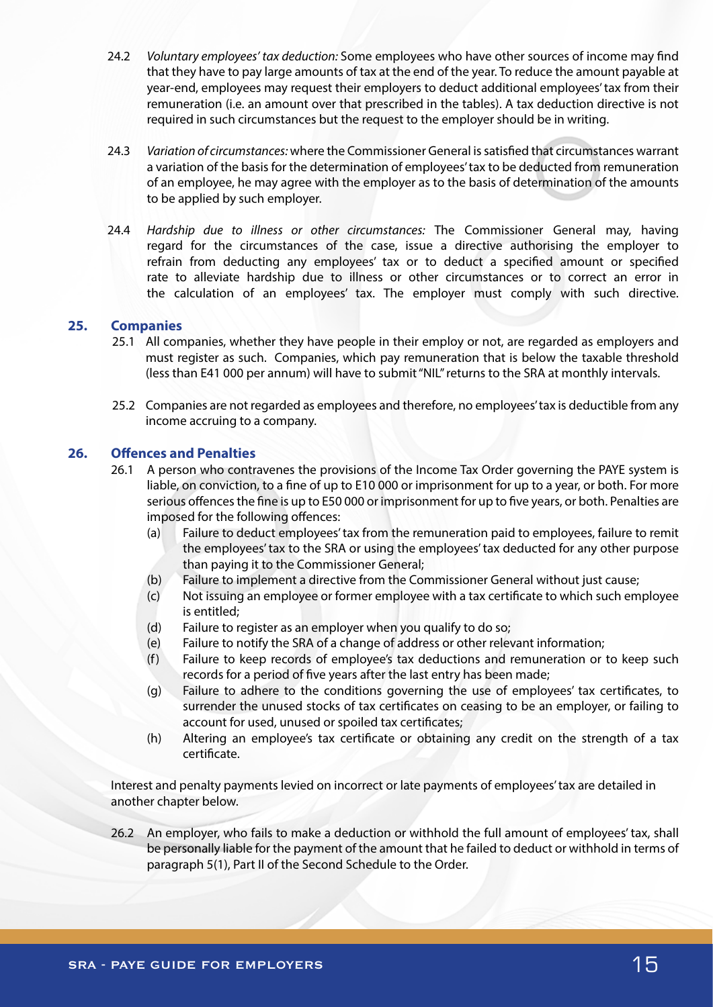- 24.2 *Voluntary employees' tax deduction:* Some employees who have other sources of income may find that they have to pay large amounts of tax at the end of the year. To reduce the amount payable at year-end, employees may request their employers to deduct additional employees' tax from their remuneration (i.e. an amount over that prescribed in the tables). A tax deduction directive is not required in such circumstances but the request to the employer should be in writing.
- 24.3 *Variation of circumstances:* where the Commissioner General is satisfied that circumstances warrant a variation of the basis for the determination of employees' tax to be deducted from remuneration of an employee, he may agree with the employer as to the basis of determination of the amounts to be applied by such employer.
- 24.4 *Hardship due to illness or other circumstances:* The Commissioner General may, having regard for the circumstances of the case, issue a directive authorising the employer to refrain from deducting any employees' tax or to deduct a specified amount or specified rate to alleviate hardship due to illness or other circumstances or to correct an error in the calculation of an employees' tax. The employer must comply with such directive.

## **25. Companies**

- 25.1 All companies, whether they have people in their employ or not, are regarded as employers and must register as such. Companies, which pay remuneration that is below the taxable threshold (less than E41 000 per annum) will have to submit "NIL" returns to the SRA at monthly intervals.
- 25.2 Companies are not regarded as employees and therefore, no employees' tax is deductible from any income accruing to a company.

## **26. Offences and Penalties**

- 26.1 A person who contravenes the provisions of the Income Tax Order governing the PAYE system is liable, on conviction, to a fine of up to E10 000 or imprisonment for up to a year, or both. For more serious offences the fine is up to E50 000 or imprisonment for up to five years, or both. Penalties are imposed for the following offences:
	- (a) Failure to deduct employees' tax from the remuneration paid to employees, failure to remit the employees' tax to the SRA or using the employees' tax deducted for any other purpose than paying it to the Commissioner General;
	- (b) Failure to implement a directive from the Commissioner General without just cause;
	- (c) Not issuing an employee or former employee with a tax certificate to which such employee is entitled;
	- (d) Failure to register as an employer when you qualify to do so;
	- (e) Failure to notify the SRA of a change of address or other relevant information;
	- (f) Failure to keep records of employee's tax deductions and remuneration or to keep such records for a period of five years after the last entry has been made;
	- (g) Failure to adhere to the conditions governing the use of employees' tax certificates, to surrender the unused stocks of tax certificates on ceasing to be an employer, or failing to account for used, unused or spoiled tax certificates;
	- (h) Altering an employee's tax certificate or obtaining any credit on the strength of a tax certificate.

Interest and penalty payments levied on incorrect or late payments of employees' tax are detailed in another chapter below.

26.2 An employer, who fails to make a deduction or withhold the full amount of employees' tax, shall be personally liable for the payment of the amount that he failed to deduct or withhold in terms of paragraph 5(1), Part II of the Second Schedule to the Order.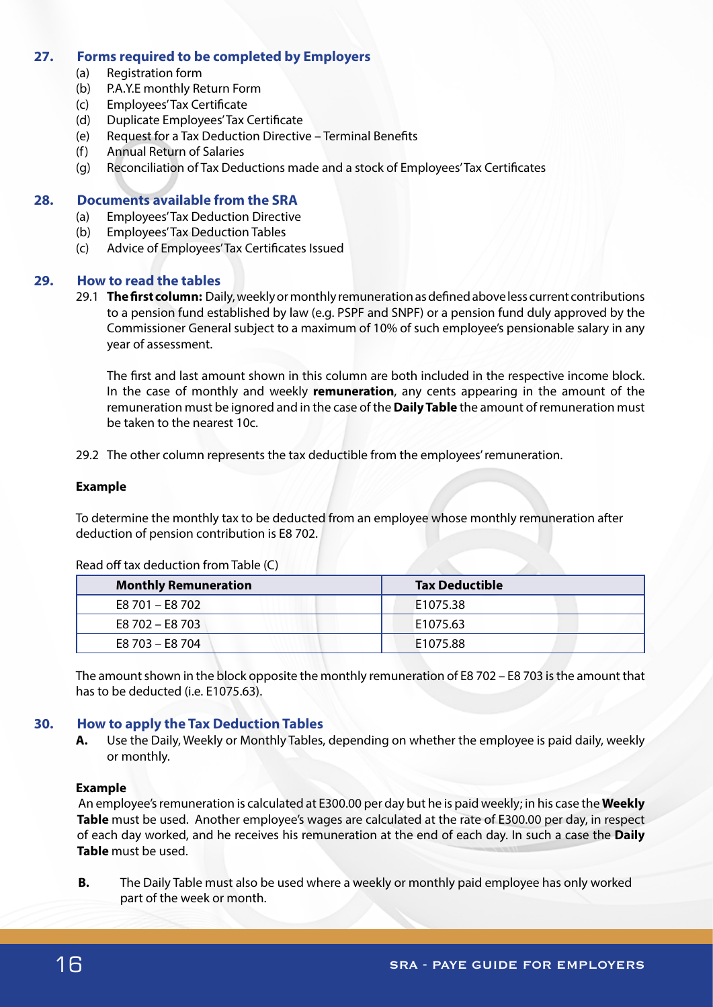## **27. Forms required to be completed by Employers**

- (a) Registration form
- (b) P.A.Y.E monthly Return Form
- (c) Employees' Tax Certificate
- (d) Duplicate Employees' Tax Certificate
- (e) Request for a Tax Deduction Directive Terminal Benefits
- (f) Annual Return of Salaries
- (g) Reconciliation of Tax Deductions made and a stock of Employees' Tax Certificates

## **28. Documents available from the SRA**

- (a) Employees' Tax Deduction Directive
- (b) Employees' Tax Deduction Tables
- (c) Advice of Employees' Tax Certificates Issued

## **29. How to read the tables**

29.1 **The first column:** Daily, weekly or monthly remuneration as defined above less current contributions to a pension fund established by law (e.g. PSPF and SNPF) or a pension fund duly approved by the Commissioner General subject to a maximum of 10% of such employee's pensionable salary in any year of assessment.

The first and last amount shown in this column are both included in the respective income block. In the case of monthly and weekly **remuneration**, any cents appearing in the amount of the remuneration must be ignored and in the case of the **Daily Table** the amount of remuneration must be taken to the nearest 10c.

29.2 The other column represents the tax deductible from the employees' remuneration.

## **Example**

To determine the monthly tax to be deducted from an employee whose monthly remuneration after deduction of pension contribution is E8 702.

| <b>Monthly Remuneration</b> | <b>Tax Deductible</b> |  |  |  |
|-----------------------------|-----------------------|--|--|--|
| E8 701 - E8 702             | E1075.38              |  |  |  |
| E8 702 - E8 703             | E1075.63              |  |  |  |
| E8 703 - E8 704             | E1075.88              |  |  |  |

Read off tax deduction from Table (C)

The amount shown in the block opposite the monthly remuneration of E8 702 – E8 703 is the amount that has to be deducted (i.e. E1075.63).

# **30. How to apply the Tax Deduction Tables**

**A.** Use the Daily, Weekly or Monthly Tables, depending on whether the employee is paid daily, weekly or monthly.

## **Example**

An employee's remuneration is calculated at E300.00 per day but he is paid weekly; in his case the **Weekly Table** must be used. Another employee's wages are calculated at the rate of E300.00 per day, in respect of each day worked, and he receives his remuneration at the end of each day. In such a case the **Daily Table** must be used.

**B.** The Daily Table must also be used where a weekly or monthly paid employee has only worked part of the week or month.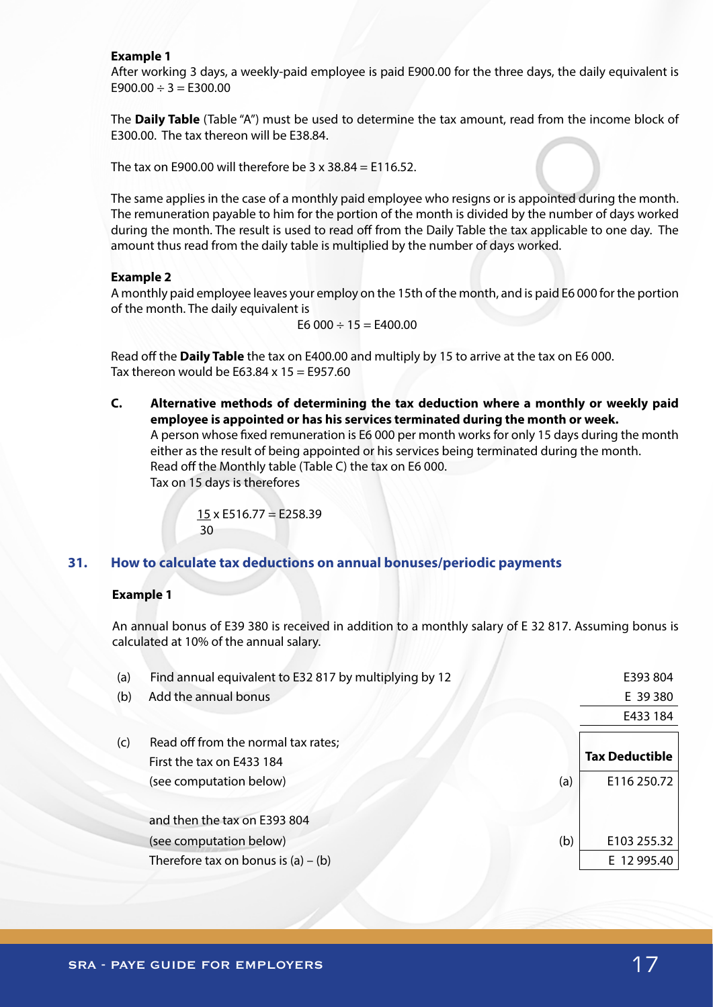#### **Example 1**

After working 3 days, a weekly-paid employee is paid E900.00 for the three days, the daily equivalent is  $E900.00 \div 3 = E300.00$ 

The **Daily Table** (Table "A") must be used to determine the tax amount, read from the income block of E300.00. The tax thereon will be E38.84.

The tax on E900.00 will therefore be  $3 \times 38.84 =$  E116.52.

The same applies in the case of a monthly paid employee who resigns or is appointed during the month. The remuneration payable to him for the portion of the month is divided by the number of days worked during the month. The result is used to read off from the Daily Table the tax applicable to one day. The amount thus read from the daily table is multiplied by the number of days worked.

#### **Example 2**

A monthly paid employee leaves your employ on the 15th of the month, and is paid E6 000 for the portion of the month. The daily equivalent is

$$
E6\ 000 \div 15 = E400.00
$$

Read off the **Daily Table** the tax on E400.00 and multiply by 15 to arrive at the tax on E6 000. Tax thereon would be  $E63.84 \times 15 = E957.60$ 

**C. Alternative methods of determining the tax deduction where a monthly or weekly paid employee is appointed or has his services terminated during the month or week.** A person whose fixed remuneration is E6 000 per month works for only 15 days during the month either as the result of being appointed or his services being terminated during the month. Read off the Monthly table (Table C) the tax on E6 000. Tax on 15 days is therefores

$$
\frac{15}{30} \times E516.77 = E258.39
$$

## **31. How to calculate tax deductions on annual bonuses/periodic payments**

#### **Example 1**

An annual bonus of E39 380 is received in addition to a monthly salary of E 32 817. Assuming bonus is calculated at 10% of the annual salary.

| (a) | Find annual equivalent to E32 817 by multiplying by 12 |     | E393 804              |
|-----|--------------------------------------------------------|-----|-----------------------|
| (b) | Add the annual bonus                                   |     | E 39 380              |
|     |                                                        |     | E433 184              |
| (c) | Read off from the normal tax rates;                    |     |                       |
|     | First the tax on E433 184                              |     | <b>Tax Deductible</b> |
|     | (see computation below)<br>(a)                         |     | E116 250.72           |
|     | and then the tax on E393 804                           |     |                       |
|     | (see computation below)                                | (b) | E103 255.32           |
|     | Therefore tax on bonus is $(a) - (b)$                  |     | E 12 995.40           |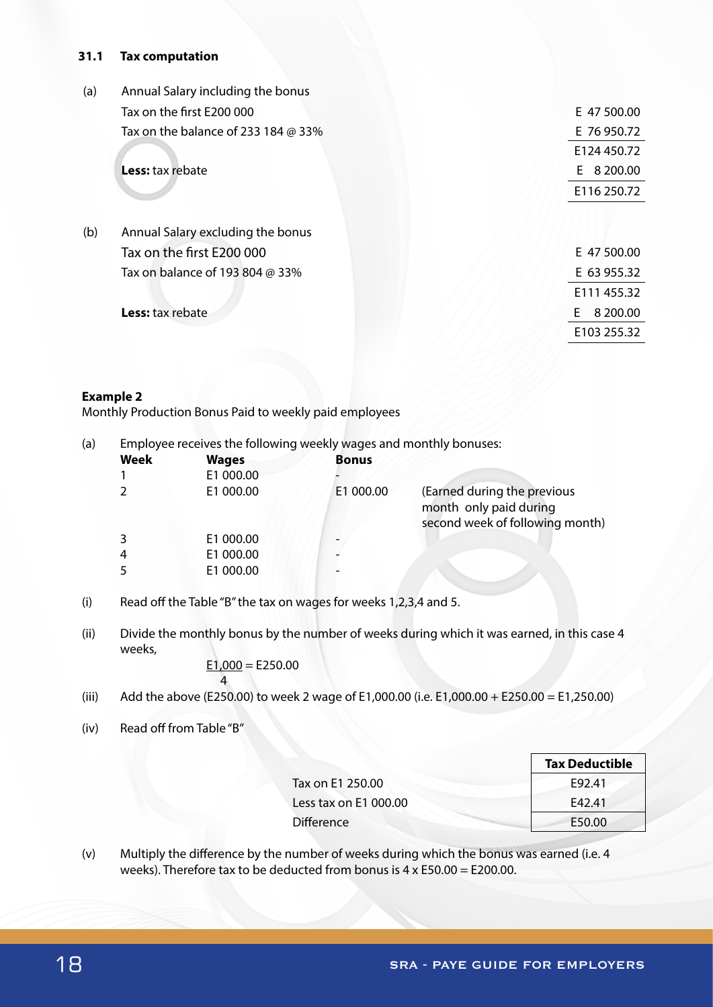## **31.1 Tax computation**

| (a) | Annual Salary including the bonus          |                |
|-----|--------------------------------------------|----------------|
|     | Tax on the first E200 000                  | E 47 500.00    |
|     | Tax on the balance of 233 184 $\omega$ 33% | E 76 950.72    |
|     |                                            | E124 450.72    |
|     | <b>Less:</b> tax rebate                    | 8 200.00<br>E. |
|     |                                            | E116 250.72    |
| (b) | Annual Salary excluding the bonus          |                |
|     | Tax on the first E200 000                  | E 47 500.00    |
|     | Tax on balance of 193 804 @ 33%            | E 63 955.32    |
|     |                                            | E111 455.32    |
|     | Less: tax rebate                           | 8 200.00<br>E. |
|     |                                            | E103 255.32    |
|     |                                            |                |

## **Example 2**

Monthly Production Bonus Paid to weekly paid employees

| (a) |             | Employee receives the following weekly wages and monthly bonuses: |              |                                                                                          |
|-----|-------------|-------------------------------------------------------------------|--------------|------------------------------------------------------------------------------------------|
|     | <b>Week</b> | <b>Wages</b>                                                      | <b>Bonus</b> |                                                                                          |
|     |             | E1 000.00                                                         |              |                                                                                          |
|     |             | E1 000.00                                                         | E1 000.00    | (Earned during the previous<br>month only paid during<br>second week of following month) |
|     | 3           | E1 000.00                                                         |              |                                                                                          |
|     | 4           | E1 000.00                                                         |              |                                                                                          |
|     |             | E1 000.00                                                         |              |                                                                                          |

- (i) Read off the Table "B" the tax on wages for weeks 1,2,3,4 and 5.
- (ii) Divide the monthly bonus by the number of weeks during which it was earned, in this case 4 weeks,

 $E1,000 = E250.00$ 4

- (iii) Add the above (E250.00) to week 2 wage of E1,000.00 (i.e. E1,000.00 + E250.00 = E1,250.00)
- (iv) Read off from Table "B"

|                       | <b>Tax Deductible</b> |
|-----------------------|-----------------------|
| Tax on E1 250.00      | F92.41                |
| Less tax on E1 000.00 | F42.41                |
| <b>Difference</b>     | E50.00                |

(v) Multiply the difference by the number of weeks during which the bonus was earned (i.e. 4 weeks). Therefore tax to be deducted from bonus is 4 x E50.00 = E200.00.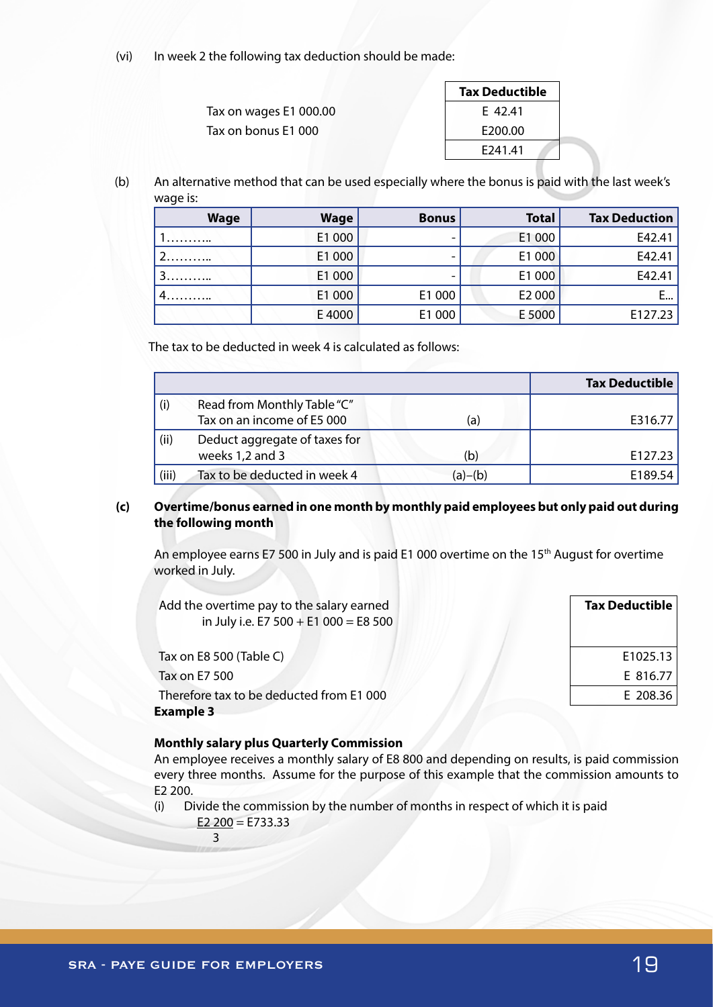(vi) In week 2 the following tax deduction should be made:

|                        | <b>Tax Deductible</b> |
|------------------------|-----------------------|
| Tax on wages E1 000.00 | E 42.41               |
| Tax on bonus E1 000    | E200.00               |
|                        | F <sub>241</sub> 41   |

(b) An alternative method that can be used especially where the bonus is paid with the last week's wage is:

| <b>Wage</b> | <b>Wage</b> | <b>Bonus</b> | <b>Total</b> | <b>Tax Deduction</b> |
|-------------|-------------|--------------|--------------|----------------------|
|             | E1 000      |              | E1 000       | E42.41               |
|             | E1 000      |              | E1 000       | E42.41               |
|             | E1 000      |              | E1 000       | E42.41               |
| 4.          | E1 000      | E1 000       | E2 000       |                      |
|             | E4000       | E1 000       | E 5000       | E127.23              |

The tax to be deducted in week 4 is calculated as follows:

|       |                                                           |         | <b>Tax Deductible</b> |
|-------|-----------------------------------------------------------|---------|-----------------------|
| (i)   | Read from Monthly Table "C"<br>Tax on an income of E5 000 | (a)     | E316.77               |
| (ii)  | Deduct aggregate of taxes for<br>weeks 1,2 and 3          | (b)     | E127.23               |
| (iii) | Tax to be deducted in week 4                              | (a)–(b) | E189.54               |

## **(c) Overtime/bonus earned in one month by monthly paid employees but only paid out during the following month**

An employee earns E7 500 in July and is paid E1 000 overtime on the 15<sup>th</sup> August for overtime worked in July.

| Add the overtime pay to the salary earned<br>in July i.e. E7 $500 + E1 000 = E8 500$ | <b>Tax Deductible</b> |
|--------------------------------------------------------------------------------------|-----------------------|
| Tax on E8 500 (Table C)                                                              | E1025.13              |
| Tax on E7 500                                                                        | E 816.77              |
| Therefore tax to be deducted from E1 000<br><b>Example 3</b>                         | E 208.36              |

## **Monthly salary plus Quarterly Commission**

An employee receives a monthly salary of E8 800 and depending on results, is paid commission every three months. Assume for the purpose of this example that the commission amounts to E2 200.

(i) Divide the commission by the number of months in respect of which it is paid

E2  $200 = E733.33$ 

3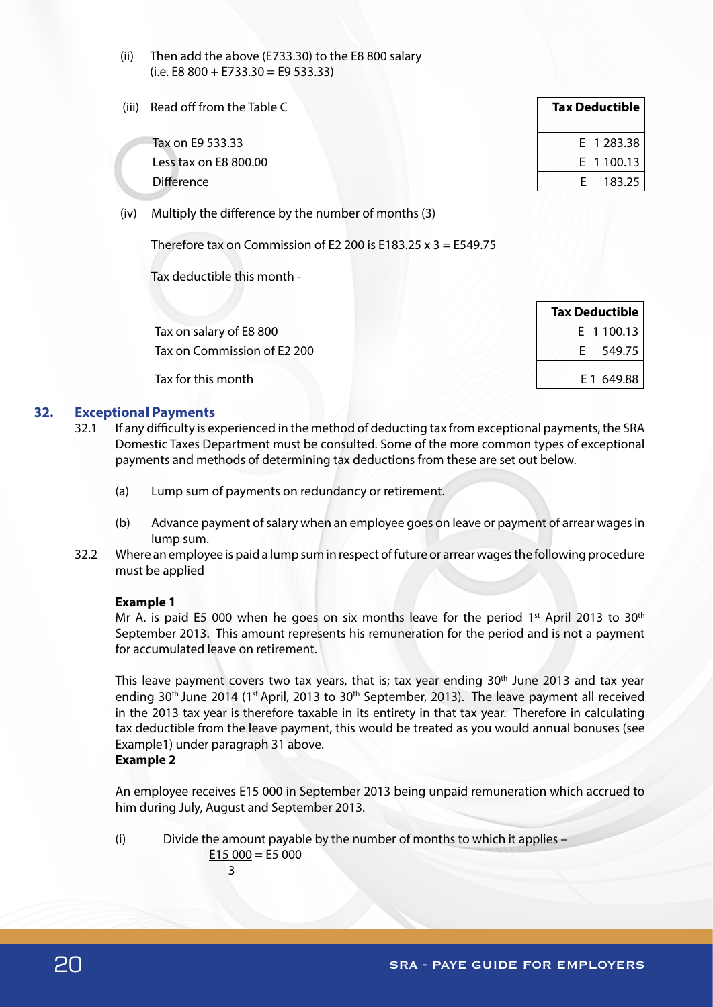- (ii) Then add the above (E733.30) to the E8 800 salary  $(i.e. E8 800 + E733.30 = E9 533.33)$
- (iii) Read off from the Table C

Tax on E9 533.33 Less tax on  $E8800.00$ Difference **E** 183.25

(iv) Multiply the difference by the number of months (3)

Therefore tax on Commission of E2 200 is E183.25 x 3 = E549.75

Tax deductible this month -

Tax on salary of E8 800 Tax on Commission of E2 200

Tax for this month

## **32. Exceptional Payments**

- 32.1 If any difficulty is experienced in the method of deducting tax from exceptional payments, the SRA Domestic Taxes Department must be consulted. Some of the more common types of exceptional payments and methods of determining tax deductions from these are set out below.
	- (a) Lump sum of payments on redundancy or retirement.
	- (b) Advance payment of salary when an employee goes on leave or payment of arrear wages in lump sum.
- 32.2 Where an employee is paid a lump sum in respect of future or arrear wages the following procedure must be applied

## **Example 1**

Mr A. is paid E5 000 when he goes on six months leave for the period  $1<sup>st</sup>$  April 2013 to 30<sup>th</sup> September 2013. This amount represents his remuneration for the period and is not a payment for accumulated leave on retirement.

This leave payment covers two tax years, that is; tax year ending  $30<sup>th</sup>$  June 2013 and tax year ending 30<sup>th</sup> June 2014 (1<sup>st</sup> April, 2013 to 30<sup>th</sup> September, 2013). The leave payment all received in the 2013 tax year is therefore taxable in its entirety in that tax year. Therefore in calculating tax deductible from the leave payment, this would be treated as you would annual bonuses (see Example1) under paragraph 31 above.

## **Example 2**

An employee receives E15 000 in September 2013 being unpaid remuneration which accrued to him during July, August and September 2013.

(i) Divide the amount payable by the number of months to which it applies –  $E15000 = E5000$ 

3

| <b>Tax Deductible</b> |            |  |  |
|-----------------------|------------|--|--|
|                       | E 1 283.38 |  |  |
|                       | E 1 100.13 |  |  |
| F.                    | 183.25     |  |  |

| <b>Tax Deductible</b> |  |  |  |
|-----------------------|--|--|--|
| E 1 100.13            |  |  |  |
| 549.75<br>F.          |  |  |  |
| E 1 649.88            |  |  |  |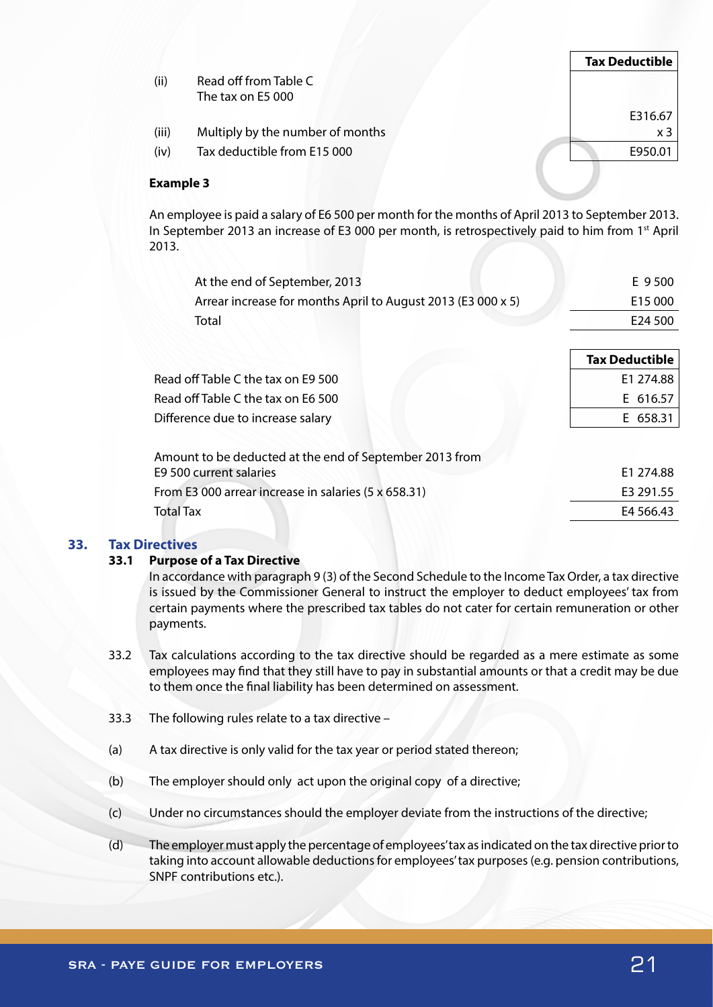|                  |                                  | <b>Tax Deductible</b> |
|------------------|----------------------------------|-----------------------|
| (ii)             | Read off from Table C            |                       |
|                  | The tax on E5 000                |                       |
|                  |                                  | E316.67               |
| (iii)            | Multiply by the number of months | x <sub>3</sub>        |
| (iv)             | Tax deductible from E15 000      | E950.01               |
|                  |                                  |                       |
| <b>Example 3</b> |                                  |                       |

An employee is paid a salary of E6 500 per month for the months of April 2013 to September 2013. In September 2013 an increase of E3 000 per month, is retrospectively paid to him from 1<sup>st</sup> April 2013.

| At the end of September, 2013                                | E 9500                |
|--------------------------------------------------------------|-----------------------|
| Arrear increase for months April to August 2013 (E3 000 x 5) | E15 000               |
| Total                                                        | E24 500               |
|                                                              |                       |
|                                                              | <b>Tax Deductible</b> |
| Read off Table C the tax on E9 500                           | E1 274.88             |
| Read off Table C the tax on E6 500                           | E 616.57              |
| Difference due to increase salary                            | E 658.31              |
| Amount to be deducted at the end of September 2013 from      |                       |
| E9 500 current salaries                                      | E1 274.88             |
| From E3 000 arrear increase in salaries (5 x 658.31)         | E3 291.55             |
| <b>Total Tax</b>                                             | E4 566.43             |
|                                                              |                       |

## **33. Tax Directives**

#### **33.1 Purpose of a Tax Directive**

In accordance with paragraph 9 (3) of the Second Schedule to the Income Tax Order, a tax directive is issued by the Commissioner General to instruct the employer to deduct employees' tax from certain payments where the prescribed tax tables do not cater for certain remuneration or other payments.

- 33.2 Tax calculations according to the tax directive should be regarded as a mere estimate as some employees may find that they still have to pay in substantial amounts or that a credit may be due to them once the final liability has been determined on assessment.
- 33.3 The following rules relate to a tax directive –
- (a) A tax directive is only valid for the tax year or period stated thereon;
- (b) The employer should only act upon the original copy of a directive;
- (c) Under no circumstances should the employer deviate from the instructions of the directive;
- (d) The employer must apply the percentage of employees' tax as indicated on the tax directive prior to taking into account allowable deductions for employees' tax purposes (e.g. pension contributions, SNPF contributions etc.).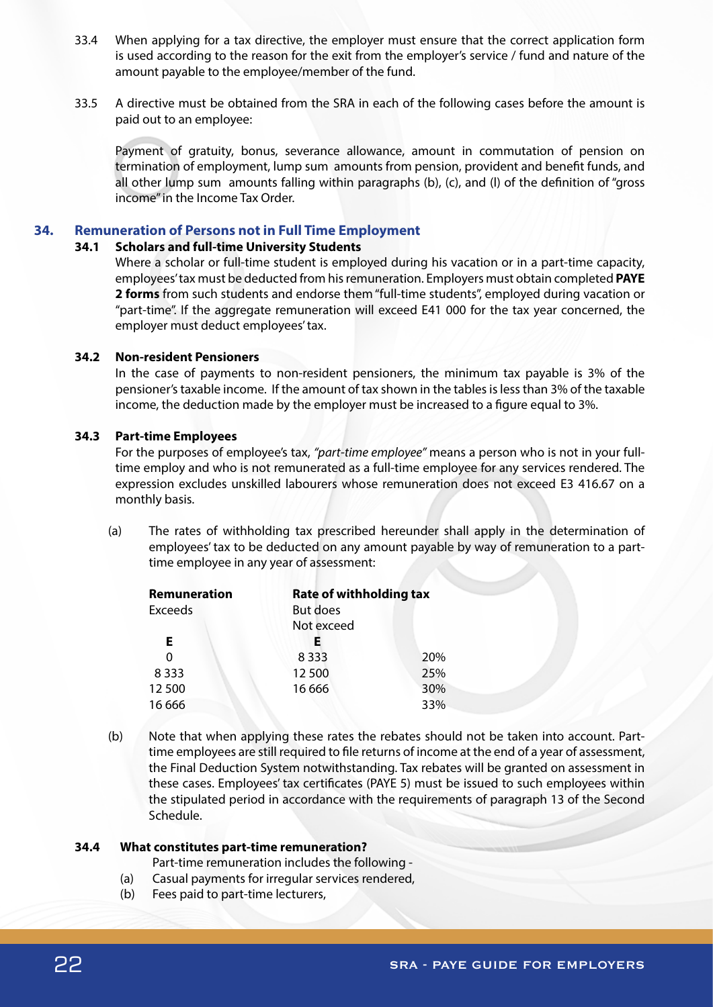- 33.4 When applying for a tax directive, the employer must ensure that the correct application form is used according to the reason for the exit from the employer's service / fund and nature of the amount payable to the employee/member of the fund.
- 33.5 A directive must be obtained from the SRA in each of the following cases before the amount is paid out to an employee:

Payment of gratuity, bonus, severance allowance, amount in commutation of pension on termination of employment, lump sum amounts from pension, provident and benefit funds, and all other lump sum amounts falling within paragraphs (b), (c), and (l) of the definition of "gross income" in the Income Tax Order.

## **34. Remuneration of Persons not in Full Time Employment**

#### **34.1 Scholars and full-time University Students**

Where a scholar or full-time student is employed during his vacation or in a part-time capacity, employees' tax must be deducted from his remuneration. Employers must obtain completed **PAYE 2 forms** from such students and endorse them "full-time students", employed during vacation or "part-time". If the aggregate remuneration will exceed E41 000 for the tax year concerned, the employer must deduct employees' tax.

#### **34.2 Non-resident Pensioners**

In the case of payments to non-resident pensioners, the minimum tax payable is 3% of the pensioner's taxable income. If the amount of tax shown in the tables is less than 3% of the taxable income, the deduction made by the employer must be increased to a figure equal to 3%.

#### **34.3 Part-time Employees**

For the purposes of employee's tax, *"part-time employee"* means a person who is not in your fulltime employ and who is not remunerated as a full-time employee for any services rendered. The expression excludes unskilled labourers whose remuneration does not exceed E3 416.67 on a monthly basis.

(a) The rates of withholding tax prescribed hereunder shall apply in the determination of employees' tax to be deducted on any amount payable by way of remuneration to a parttime employee in any year of assessment:

| Remuneration   |                 | <b>Rate of withholding tax</b> |  |
|----------------|-----------------|--------------------------------|--|
| <b>Exceeds</b> | <b>But does</b> |                                |  |
|                | Not exceed      |                                |  |
| Е              | E.              |                                |  |
| O              | 8333            | 20%                            |  |
| 8 3 3 3        | 12 500          | 25%                            |  |
| 12500          | 16 6 6 6        | 30%                            |  |
| 16 6 66        |                 | 33%                            |  |

(b) Note that when applying these rates the rebates should not be taken into account. Parttime employees are still required to file returns of income at the end of a year of assessment, the Final Deduction System notwithstanding. Tax rebates will be granted on assessment in these cases. Employees' tax certificates (PAYE 5) must be issued to such employees within the stipulated period in accordance with the requirements of paragraph 13 of the Second Schedule.

#### **34.4 What constitutes part-time remuneration?**

Part-time remuneration includes the following -

- (a) Casual payments for irregular services rendered,
- (b) Fees paid to part-time lecturers,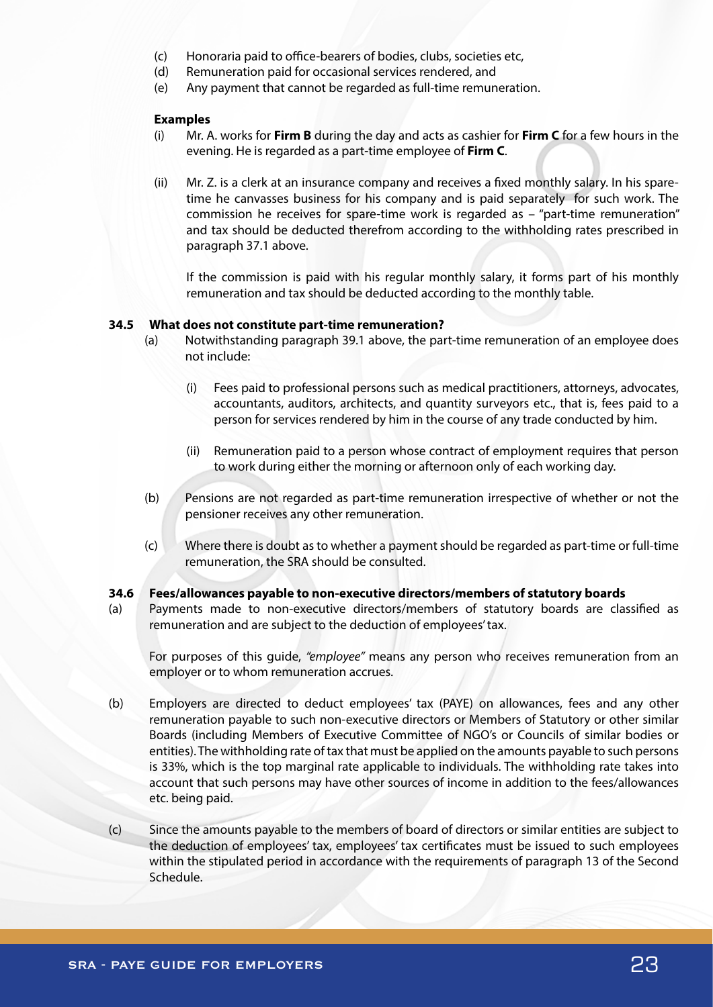- (c) Honoraria paid to office-bearers of bodies, clubs, societies etc,
- (d) Remuneration paid for occasional services rendered, and
- (e) Any payment that cannot be regarded as full-time remuneration.

#### **Examples**

- (i) Mr. A. works for **Firm B** during the day and acts as cashier for **Firm C** for a few hours in the evening. He is regarded as a part-time employee of **Firm C**.
- (ii) Mr. Z. is a clerk at an insurance company and receives a fixed monthly salary. In his sparetime he canvasses business for his company and is paid separately for such work. The commission he receives for spare-time work is regarded as – "part-time remuneration" and tax should be deducted therefrom according to the withholding rates prescribed in paragraph 37.1 above.

If the commission is paid with his regular monthly salary, it forms part of his monthly remuneration and tax should be deducted according to the monthly table.

#### **34.5 What does not constitute part-time remuneration?**

- (a) Notwithstanding paragraph 39.1 above, the part-time remuneration of an employee does not include:
	- (i) Fees paid to professional persons such as medical practitioners, attorneys, advocates, accountants, auditors, architects, and quantity surveyors etc., that is, fees paid to a person for services rendered by him in the course of any trade conducted by him.
	- (ii) Remuneration paid to a person whose contract of employment requires that person to work during either the morning or afternoon only of each working day.
- (b) Pensions are not regarded as part-time remuneration irrespective of whether or not the pensioner receives any other remuneration.
- (c) Where there is doubt as to whether a payment should be regarded as part-time or full-time remuneration, the SRA should be consulted.

#### **34.6 Fees/allowances payable to non-executive directors/members of statutory boards**

(a) Payments made to non-executive directors/members of statutory boards are classified as remuneration and are subject to the deduction of employees' tax.

For purposes of this guide, *"employee"* means any person who receives remuneration from an employer or to whom remuneration accrues.

- (b) Employers are directed to deduct employees' tax (PAYE) on allowances, fees and any other remuneration payable to such non-executive directors or Members of Statutory or other similar Boards (including Members of Executive Committee of NGO's or Councils of similar bodies or entities). The withholding rate of tax that must be applied on the amounts payable to such persons is 33%, which is the top marginal rate applicable to individuals. The withholding rate takes into account that such persons may have other sources of income in addition to the fees/allowances etc. being paid.
- (c) Since the amounts payable to the members of board of directors or similar entities are subject to the deduction of employees' tax, employees' tax certificates must be issued to such employees within the stipulated period in accordance with the requirements of paragraph 13 of the Second Schedule.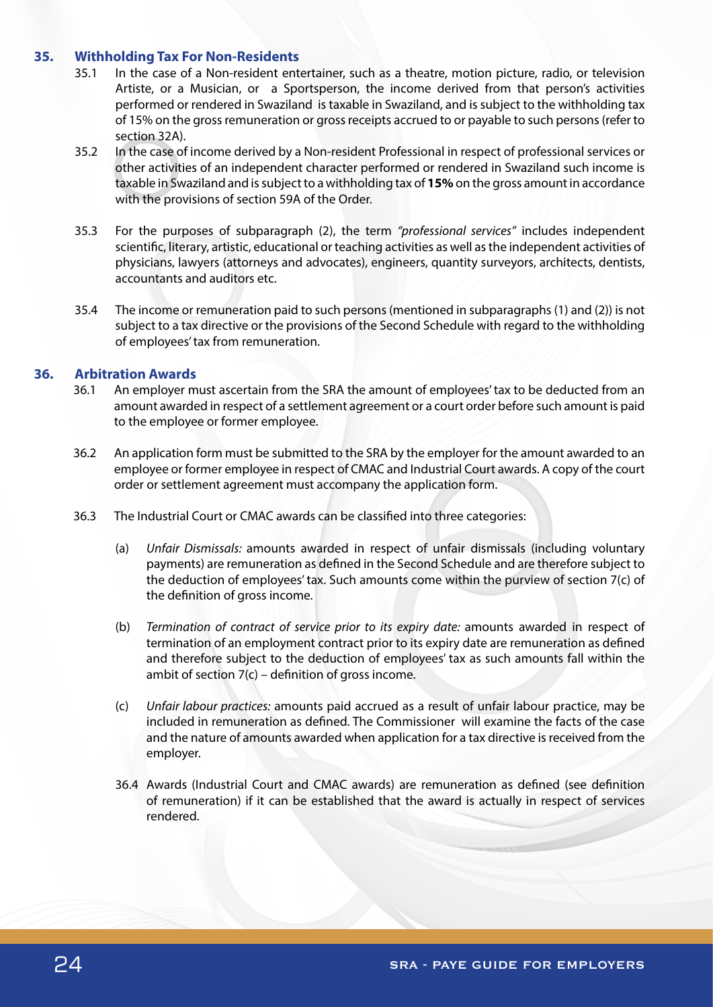# **35. Withholding Tax For Non-Residents**

- 35.1 In the case of a Non-resident entertainer, such as a theatre, motion picture, radio, or television Artiste, or a Musician, or a Sportsperson, the income derived from that person's activities performed or rendered in Swaziland is taxable in Swaziland, and is subject to the withholding tax of 15% on the gross remuneration or gross receipts accrued to or payable to such persons (refer to section 32A).
- 35.2 In the case of income derived by a Non-resident Professional in respect of professional services or other activities of an independent character performed or rendered in Swaziland such income is taxable in Swaziland and is subject to a withholding tax of **15%** on the gross amount in accordance with the provisions of section 59A of the Order.
- 35.3 For the purposes of subparagraph (2), the term *"professional services"* includes independent scientific, literary, artistic, educational or teaching activities as well as the independent activities of physicians, lawyers (attorneys and advocates), engineers, quantity surveyors, architects, dentists, accountants and auditors etc.
- 35.4 The income or remuneration paid to such persons (mentioned in subparagraphs (1) and (2)) is not subject to a tax directive or the provisions of the Second Schedule with regard to the withholding of employees' tax from remuneration.

# **36. Arbitration Awards**

- 36.1 An employer must ascertain from the SRA the amount of employees' tax to be deducted from an amount awarded in respect of a settlement agreement or a court order before such amount is paid to the employee or former employee.
- 36.2 An application form must be submitted to the SRA by the employer for the amount awarded to an employee or former employee in respect of CMAC and Industrial Court awards. A copy of the court order or settlement agreement must accompany the application form.
- 36.3 The Industrial Court or CMAC awards can be classified into three categories:
	- (a) *Unfair Dismissals:* amounts awarded in respect of unfair dismissals (including voluntary payments) are remuneration as defined in the Second Schedule and are therefore subject to the deduction of employees' tax. Such amounts come within the purview of section 7(c) of the definition of gross income.
	- (b) *Termination of contract of service prior to its expiry date:* amounts awarded in respect of termination of an employment contract prior to its expiry date are remuneration as defined and therefore subject to the deduction of employees' tax as such amounts fall within the ambit of section 7(c) – definition of gross income.
	- (c) *Unfair labour practices:* amounts paid accrued as a result of unfair labour practice, may be included in remuneration as defined. The Commissioner will examine the facts of the case and the nature of amounts awarded when application for a tax directive is received from the employer.
	- 36.4 Awards (Industrial Court and CMAC awards) are remuneration as defined (see definition of remuneration) if it can be established that the award is actually in respect of services rendered.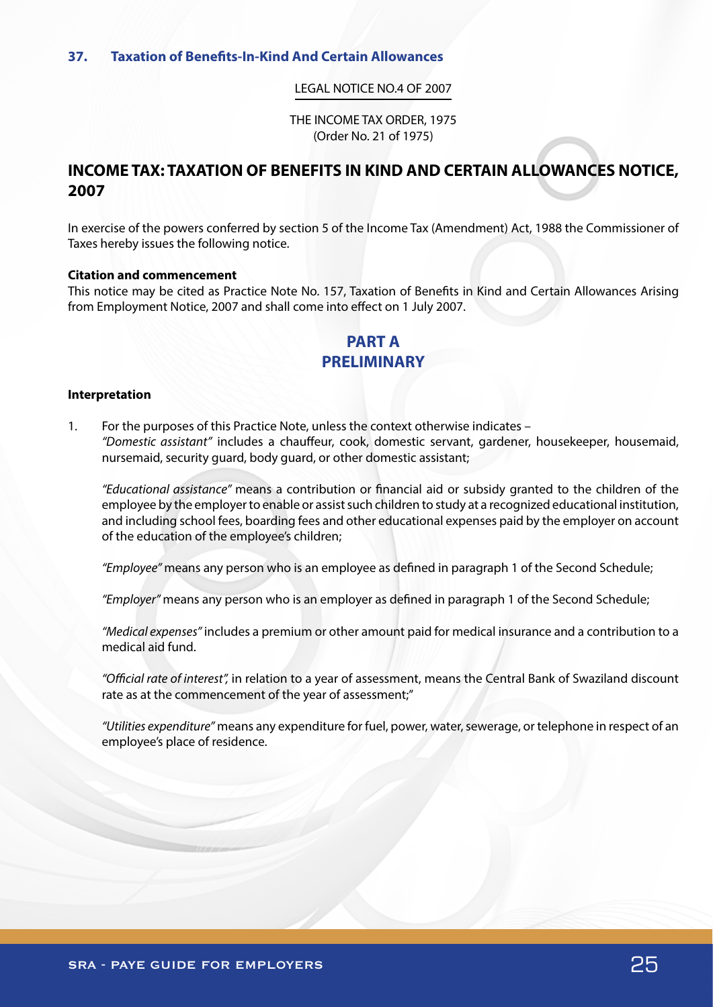#### LEGAL NOTICE NO.4 OF 2007

THE INCOME TAX ORDER, 1975 (Order No. 21 of 1975)

# **INCOME TAX: TAXATION OF BENEFITS IN KIND AND CERTAIN ALLOWANCES NOTICE, 2007**

In exercise of the powers conferred by section 5 of the Income Tax (Amendment) Act, 1988 the Commissioner of Taxes hereby issues the following notice.

#### **Citation and commencement**

This notice may be cited as Practice Note No. 157, Taxation of Benefits in Kind and Certain Allowances Arising from Employment Notice, 2007 and shall come into effect on 1 July 2007.

# **PART A PRELIMINARY**

#### **Interpretation**

1. For the purposes of this Practice Note, unless the context otherwise indicates – *"Domestic assistant"* includes a chauffeur, cook, domestic servant, gardener, housekeeper, housemaid, nursemaid, security guard, body guard, or other domestic assistant;

*"Educational assistance"* means a contribution or financial aid or subsidy granted to the children of the employee by the employer to enable or assist such children to study at a recognized educational institution, and including school fees, boarding fees and other educational expenses paid by the employer on account of the education of the employee's children;

*"Employee"* means any person who is an employee as defined in paragraph 1 of the Second Schedule;

*"Employer"* means any person who is an employer as defined in paragraph 1 of the Second Schedule;

*"Medical expenses"* includes a premium or other amount paid for medical insurance and a contribution to a medical aid fund.

*"Official rate of interest",* in relation to a year of assessment, means the Central Bank of Swaziland discount rate as at the commencement of the year of assessment;"

*"Utilities expenditure"* means any expenditure for fuel, power, water, sewerage, or telephone in respect of an employee's place of residence.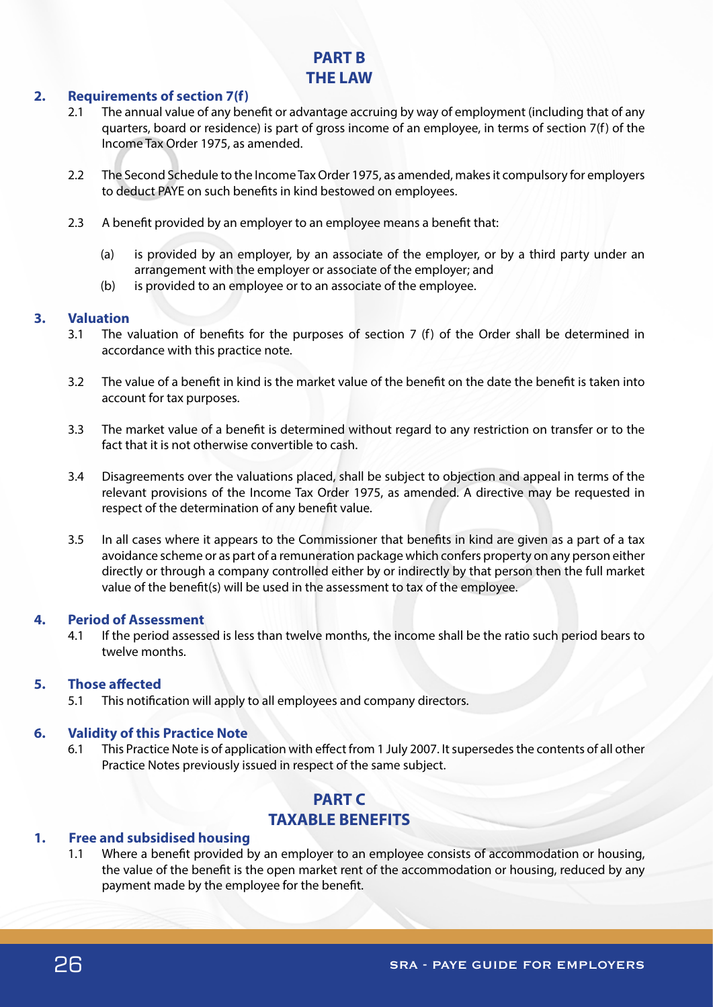# **PART B THE LAW**

# **2. Requirements of section 7(f)**

- 2.1 The annual value of any benefit or advantage accruing by way of employment (including that of any quarters, board or residence) is part of gross income of an employee, in terms of section 7(f) of the Income Tax Order 1975, as amended.
- 2.2 The Second Schedule to the Income Tax Order 1975, as amended, makes it compulsory for employers to deduct PAYE on such benefits in kind bestowed on employees.
- 2.3 A benefit provided by an employer to an employee means a benefit that:
	- (a) is provided by an employer, by an associate of the employer, or by a third party under an arrangement with the employer or associate of the employer; and
	- (b) is provided to an employee or to an associate of the employee.

# **3. Valuation**

- 3.1 The valuation of benefits for the purposes of section 7 (f) of the Order shall be determined in accordance with this practice note.
- 3.2 The value of a benefit in kind is the market value of the benefit on the date the benefit is taken into account for tax purposes.
- 3.3 The market value of a benefit is determined without regard to any restriction on transfer or to the fact that it is not otherwise convertible to cash.
- 3.4 Disagreements over the valuations placed, shall be subject to objection and appeal in terms of the relevant provisions of the Income Tax Order 1975, as amended. A directive may be requested in respect of the determination of any benefit value.
- 3.5 In all cases where it appears to the Commissioner that benefits in kind are given as a part of a tax avoidance scheme or as part of a remuneration package which confers property on any person either directly or through a company controlled either by or indirectly by that person then the full market value of the benefit(s) will be used in the assessment to tax of the employee.

# **4. Period of Assessment**

4.1 If the period assessed is less than twelve months, the income shall be the ratio such period bears to twelve months.

# **5. Those affected**

5.1 This notification will apply to all employees and company directors.

# **6. Validity of this Practice Note**

6.1 This Practice Note is of application with effect from 1 July 2007. It supersedes the contents of all other Practice Notes previously issued in respect of the same subject.

# **PART C TAXABLE BENEFITS**

# **1. Free and subsidised housing**

1.1 Where a benefit provided by an employer to an employee consists of accommodation or housing, the value of the benefit is the open market rent of the accommodation or housing, reduced by any payment made by the employee for the benefit.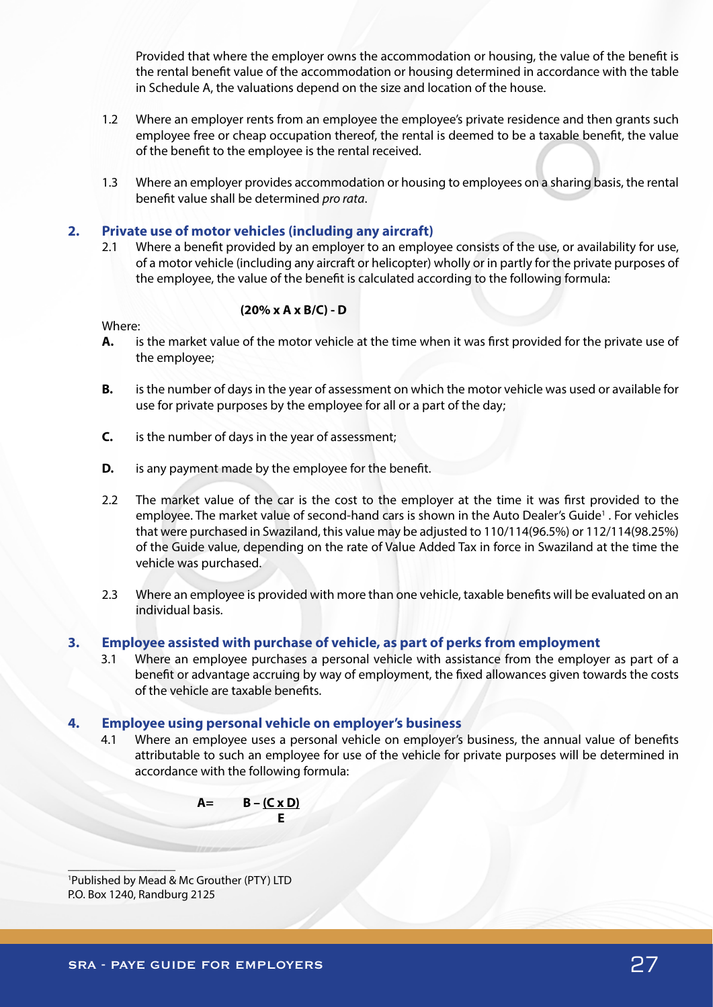Provided that where the employer owns the accommodation or housing, the value of the benefit is the rental benefit value of the accommodation or housing determined in accordance with the table in Schedule A, the valuations depend on the size and location of the house.

- 1.2 Where an employer rents from an employee the employee's private residence and then grants such employee free or cheap occupation thereof, the rental is deemed to be a taxable benefit, the value of the benefit to the employee is the rental received.
- 1.3 Where an employer provides accommodation or housing to employees on a sharing basis, the rental benefit value shall be determined *pro rata*.

## **2. Private use of motor vehicles (including any aircraft)**

2.1 Where a benefit provided by an employer to an employee consists of the use, or availability for use, of a motor vehicle (including any aircraft or helicopter) wholly or in partly for the private purposes of the employee, the value of the benefit is calculated according to the following formula:

## **(20% x A x B/C) - D**

Where:

- **A.** is the market value of the motor vehicle at the time when it was first provided for the private use of the employee;
- **B.** is the number of days in the year of assessment on which the motor vehicle was used or available for use for private purposes by the employee for all or a part of the day;
- **C.** is the number of days in the year of assessment;
- **D.** is any payment made by the employee for the benefit.
- 2.2 The market value of the car is the cost to the employer at the time it was first provided to the employee. The market value of second-hand cars is shown in the Auto Dealer's Guide<sup>1</sup>. For vehicles that were purchased in Swaziland, this value may be adjusted to 110/114(96.5%) or 112/114(98.25%) of the Guide value, depending on the rate of Value Added Tax in force in Swaziland at the time the vehicle was purchased.
- 2.3 Where an employee is provided with more than one vehicle, taxable benefits will be evaluated on an individual basis.

#### **3. Employee assisted with purchase of vehicle, as part of perks from employment**

3.1 Where an employee purchases a personal vehicle with assistance from the employer as part of a benefit or advantage accruing by way of employment, the fixed allowances given towards the costs of the vehicle are taxable benefits.

## **4. Employee using personal vehicle on employer's business**

4.1 Where an employee uses a personal vehicle on employer's business, the annual value of benefits attributable to such an employee for use of the vehicle for private purposes will be determined in accordance with the following formula:



1 Published by Mead & Mc Grouther (PTY) LTD P.O. Box 1240, Randburg 2125

 $\mathcal{L}$  , we can also the set of  $\mathcal{L}$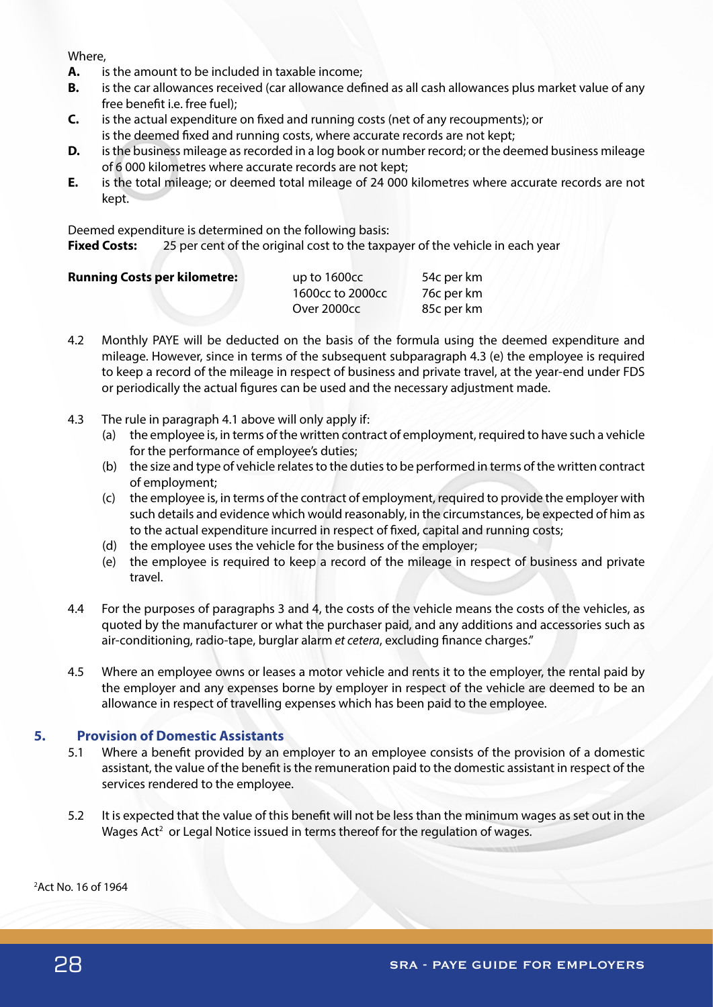#### Where,

- **A.** is the amount to be included in taxable income;
- **B.** is the car allowances received (car allowance defined as all cash allowances plus market value of any free benefit i.e. free fuel);
- **C.** is the actual expenditure on fixed and running costs (net of any recoupments); or is the deemed fixed and running costs, where accurate records are not kept;
- **D.** is the business mileage as recorded in a log book or number record; or the deemed business mileage of 6 000 kilometres where accurate records are not kept;
- **E.** is the total mileage; or deemed total mileage of 24 000 kilometres where accurate records are not kept.

Deemed expenditure is determined on the following basis:

**Fixed Costs:** 25 per cent of the original cost to the taxpayer of the vehicle in each year

| <b>Running Costs per kilometre:</b> | up to 1600cc     | 54c per km |
|-------------------------------------|------------------|------------|
|                                     | 1600cc to 2000cc | 76c per km |
|                                     | Over 2000cc      | 85c per km |

- 4.2 Monthly PAYE will be deducted on the basis of the formula using the deemed expenditure and mileage. However, since in terms of the subsequent subparagraph 4.3 (e) the employee is required to keep a record of the mileage in respect of business and private travel, at the year-end under FDS or periodically the actual figures can be used and the necessary adjustment made.
- 4.3 The rule in paragraph 4.1 above will only apply if:
	- (a) the employee is, in terms of the written contract of employment, required to have such a vehicle for the performance of employee's duties;
	- (b) the size and type of vehicle relates to the duties to be performed in terms of the written contract of employment;
	- (c) the employee is, in terms of the contract of employment, required to provide the employer with such details and evidence which would reasonably, in the circumstances, be expected of him as to the actual expenditure incurred in respect of fixed, capital and running costs;
	- (d) the employee uses the vehicle for the business of the employer;
	- (e) the employee is required to keep a record of the mileage in respect of business and private travel.
- 4.4 For the purposes of paragraphs 3 and 4, the costs of the vehicle means the costs of the vehicles, as quoted by the manufacturer or what the purchaser paid, and any additions and accessories such as air-conditioning, radio-tape, burglar alarm *et cetera*, excluding finance charges."
- 4.5 Where an employee owns or leases a motor vehicle and rents it to the employer, the rental paid by the employer and any expenses borne by employer in respect of the vehicle are deemed to be an allowance in respect of travelling expenses which has been paid to the employee.

# **5. Provision of Domestic Assistants**

- 5.1 Where a benefit provided by an employer to an employee consists of the provision of a domestic assistant, the value of the benefit is the remuneration paid to the domestic assistant in respect of the services rendered to the employee.
- 5.2 It is expected that the value of this benefit will not be less than the minimum wages as set out in the Wages Act<sup>2</sup> or Legal Notice issued in terms thereof for the regulation of wages.

2 Act No. 16 of 1964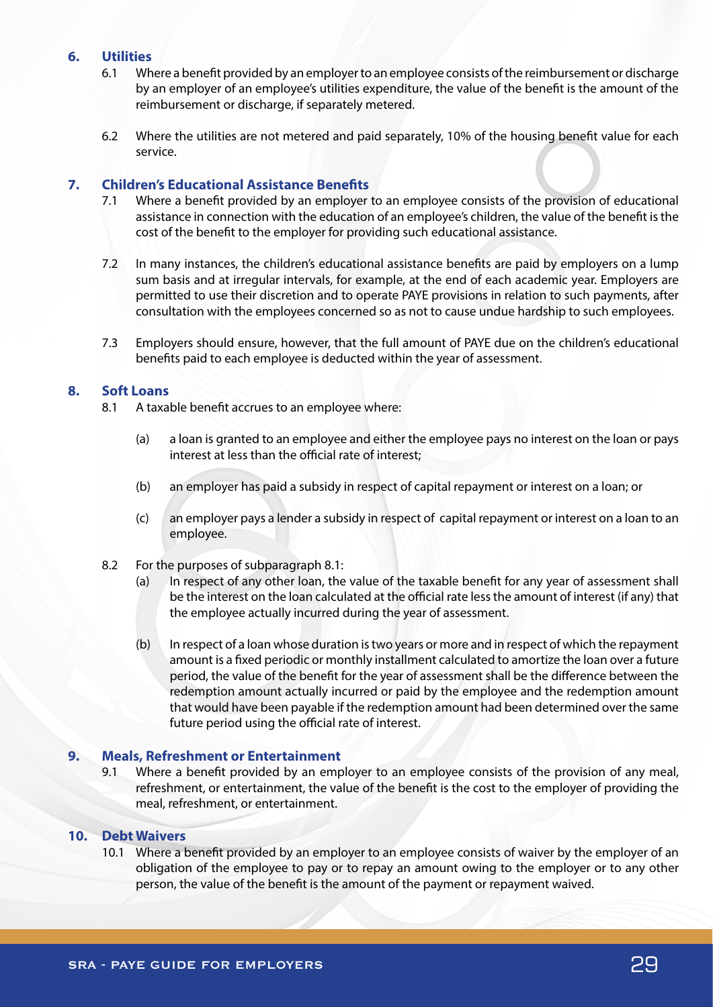## **6. Utilities**

- 6.1 Where a benefit provided by an employer to an employee consists of the reimbursement or discharge by an employer of an employee's utilities expenditure, the value of the benefit is the amount of the reimbursement or discharge, if separately metered.
- 6.2 Where the utilities are not metered and paid separately, 10% of the housing benefit value for each service.

# **7. Children's Educational Assistance Benefits**

- 7.1 Where a benefit provided by an employer to an employee consists of the provision of educational assistance in connection with the education of an employee's children, the value of the benefit is the cost of the benefit to the employer for providing such educational assistance.
- 7.2 In many instances, the children's educational assistance benefits are paid by employers on a lump sum basis and at irregular intervals, for example, at the end of each academic year. Employers are permitted to use their discretion and to operate PAYE provisions in relation to such payments, after consultation with the employees concerned so as not to cause undue hardship to such employees.
- 7.3 Employers should ensure, however, that the full amount of PAYE due on the children's educational benefits paid to each employee is deducted within the year of assessment.

# **8. Soft Loans**

- 8.1 A taxable benefit accrues to an employee where:
	- (a) a loan is granted to an employee and either the employee pays no interest on the loan or pays interest at less than the official rate of interest;
	- (b) an employer has paid a subsidy in respect of capital repayment or interest on a loan; or
	- (c) an employer pays a lender a subsidy in respect of capital repayment or interest on a loan to an employee.
- 8.2 For the purposes of subparagraph 8.1:
	- (a) In respect of any other loan, the value of the taxable benefit for any year of assessment shall be the interest on the loan calculated at the official rate less the amount of interest (if any) that the employee actually incurred during the year of assessment.
	- (b) In respect of a loan whose duration is two years or more and in respect of which the repayment amount is a fixed periodic or monthly installment calculated to amortize the loan over a future period, the value of the benefit for the year of assessment shall be the difference between the redemption amount actually incurred or paid by the employee and the redemption amount that would have been payable if the redemption amount had been determined over the same future period using the official rate of interest.

# **9. Meals, Refreshment or Entertainment**

9.1 Where a benefit provided by an employer to an employee consists of the provision of any meal, refreshment, or entertainment, the value of the benefit is the cost to the employer of providing the meal, refreshment, or entertainment.

## **10. Debt Waivers**

10.1 Where a benefit provided by an employer to an employee consists of waiver by the employer of an obligation of the employee to pay or to repay an amount owing to the employer or to any other person, the value of the benefit is the amount of the payment or repayment waived.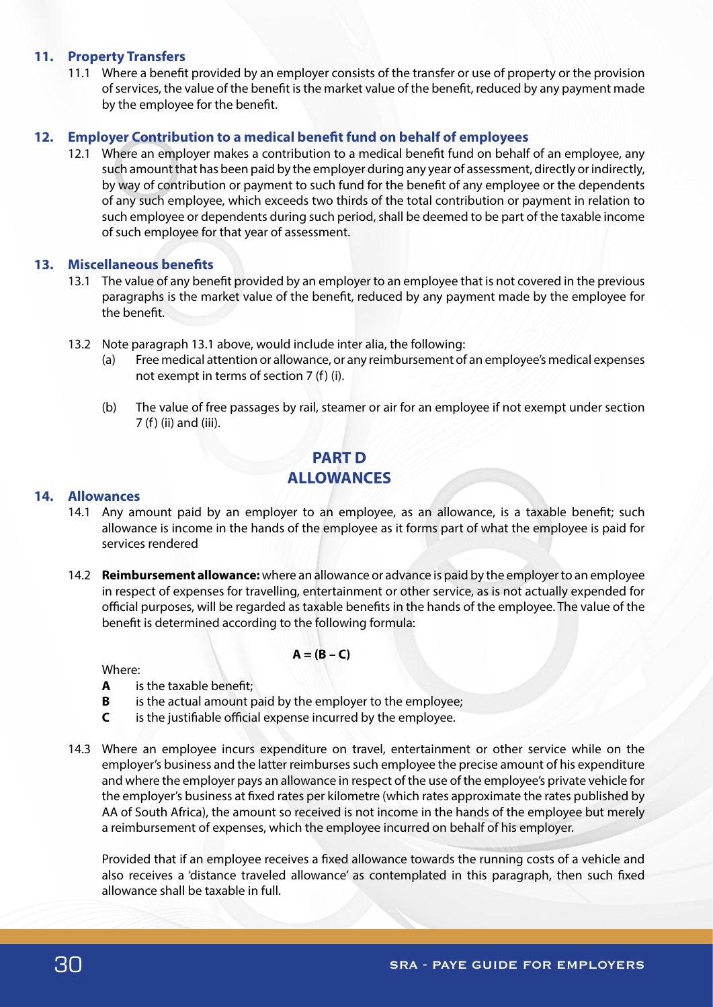## **11. Property Transfers**

11.1 Where a benefit provided by an employer consists of the transfer or use of property or the provision of services, the value of the benefit is the market value of the benefit, reduced by any payment made by the employee for the benefit.

## **12. Employer Contribution to a medical benefit fund on behalf of employees**

12.1 Where an employer makes a contribution to a medical benefit fund on behalf of an employee, any such amount that has been paid by the employer during any year of assessment, directly or indirectly, by way of contribution or payment to such fund for the benefit of any employee or the dependents of any such employee, which exceeds two thirds of the total contribution or payment in relation to such employee or dependents during such period, shall be deemed to be part of the taxable income of such employee for that year of assessment.

## **13. Miscellaneous benefits**

- 13.1 The value of any benefit provided by an employer to an employee that is not covered in the previous paragraphs is the market value of the benefit, reduced by any payment made by the employee for the benefit.
- 13.2 Note paragraph 13.1 above, would include inter alia, the following:
	- (a) Free medical attention or allowance, or any reimbursement of an employee's medical expenses not exempt in terms of section 7 (f) (i).
	- (b) The value of free passages by rail, steamer or air for an employee if not exempt under section 7 (f) (ii) and (iii).

# **PART D ALLOWANCES**

## **14. Allowances**

- 14.1 Any amount paid by an employer to an employee, as an allowance, is a taxable benefit; such allowance is income in the hands of the employee as it forms part of what the employee is paid for services rendered
- 14.2 **Reimbursement allowance:** where an allowance or advance is paid by the employer to an employee in respect of expenses for travelling, entertainment or other service, as is not actually expended for official purposes, will be regarded as taxable benefits in the hands of the employee. The value of the benefit is determined according to the following formula:

## $A = (B - C)$

Where:

- **A** is the taxable benefit;
- **B** is the actual amount paid by the employer to the employee;
- **C** is the justifiable official expense incurred by the employee.
- 14.3 Where an employee incurs expenditure on travel, entertainment or other service while on the employer's business and the latter reimburses such employee the precise amount of his expenditure and where the employer pays an allowance in respect of the use of the employee's private vehicle for the employer's business at fixed rates per kilometre (which rates approximate the rates published by AA of South Africa), the amount so received is not income in the hands of the employee but merely a reimbursement of expenses, which the employee incurred on behalf of his employer.

Provided that if an employee receives a fixed allowance towards the running costs of a vehicle and also receives a 'distance traveled allowance' as contemplated in this paragraph, then such fixed allowance shall be taxable in full.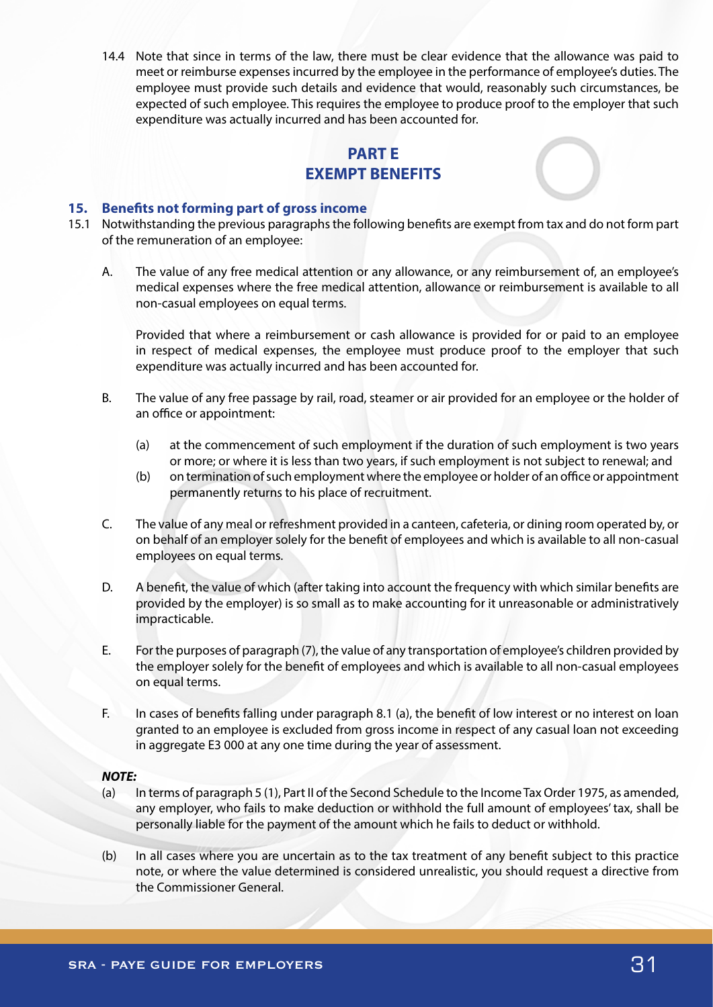14.4 Note that since in terms of the law, there must be clear evidence that the allowance was paid to meet or reimburse expenses incurred by the employee in the performance of employee's duties. The employee must provide such details and evidence that would, reasonably such circumstances, be expected of such employee. This requires the employee to produce proof to the employer that such expenditure was actually incurred and has been accounted for.

# **PART E EXEMPT BENEFITS**

## **15. Benefits not forming part of gross income**

- 15.1 Notwithstanding the previous paragraphs the following benefits are exempt from tax and do not form part of the remuneration of an employee:
	- A. The value of any free medical attention or any allowance, or any reimbursement of, an employee's medical expenses where the free medical attention, allowance or reimbursement is available to all non-casual employees on equal terms.

Provided that where a reimbursement or cash allowance is provided for or paid to an employee in respect of medical expenses, the employee must produce proof to the employer that such expenditure was actually incurred and has been accounted for.

- B. The value of any free passage by rail, road, steamer or air provided for an employee or the holder of an office or appointment:
	- (a) at the commencement of such employment if the duration of such employment is two years or more; or where it is less than two years, if such employment is not subject to renewal; and
	- (b) on termination of such employment where the employee or holder of an office or appointment permanently returns to his place of recruitment.
- C. The value of any meal or refreshment provided in a canteen, cafeteria, or dining room operated by, or on behalf of an employer solely for the benefit of employees and which is available to all non-casual employees on equal terms.
- D. A benefit, the value of which (after taking into account the frequency with which similar benefits are provided by the employer) is so small as to make accounting for it unreasonable or administratively impracticable.
- E. For the purposes of paragraph (7), the value of any transportation of employee's children provided by the employer solely for the benefit of employees and which is available to all non-casual employees on equal terms.
- F. In cases of benefits falling under paragraph 8.1 (a), the benefit of low interest or no interest on loan granted to an employee is excluded from gross income in respect of any casual loan not exceeding in aggregate E3 000 at any one time during the year of assessment.

## *NOTE:*

- (a) In terms of paragraph 5 (1), Part II of the Second Schedule to the Income Tax Order 1975, as amended, any employer, who fails to make deduction or withhold the full amount of employees' tax, shall be personally liable for the payment of the amount which he fails to deduct or withhold.
- (b) In all cases where you are uncertain as to the tax treatment of any benefit subject to this practice note, or where the value determined is considered unrealistic, you should request a directive from the Commissioner General.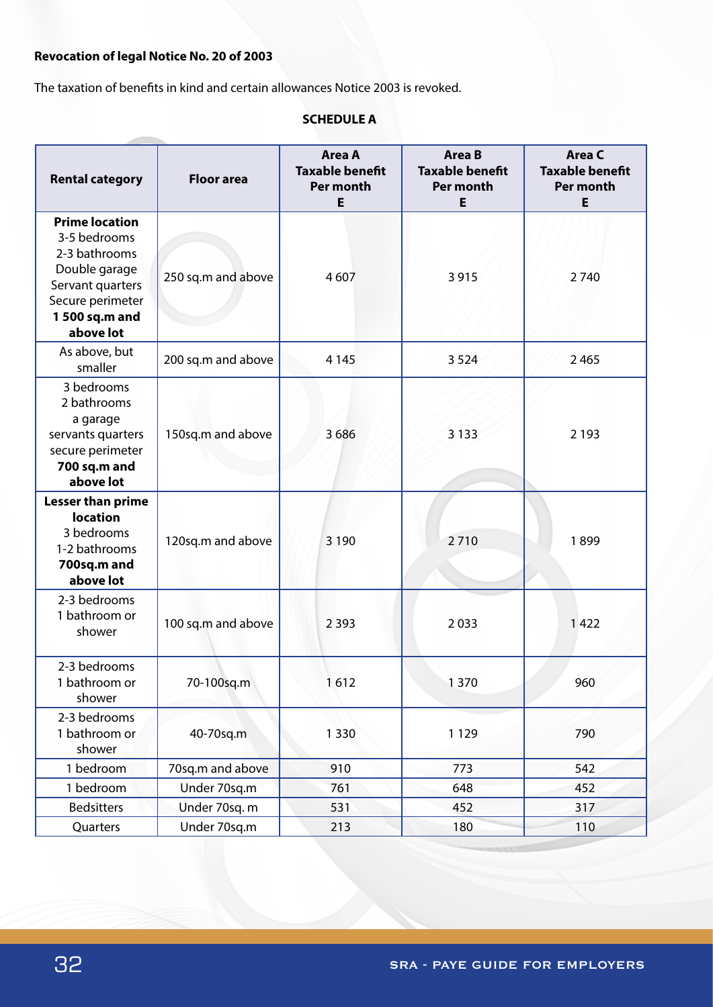# **Revocation of legal Notice No. 20 of 2003**

The taxation of benefits in kind and certain allowances Notice 2003 is revoked.

# **SCHEDULE A**

| <b>Rental category</b>                                                                                                                         | <b>Floor area</b>  | <b>Area A</b><br><b>Taxable benefit</b><br>Per month<br>E | <b>Area B</b><br><b>Taxable benefit</b><br>Per month<br>E | Area C<br><b>Taxable benefit</b><br>Per month<br>E |
|------------------------------------------------------------------------------------------------------------------------------------------------|--------------------|-----------------------------------------------------------|-----------------------------------------------------------|----------------------------------------------------|
| <b>Prime location</b><br>3-5 bedrooms<br>2-3 bathrooms<br>Double garage<br>Servant quarters<br>Secure perimeter<br>1 500 sq.m and<br>above lot | 250 sq.m and above | 4607                                                      | 3915                                                      | 2740                                               |
| As above, but<br>smaller                                                                                                                       | 200 sq.m and above | 4 1 4 5                                                   | 3 5 2 4                                                   | 2 4 6 5                                            |
| 3 bedrooms<br>2 bathrooms<br>a garage<br>servants quarters<br>secure perimeter<br>700 sq.m and<br>above lot                                    | 150sq.m and above  | 3686                                                      | 3 1 3 3                                                   | 2 1 9 3                                            |
| <b>Lesser than prime</b><br><b>location</b><br>3 bedrooms<br>1-2 bathrooms<br>700sq.m and<br>above lot                                         | 120sq.m and above  | 3 1 9 0                                                   | 2710                                                      | 1899                                               |
| 2-3 bedrooms<br>1 bathroom or<br>shower                                                                                                        | 100 sq.m and above | 2 3 9 3                                                   | 2033                                                      | 1422                                               |
| 2-3 bedrooms<br>1 bathroom or<br>shower                                                                                                        | 70-100sq.m         | 1612                                                      | 1370                                                      | 960                                                |
| 2-3 bedrooms<br>1 bathroom or<br>shower                                                                                                        | 40-70sq.m          | 1 3 3 0                                                   | 1 1 2 9                                                   | 790                                                |
| 1 bedroom                                                                                                                                      | 70sq.m and above   | 910                                                       | 773                                                       | 542                                                |
| 1 bedroom                                                                                                                                      | Under 70sq.m       | 761                                                       | 648                                                       | 452                                                |
| <b>Bedsitters</b>                                                                                                                              | Under 70sq. m      | 531                                                       | 452                                                       | 317                                                |
| Quarters                                                                                                                                       | Under 70sq.m       | 213                                                       | 180                                                       | 110                                                |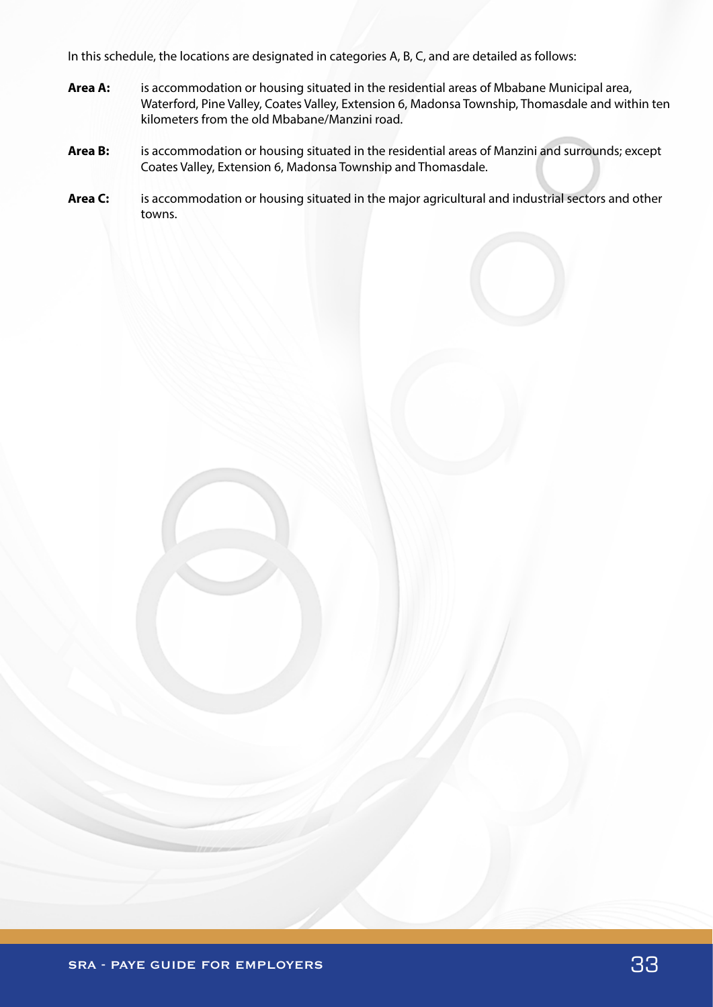In this schedule, the locations are designated in categories A, B, C, and are detailed as follows:

- **Area A:** is accommodation or housing situated in the residential areas of Mbabane Municipal area, Waterford, Pine Valley, Coates Valley, Extension 6, Madonsa Township, Thomasdale and within ten kilometers from the old Mbabane/Manzini road.
- **Area B:** is accommodation or housing situated in the residential areas of Manzini and surrounds; except Coates Valley, Extension 6, Madonsa Township and Thomasdale.
- **Area C:** is accommodation or housing situated in the major agricultural and industrial sectors and other towns.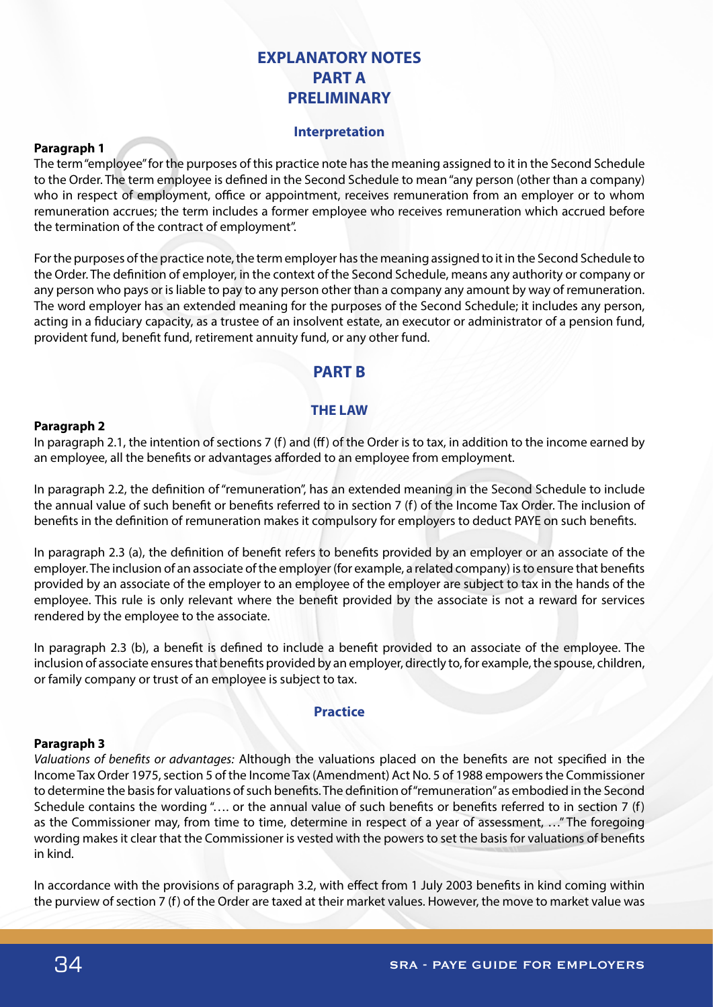# **EXPLANATORY NOTES PART A PRELIMINARY**

## **Interpretation**

## **Paragraph 1**

The term "employee" for the purposes of this practice note has the meaning assigned to it in the Second Schedule to the Order. The term employee is defined in the Second Schedule to mean "any person (other than a company) who in respect of employment, office or appointment, receives remuneration from an employer or to whom remuneration accrues; the term includes a former employee who receives remuneration which accrued before the termination of the contract of employment".

For the purposes of the practice note, the term employer has the meaning assigned to it in the Second Schedule to the Order. The definition of employer, in the context of the Second Schedule, means any authority or company or any person who pays or is liable to pay to any person other than a company any amount by way of remuneration. The word employer has an extended meaning for the purposes of the Second Schedule; it includes any person, acting in a fiduciary capacity, as a trustee of an insolvent estate, an executor or administrator of a pension fund, provident fund, benefit fund, retirement annuity fund, or any other fund.

# **PART B**

## **THE LAW**

#### **Paragraph 2**

In paragraph 2.1, the intention of sections 7 (f) and (ff) of the Order is to tax, in addition to the income earned by an employee, all the benefits or advantages afforded to an employee from employment.

In paragraph 2.2, the definition of "remuneration", has an extended meaning in the Second Schedule to include the annual value of such benefit or benefits referred to in section 7 (f) of the Income Tax Order. The inclusion of benefits in the definition of remuneration makes it compulsory for employers to deduct PAYE on such benefits.

In paragraph 2.3 (a), the definition of benefit refers to benefits provided by an employer or an associate of the employer. The inclusion of an associate of the employer (for example, a related company) is to ensure that benefits provided by an associate of the employer to an employee of the employer are subject to tax in the hands of the employee. This rule is only relevant where the benefit provided by the associate is not a reward for services rendered by the employee to the associate.

In paragraph 2.3 (b), a benefit is defined to include a benefit provided to an associate of the employee. The inclusion of associate ensures that benefits provided by an employer, directly to, for example, the spouse, children, or family company or trust of an employee is subject to tax.

#### **Practice**

#### **Paragraph 3**

*Valuations of benefits or advantages:* Although the valuations placed on the benefits are not specified in the Income Tax Order 1975, section 5 of the Income Tax (Amendment) Act No. 5 of 1988 empowers the Commissioner to determine the basis for valuations of such benefits. The definition of "remuneration" as embodied in the Second Schedule contains the wording "…. or the annual value of such benefits or benefits referred to in section 7 (f) as the Commissioner may, from time to time, determine in respect of a year of assessment, …" The foregoing wording makes it clear that the Commissioner is vested with the powers to set the basis for valuations of benefits in kind.

In accordance with the provisions of paragraph 3.2, with effect from 1 July 2003 benefits in kind coming within the purview of section 7 (f) of the Order are taxed at their market values. However, the move to market value was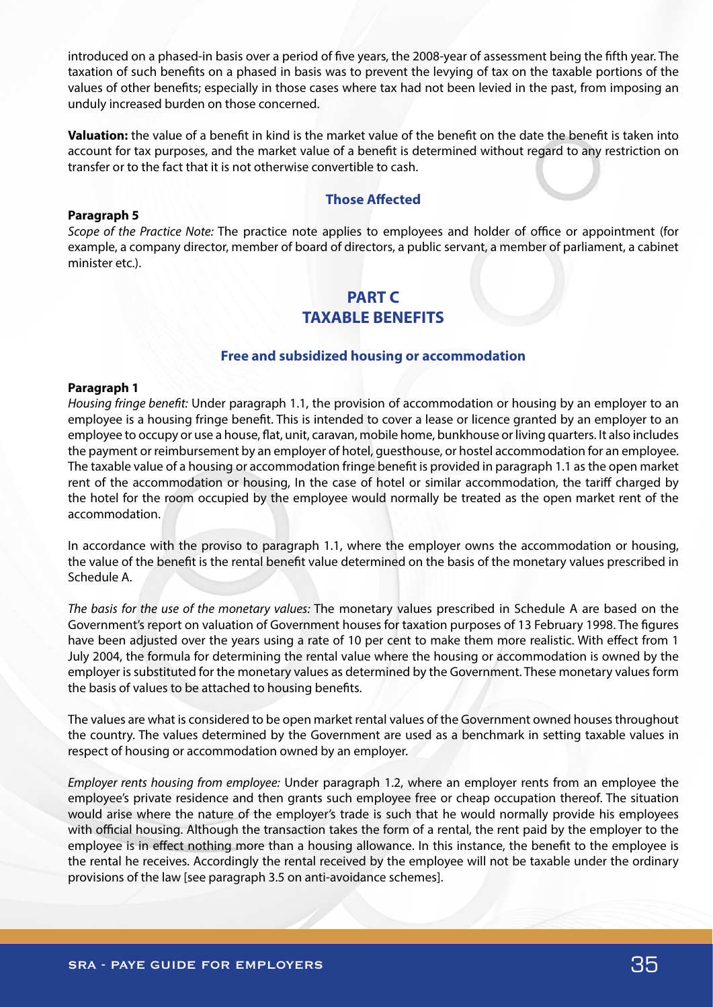introduced on a phased-in basis over a period of five years, the 2008-year of assessment being the fifth year. The taxation of such benefits on a phased in basis was to prevent the levying of tax on the taxable portions of the values of other benefits; especially in those cases where tax had not been levied in the past, from imposing an unduly increased burden on those concerned.

**Valuation:** the value of a benefit in kind is the market value of the benefit on the date the benefit is taken into account for tax purposes, and the market value of a benefit is determined without regard to any restriction on transfer or to the fact that it is not otherwise convertible to cash.

# **Those Affected**

#### **Paragraph 5**

*Scope of the Practice Note:* The practice note applies to employees and holder of office or appointment (for example, a company director, member of board of directors, a public servant, a member of parliament, a cabinet minister etc.).

# **PART C TAXABLE BENEFITS**

## **Free and subsidized housing or accommodation**

#### **Paragraph 1**

*Housing fringe benefit:* Under paragraph 1.1, the provision of accommodation or housing by an employer to an employee is a housing fringe benefit. This is intended to cover a lease or licence granted by an employer to an employee to occupy or use a house, flat, unit, caravan, mobile home, bunkhouse or living quarters. It also includes the payment or reimbursement by an employer of hotel, guesthouse, or hostel accommodation for an employee. The taxable value of a housing or accommodation fringe benefit is provided in paragraph 1.1 as the open market rent of the accommodation or housing, In the case of hotel or similar accommodation, the tariff charged by the hotel for the room occupied by the employee would normally be treated as the open market rent of the accommodation.

In accordance with the proviso to paragraph 1.1, where the employer owns the accommodation or housing, the value of the benefit is the rental benefit value determined on the basis of the monetary values prescribed in Schedule A.

*The basis for the use of the monetary values:* The monetary values prescribed in Schedule A are based on the Government's report on valuation of Government houses for taxation purposes of 13 February 1998. The figures have been adjusted over the years using a rate of 10 per cent to make them more realistic. With effect from 1 July 2004, the formula for determining the rental value where the housing or accommodation is owned by the employer is substituted for the monetary values as determined by the Government. These monetary values form the basis of values to be attached to housing benefits.

The values are what is considered to be open market rental values of the Government owned houses throughout the country. The values determined by the Government are used as a benchmark in setting taxable values in respect of housing or accommodation owned by an employer.

*Employer rents housing from employee:* Under paragraph 1.2, where an employer rents from an employee the employee's private residence and then grants such employee free or cheap occupation thereof. The situation would arise where the nature of the employer's trade is such that he would normally provide his employees with official housing. Although the transaction takes the form of a rental, the rent paid by the employer to the employee is in effect nothing more than a housing allowance. In this instance, the benefit to the employee is the rental he receives. Accordingly the rental received by the employee will not be taxable under the ordinary provisions of the law [see paragraph 3.5 on anti-avoidance schemes].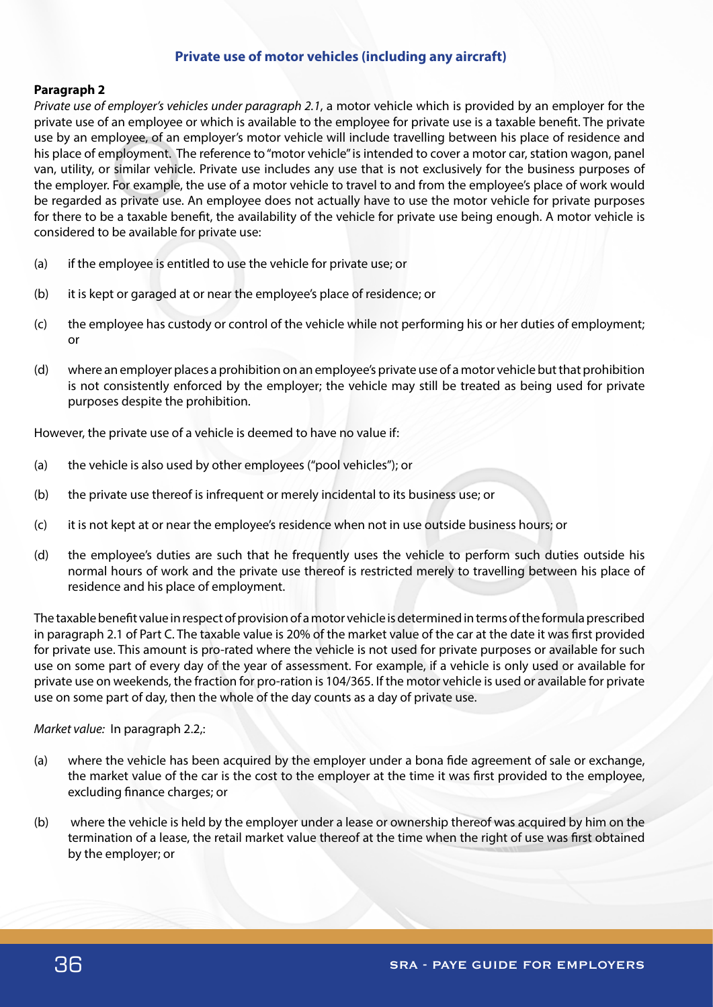# **Private use of motor vehicles (including any aircraft)**

## **Paragraph 2**

*Private use of employer's vehicles under paragraph 2.1*, a motor vehicle which is provided by an employer for the private use of an employee or which is available to the employee for private use is a taxable benefit. The private use by an employee, of an employer's motor vehicle will include travelling between his place of residence and his place of employment. The reference to "motor vehicle" is intended to cover a motor car, station wagon, panel van, utility, or similar vehicle. Private use includes any use that is not exclusively for the business purposes of the employer. For example, the use of a motor vehicle to travel to and from the employee's place of work would be regarded as private use. An employee does not actually have to use the motor vehicle for private purposes for there to be a taxable benefit, the availability of the vehicle for private use being enough. A motor vehicle is considered to be available for private use:

- (a) if the employee is entitled to use the vehicle for private use; or
- (b) it is kept or garaged at or near the employee's place of residence; or
- (c) the employee has custody or control of the vehicle while not performing his or her duties of employment; or
- (d) where an employer places a prohibition on an employee's private use of a motor vehicle but that prohibition is not consistently enforced by the employer; the vehicle may still be treated as being used for private purposes despite the prohibition.

However, the private use of a vehicle is deemed to have no value if:

- (a) the vehicle is also used by other employees ("pool vehicles"); or
- (b) the private use thereof is infrequent or merely incidental to its business use; or
- (c) it is not kept at or near the employee's residence when not in use outside business hours; or
- (d) the employee's duties are such that he frequently uses the vehicle to perform such duties outside his normal hours of work and the private use thereof is restricted merely to travelling between his place of residence and his place of employment.

The taxable benefit value in respect of provision of a motor vehicle is determined in terms of the formula prescribed in paragraph 2.1 of Part C. The taxable value is 20% of the market value of the car at the date it was first provided for private use. This amount is pro-rated where the vehicle is not used for private purposes or available for such use on some part of every day of the year of assessment. For example, if a vehicle is only used or available for private use on weekends, the fraction for pro-ration is 104/365. If the motor vehicle is used or available for private use on some part of day, then the whole of the day counts as a day of private use.

*Market value:* In paragraph 2.2,:

- (a) where the vehicle has been acquired by the employer under a bona fide agreement of sale or exchange, the market value of the car is the cost to the employer at the time it was first provided to the employee, excluding finance charges; or
- (b) where the vehicle is held by the employer under a lease or ownership thereof was acquired by him on the termination of a lease, the retail market value thereof at the time when the right of use was first obtained by the employer; or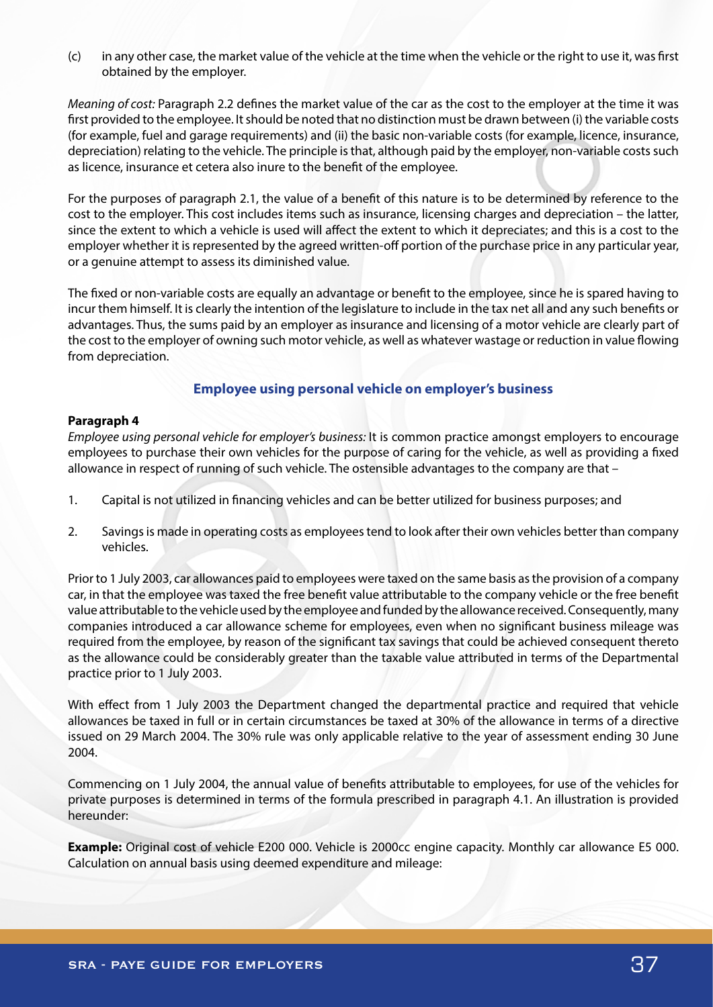(c) in any other case, the market value of the vehicle at the time when the vehicle or the right to use it, was first obtained by the employer.

*Meaning of cost:* Paragraph 2.2 defines the market value of the car as the cost to the employer at the time it was first provided to the employee. It should be noted that no distinction must be drawn between (i) the variable costs (for example, fuel and garage requirements) and (ii) the basic non-variable costs (for example, licence, insurance, depreciation) relating to the vehicle. The principle is that, although paid by the employer, non-variable costs such as licence, insurance et cetera also inure to the benefit of the employee.

For the purposes of paragraph 2.1, the value of a benefit of this nature is to be determined by reference to the cost to the employer. This cost includes items such as insurance, licensing charges and depreciation – the latter, since the extent to which a vehicle is used will affect the extent to which it depreciates; and this is a cost to the employer whether it is represented by the agreed written-off portion of the purchase price in any particular year, or a genuine attempt to assess its diminished value.

The fixed or non-variable costs are equally an advantage or benefit to the employee, since he is spared having to incur them himself. It is clearly the intention of the legislature to include in the tax net all and any such benefits or advantages. Thus, the sums paid by an employer as insurance and licensing of a motor vehicle are clearly part of the cost to the employer of owning such motor vehicle, as well as whatever wastage or reduction in value flowing from depreciation.

# **Employee using personal vehicle on employer's business**

## **Paragraph 4**

*Employee using personal vehicle for employer's business:* It is common practice amongst employers to encourage employees to purchase their own vehicles for the purpose of caring for the vehicle, as well as providing a fixed allowance in respect of running of such vehicle. The ostensible advantages to the company are that –

- 1. Capital is not utilized in financing vehicles and can be better utilized for business purposes; and
- 2. Savings is made in operating costs as employees tend to look after their own vehicles better than company vehicles.

Prior to 1 July 2003, car allowances paid to employees were taxed on the same basis as the provision of a company car, in that the employee was taxed the free benefit value attributable to the company vehicle or the free benefit value attributable to the vehicle used by the employee and funded by the allowance received. Consequently, many companies introduced a car allowance scheme for employees, even when no significant business mileage was required from the employee, by reason of the significant tax savings that could be achieved consequent thereto as the allowance could be considerably greater than the taxable value attributed in terms of the Departmental practice prior to 1 July 2003.

With effect from 1 July 2003 the Department changed the departmental practice and required that vehicle allowances be taxed in full or in certain circumstances be taxed at 30% of the allowance in terms of a directive issued on 29 March 2004. The 30% rule was only applicable relative to the year of assessment ending 30 June 2004.

Commencing on 1 July 2004, the annual value of benefits attributable to employees, for use of the vehicles for private purposes is determined in terms of the formula prescribed in paragraph 4.1. An illustration is provided hereunder:

**Example:** Original cost of vehicle E200 000. Vehicle is 2000cc engine capacity. Monthly car allowance E5 000. Calculation on annual basis using deemed expenditure and mileage: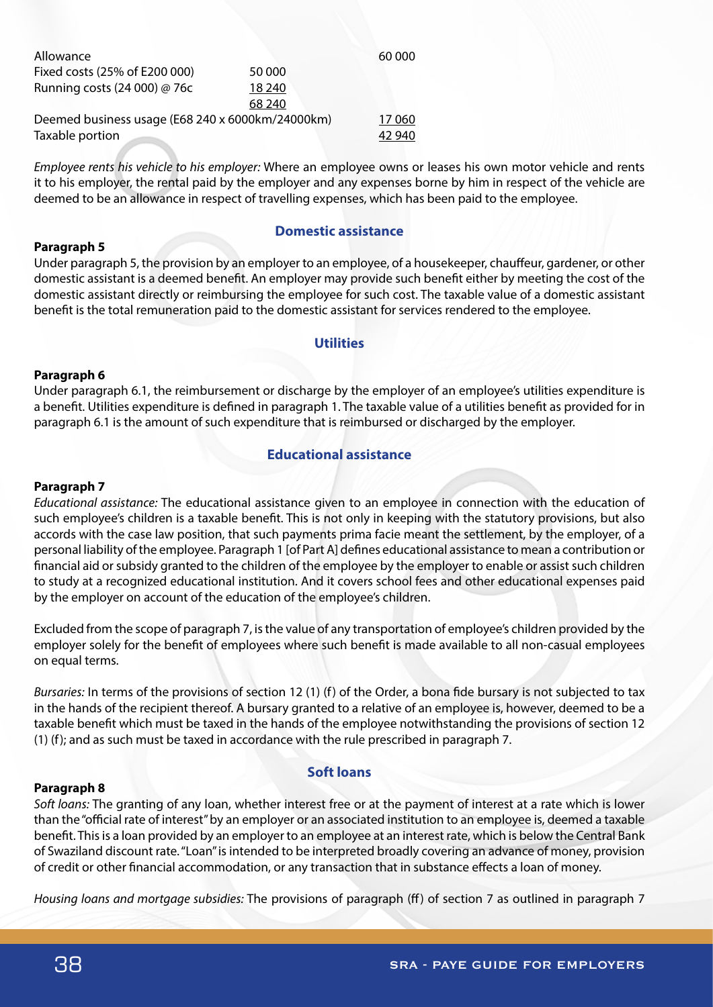| Allowance                                        |        | 60 000 |
|--------------------------------------------------|--------|--------|
| Fixed costs (25% of E200 000)                    | 50 000 |        |
| Running costs (24 000) @ 76c                     | 18 240 |        |
|                                                  | 68 240 |        |
| Deemed business usage (E68 240 x 6000km/24000km) |        | 17060  |
| Taxable portion                                  |        | 42 940 |

*Employee rents his vehicle to his employer:* Where an employee owns or leases his own motor vehicle and rents it to his employer, the rental paid by the employer and any expenses borne by him in respect of the vehicle are deemed to be an allowance in respect of travelling expenses, which has been paid to the employee.

#### **Paragraph 5**

## **Domestic assistance**

Under paragraph 5, the provision by an employer to an employee, of a housekeeper, chauffeur, gardener, or other domestic assistant is a deemed benefit. An employer may provide such benefit either by meeting the cost of the domestic assistant directly or reimbursing the employee for such cost. The taxable value of a domestic assistant benefit is the total remuneration paid to the domestic assistant for services rendered to the employee.

## **Utilities**

## **Paragraph 6**

Under paragraph 6.1, the reimbursement or discharge by the employer of an employee's utilities expenditure is a benefit. Utilities expenditure is defined in paragraph 1. The taxable value of a utilities benefit as provided for in paragraph 6.1 is the amount of such expenditure that is reimbursed or discharged by the employer.

## **Educational assistance**

#### **Paragraph 7**

*Educational assistance:* The educational assistance given to an employee in connection with the education of such employee's children is a taxable benefit. This is not only in keeping with the statutory provisions, but also accords with the case law position, that such payments prima facie meant the settlement, by the employer, of a personal liability of the employee. Paragraph 1 [of Part A] defines educational assistance to mean a contribution or financial aid or subsidy granted to the children of the employee by the employer to enable or assist such children to study at a recognized educational institution. And it covers school fees and other educational expenses paid by the employer on account of the education of the employee's children.

Excluded from the scope of paragraph 7, is the value of any transportation of employee's children provided by the employer solely for the benefit of employees where such benefit is made available to all non-casual employees on equal terms.

*Bursaries:* In terms of the provisions of section 12 (1) (f) of the Order, a bona fide bursary is not subjected to tax in the hands of the recipient thereof. A bursary granted to a relative of an employee is, however, deemed to be a taxable benefit which must be taxed in the hands of the employee notwithstanding the provisions of section 12 (1) (f); and as such must be taxed in accordance with the rule prescribed in paragraph 7.

#### **Paragraph 8**

#### **Soft loans**

*Soft loans:* The granting of any loan, whether interest free or at the payment of interest at a rate which is lower than the "official rate of interest" by an employer or an associated institution to an employee is, deemed a taxable benefit. This is a loan provided by an employer to an employee at an interest rate, which is below the Central Bank of Swaziland discount rate. "Loan" is intended to be interpreted broadly covering an advance of money, provision of credit or other financial accommodation, or any transaction that in substance effects a loan of money.

*Housing loans and mortgage subsidies:* The provisions of paragraph (ff) of section 7 as outlined in paragraph 7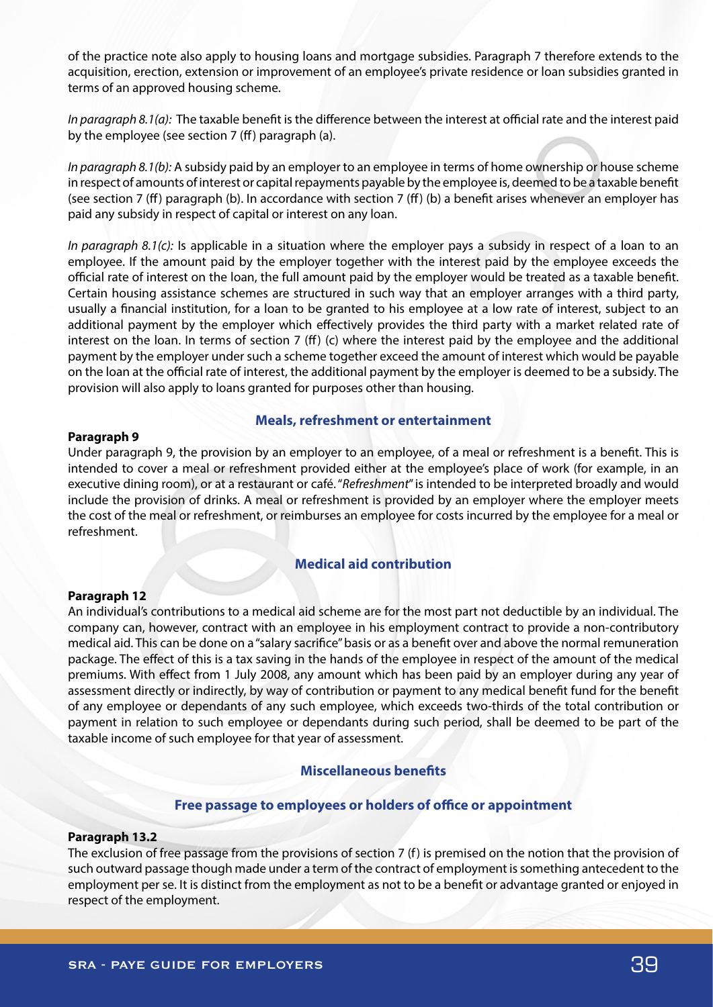of the practice note also apply to housing loans and mortgage subsidies. Paragraph 7 therefore extends to the acquisition, erection, extension or improvement of an employee's private residence or loan subsidies granted in terms of an approved housing scheme.

*In paragraph 8.1(a):* The taxable benefit is the difference between the interest at official rate and the interest paid by the employee (see section 7 (ff) paragraph (a).

*In paragraph 8.1(b):* A subsidy paid by an employer to an employee in terms of home ownership or house scheme in respect of amounts of interest or capital repayments payable by the employee is, deemed to be a taxable benefit (see section 7 (ff) paragraph (b). In accordance with section 7 (ff) (b) a benefit arises whenever an employer has paid any subsidy in respect of capital or interest on any loan.

*In paragraph 8.1(c):* Is applicable in a situation where the employer pays a subsidy in respect of a loan to an employee. If the amount paid by the employer together with the interest paid by the employee exceeds the official rate of interest on the loan, the full amount paid by the employer would be treated as a taxable benefit. Certain housing assistance schemes are structured in such way that an employer arranges with a third party, usually a financial institution, for a loan to be granted to his employee at a low rate of interest, subject to an additional payment by the employer which effectively provides the third party with a market related rate of interest on the loan. In terms of section 7 (ff) (c) where the interest paid by the employee and the additional payment by the employer under such a scheme together exceed the amount of interest which would be payable on the loan at the official rate of interest, the additional payment by the employer is deemed to be a subsidy. The provision will also apply to loans granted for purposes other than housing.

#### **Paragraph 9**

#### **Meals, refreshment or entertainment**

Under paragraph 9, the provision by an employer to an employee, of a meal or refreshment is a benefit. This is intended to cover a meal or refreshment provided either at the employee's place of work (for example, in an executive dining room), or at a restaurant or café. "*Refreshment*" is intended to be interpreted broadly and would include the provision of drinks. A meal or refreshment is provided by an employer where the employer meets the cost of the meal or refreshment, or reimburses an employee for costs incurred by the employee for a meal or refreshment.

# **Medical aid contribution**

#### **Paragraph 12**

An individual's contributions to a medical aid scheme are for the most part not deductible by an individual. The company can, however, contract with an employee in his employment contract to provide a non-contributory medical aid. This can be done on a "salary sacrifice" basis or as a benefit over and above the normal remuneration package. The effect of this is a tax saving in the hands of the employee in respect of the amount of the medical premiums. With effect from 1 July 2008, any amount which has been paid by an employer during any year of assessment directly or indirectly, by way of contribution or payment to any medical benefit fund for the benefit of any employee or dependants of any such employee, which exceeds two-thirds of the total contribution or payment in relation to such employee or dependants during such period, shall be deemed to be part of the taxable income of such employee for that year of assessment.

# **Miscellaneous benefits**

## **Free passage to employees or holders of office or appointment**

#### **Paragraph 13.2**

The exclusion of free passage from the provisions of section 7 (f) is premised on the notion that the provision of such outward passage though made under a term of the contract of employment is something antecedent to the employment per se. It is distinct from the employment as not to be a benefit or advantage granted or enjoyed in respect of the employment.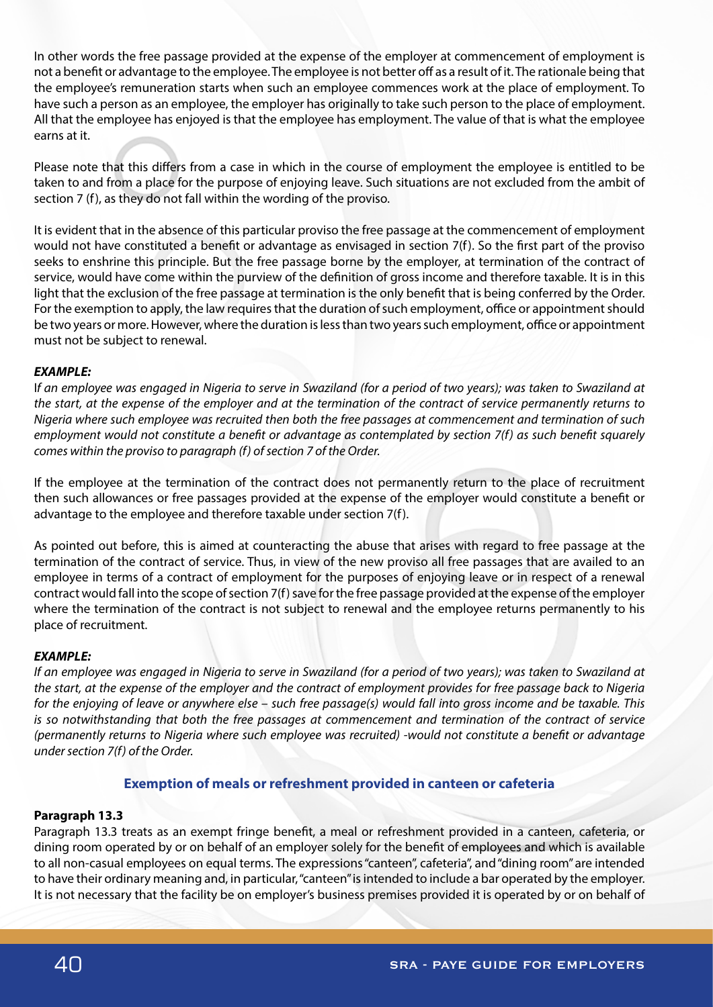In other words the free passage provided at the expense of the employer at commencement of employment is not a benefit or advantage to the employee. The employee is not better off as a result of it. The rationale being that the employee's remuneration starts when such an employee commences work at the place of employment. To have such a person as an employee, the employer has originally to take such person to the place of employment. All that the employee has enjoyed is that the employee has employment. The value of that is what the employee earns at it.

Please note that this differs from a case in which in the course of employment the employee is entitled to be taken to and from a place for the purpose of enjoying leave. Such situations are not excluded from the ambit of section 7 (f), as they do not fall within the wording of the proviso.

It is evident that in the absence of this particular proviso the free passage at the commencement of employment would not have constituted a benefit or advantage as envisaged in section 7(f). So the first part of the proviso seeks to enshrine this principle. But the free passage borne by the employer, at termination of the contract of service, would have come within the purview of the definition of gross income and therefore taxable. It is in this light that the exclusion of the free passage at termination is the only benefit that is being conferred by the Order. For the exemption to apply, the law requires that the duration of such employment, office or appointment should be two years or more. However, where the duration is less than two years such employment, office or appointment must not be subject to renewal.

## *EXAMPLE:*

I*f an employee was engaged in Nigeria to serve in Swaziland (for a period of two years); was taken to Swaziland at the start, at the expense of the employer and at the termination of the contract of service permanently returns to Nigeria where such employee was recruited then both the free passages at commencement and termination of such employment would not constitute a benefit or advantage as contemplated by section 7(f) as such benefit squarely comes within the proviso to paragraph (f) of section 7 of the Order.*

If the employee at the termination of the contract does not permanently return to the place of recruitment then such allowances or free passages provided at the expense of the employer would constitute a benefit or advantage to the employee and therefore taxable under section 7(f).

As pointed out before, this is aimed at counteracting the abuse that arises with regard to free passage at the termination of the contract of service. Thus, in view of the new proviso all free passages that are availed to an employee in terms of a contract of employment for the purposes of enjoying leave or in respect of a renewal contract would fall into the scope of section 7(f) save for the free passage provided at the expense of the employer where the termination of the contract is not subject to renewal and the employee returns permanently to his place of recruitment.

# *EXAMPLE:*

*If an employee was engaged in Nigeria to serve in Swaziland (for a period of two years); was taken to Swaziland at the start, at the expense of the employer and the contract of employment provides for free passage back to Nigeria for the enjoying of leave or anywhere else – such free passage(s) would fall into gross income and be taxable. This is so notwithstanding that both the free passages at commencement and termination of the contract of service (permanently returns to Nigeria where such employee was recruited) -would not constitute a benefit or advantage under section 7(f) of the Order.* 

# **Exemption of meals or refreshment provided in canteen or cafeteria**

## **Paragraph 13.3**

Paragraph 13.3 treats as an exempt fringe benefit, a meal or refreshment provided in a canteen, cafeteria, or dining room operated by or on behalf of an employer solely for the benefit of employees and which is available to all non-casual employees on equal terms. The expressions "canteen", cafeteria", and "dining room" are intended to have their ordinary meaning and, in particular, "canteen" is intended to include a bar operated by the employer. It is not necessary that the facility be on employer's business premises provided it is operated by or on behalf of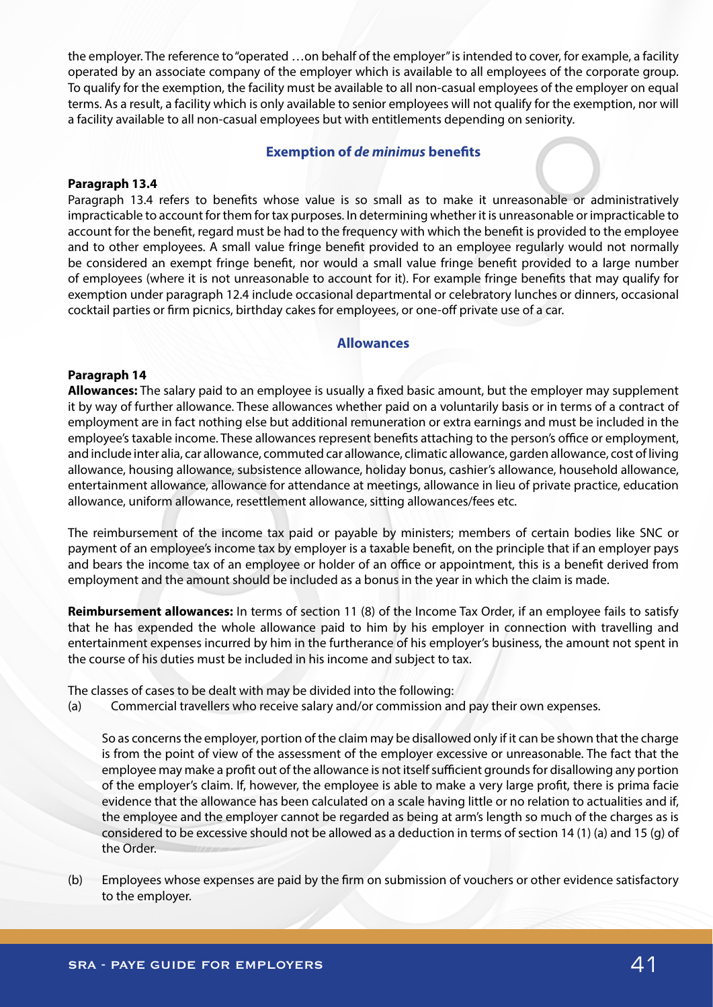the employer. The reference to "operated …on behalf of the employer" is intended to cover, for example, a facility operated by an associate company of the employer which is available to all employees of the corporate group. To qualify for the exemption, the facility must be available to all non-casual employees of the employer on equal terms. As a result, a facility which is only available to senior employees will not qualify for the exemption, nor will a facility available to all non-casual employees but with entitlements depending on seniority.

## **Exemption of** *de minimus* **benefits**

#### **Paragraph 13.4**

Paragraph 13.4 refers to benefits whose value is so small as to make it unreasonable or administratively impracticable to account for them for tax purposes. In determining whether it is unreasonable or impracticable to account for the benefit, regard must be had to the frequency with which the benefit is provided to the employee and to other employees. A small value fringe benefit provided to an employee regularly would not normally be considered an exempt fringe benefit, nor would a small value fringe benefit provided to a large number of employees (where it is not unreasonable to account for it). For example fringe benefits that may qualify for exemption under paragraph 12.4 include occasional departmental or celebratory lunches or dinners, occasional cocktail parties or firm picnics, birthday cakes for employees, or one-off private use of a car.

## **Allowances**

#### **Paragraph 14**

**Allowances:** The salary paid to an employee is usually a fixed basic amount, but the employer may supplement it by way of further allowance. These allowances whether paid on a voluntarily basis or in terms of a contract of employment are in fact nothing else but additional remuneration or extra earnings and must be included in the employee's taxable income. These allowances represent benefits attaching to the person's office or employment, and include inter alia, car allowance, commuted car allowance, climatic allowance, garden allowance, cost of living allowance, housing allowance, subsistence allowance, holiday bonus, cashier's allowance, household allowance, entertainment allowance, allowance for attendance at meetings, allowance in lieu of private practice, education allowance, uniform allowance, resettlement allowance, sitting allowances/fees etc.

The reimbursement of the income tax paid or payable by ministers; members of certain bodies like SNC or payment of an employee's income tax by employer is a taxable benefit, on the principle that if an employer pays and bears the income tax of an employee or holder of an office or appointment, this is a benefit derived from employment and the amount should be included as a bonus in the year in which the claim is made.

**Reimbursement allowances:** In terms of section 11 (8) of the Income Tax Order, if an employee fails to satisfy that he has expended the whole allowance paid to him by his employer in connection with travelling and entertainment expenses incurred by him in the furtherance of his employer's business, the amount not spent in the course of his duties must be included in his income and subject to tax.

The classes of cases to be dealt with may be divided into the following:

(a) Commercial travellers who receive salary and/or commission and pay their own expenses.

So as concerns the employer, portion of the claim may be disallowed only if it can be shown that the charge is from the point of view of the assessment of the employer excessive or unreasonable. The fact that the employee may make a profit out of the allowance is not itself sufficient grounds for disallowing any portion of the employer's claim. If, however, the employee is able to make a very large profit, there is prima facie evidence that the allowance has been calculated on a scale having little or no relation to actualities and if, the employee and the employer cannot be regarded as being at arm's length so much of the charges as is considered to be excessive should not be allowed as a deduction in terms of section 14 (1) (a) and 15 (g) of the Order.

(b) Employees whose expenses are paid by the firm on submission of vouchers or other evidence satisfactory to the employer.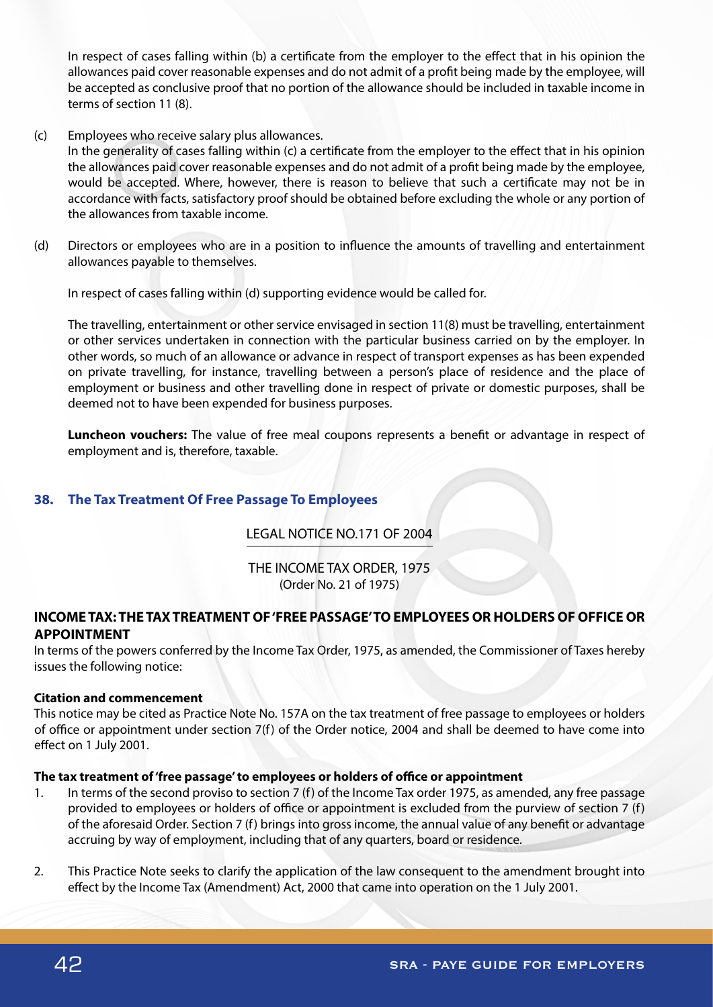In respect of cases falling within (b) a certificate from the employer to the effect that in his opinion the allowances paid cover reasonable expenses and do not admit of a profit being made by the employee, will be accepted as conclusive proof that no portion of the allowance should be included in taxable income in terms of section 11 (8).

(c) Employees who receive salary plus allowances.

In the generality of cases falling within (c) a certificate from the employer to the effect that in his opinion the allowances paid cover reasonable expenses and do not admit of a profit being made by the employee, would be accepted. Where, however, there is reason to believe that such a certificate may not be in accordance with facts, satisfactory proof should be obtained before excluding the whole or any portion of the allowances from taxable income.

(d) Directors or employees who are in a position to influence the amounts of travelling and entertainment allowances payable to themselves.

In respect of cases falling within (d) supporting evidence would be called for.

The travelling, entertainment or other service envisaged in section 11(8) must be travelling, entertainment or other services undertaken in connection with the particular business carried on by the employer. In other words, so much of an allowance or advance in respect of transport expenses as has been expended on private travelling, for instance, travelling between a person's place of residence and the place of employment or business and other travelling done in respect of private or domestic purposes, shall be deemed not to have been expended for business purposes.

**Luncheon vouchers:** The value of free meal coupons represents a benefit or advantage in respect of employment and is, therefore, taxable.

# **38. The Tax Treatment Of Free Passage To Employees**

# LEGAL NOTICE NO.171 OF 2004

THE INCOME TAX ORDER, 1975 (Order No. 21 of 1975)

# **INCOME TAX: THE TAX TREATMENT OF 'FREE PASSAGE' TO EMPLOYEES OR HOLDERS OF OFFICE OR APPOINTMENT**

In terms of the powers conferred by the Income Tax Order, 1975, as amended, the Commissioner of Taxes hereby issues the following notice:

#### **Citation and commencement**

This notice may be cited as Practice Note No. 157A on the tax treatment of free passage to employees or holders of office or appointment under section 7(f) of the Order notice, 2004 and shall be deemed to have come into effect on 1 July 2001.

#### **The tax treatment of 'free passage' to employees or holders of office or appointment**

- 1. In terms of the second proviso to section 7 (f) of the Income Tax order 1975, as amended, any free passage provided to employees or holders of office or appointment is excluded from the purview of section 7 (f) of the aforesaid Order. Section 7 (f) brings into gross income, the annual value of any benefit or advantage accruing by way of employment, including that of any quarters, board or residence.
- 2. This Practice Note seeks to clarify the application of the law consequent to the amendment brought into effect by the Income Tax (Amendment) Act, 2000 that came into operation on the 1 July 2001.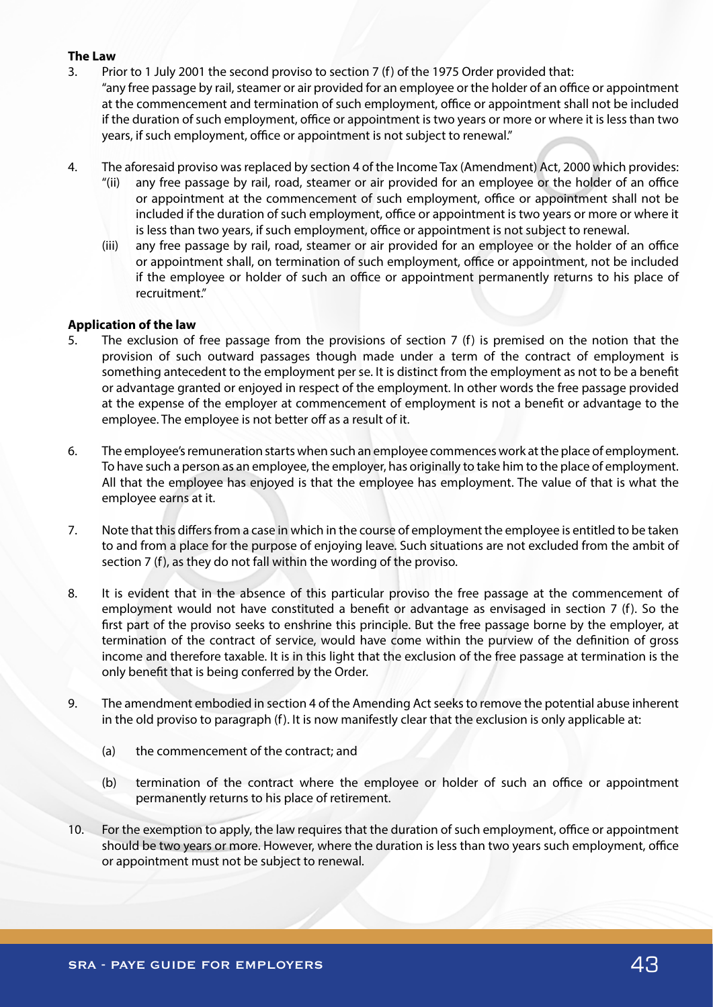#### **The Law**

- 3. Prior to 1 July 2001 the second proviso to section 7 (f) of the 1975 Order provided that: "any free passage by rail, steamer or air provided for an employee or the holder of an office or appointment at the commencement and termination of such employment, office or appointment shall not be included if the duration of such employment, office or appointment is two years or more or where it is less than two years, if such employment, office or appointment is not subject to renewal."
- 4. The aforesaid proviso was replaced by section 4 of the Income Tax (Amendment) Act, 2000 which provides:
	- "(ii) any free passage by rail, road, steamer or air provided for an employee or the holder of an office or appointment at the commencement of such employment, office or appointment shall not be included if the duration of such employment, office or appointment is two years or more or where it is less than two years, if such employment, office or appointment is not subject to renewal.
	- (iii) any free passage by rail, road, steamer or air provided for an employee or the holder of an office or appointment shall, on termination of such employment, office or appointment, not be included if the employee or holder of such an office or appointment permanently returns to his place of recruitment."

## **Application of the law**

- 5. The exclusion of free passage from the provisions of section 7 (f) is premised on the notion that the provision of such outward passages though made under a term of the contract of employment is something antecedent to the employment per se. It is distinct from the employment as not to be a benefit or advantage granted or enjoyed in respect of the employment. In other words the free passage provided at the expense of the employer at commencement of employment is not a benefit or advantage to the employee. The employee is not better off as a result of it.
- 6. The employee's remuneration starts when such an employee commences work at the place of employment. To have such a person as an employee, the employer, has originally to take him to the place of employment. All that the employee has enjoyed is that the employee has employment. The value of that is what the employee earns at it.
- 7. Note that this differs from a case in which in the course of employment the employee is entitled to be taken to and from a place for the purpose of enjoying leave. Such situations are not excluded from the ambit of section 7 (f), as they do not fall within the wording of the proviso.
- 8. It is evident that in the absence of this particular proviso the free passage at the commencement of employment would not have constituted a benefit or advantage as envisaged in section 7 (f). So the first part of the proviso seeks to enshrine this principle. But the free passage borne by the employer, at termination of the contract of service, would have come within the purview of the definition of gross income and therefore taxable. It is in this light that the exclusion of the free passage at termination is the only benefit that is being conferred by the Order.
- 9. The amendment embodied in section 4 of the Amending Act seeks to remove the potential abuse inherent in the old proviso to paragraph (f). It is now manifestly clear that the exclusion is only applicable at:
	- (a) the commencement of the contract; and
	- (b) termination of the contract where the employee or holder of such an office or appointment permanently returns to his place of retirement.
- 10. For the exemption to apply, the law requires that the duration of such employment, office or appointment should be two years or more. However, where the duration is less than two years such employment, office or appointment must not be subject to renewal.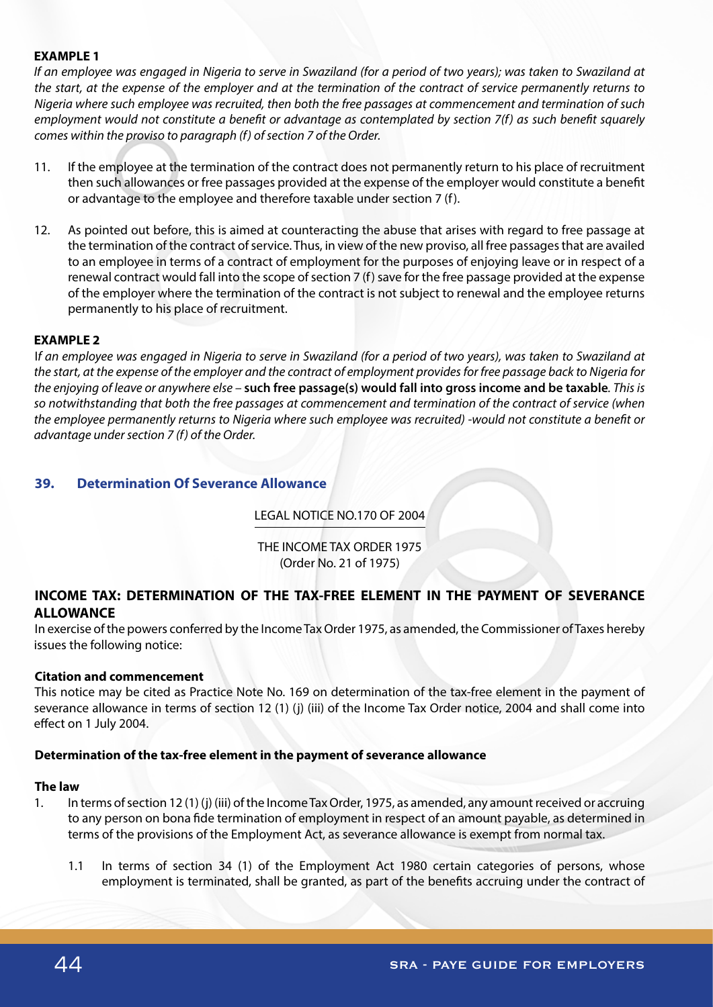## **EXAMPLE 1**

*If an employee was engaged in Nigeria to serve in Swaziland (for a period of two years); was taken to Swaziland at the start, at the expense of the employer and at the termination of the contract of service permanently returns to Nigeria where such employee was recruited, then both the free passages at commencement and termination of such employment would not constitute a benefit or advantage as contemplated by section 7(f) as such benefit squarely comes within the proviso to paragraph (f) of section 7 of the Order.*

- 11. If the employee at the termination of the contract does not permanently return to his place of recruitment then such allowances or free passages provided at the expense of the employer would constitute a benefit or advantage to the employee and therefore taxable under section 7 (f).
- 12. As pointed out before, this is aimed at counteracting the abuse that arises with regard to free passage at the termination of the contract of service. Thus, in view of the new proviso, all free passages that are availed to an employee in terms of a contract of employment for the purposes of enjoying leave or in respect of a renewal contract would fall into the scope of section 7 (f) save for the free passage provided at the expense of the employer where the termination of the contract is not subject to renewal and the employee returns permanently to his place of recruitment.

#### **EXAMPLE 2**

I*f an employee was engaged in Nigeria to serve in Swaziland (for a period of two years), was taken to Swaziland at the start, at the expense of the employer and the contract of employment provides for free passage back to Nigeria for the enjoying of leave or anywhere else –* **such free passage(s) would fall into gross income and be taxable***. This is so notwithstanding that both the free passages at commencement and termination of the contract of service (when the employee permanently returns to Nigeria where such employee was recruited) -would not constitute a benefit or advantage under section 7 (f) of the Order.* 

## **39. Determination Of Severance Allowance**

# LEGAL NOTICE NO.170 OF 2004

THE INCOME TAX ORDER 1975 (Order No. 21 of 1975)

# **INCOME TAX: DETERMINATION OF THE TAX-FREE ELEMENT IN THE PAYMENT OF SEVERANCE ALLOWANCE**

In exercise of the powers conferred by the Income Tax Order 1975, as amended, the Commissioner of Taxes hereby issues the following notice:

#### **Citation and commencement**

This notice may be cited as Practice Note No. 169 on determination of the tax-free element in the payment of severance allowance in terms of section 12 (1) (j) (iii) of the Income Tax Order notice, 2004 and shall come into effect on 1 July 2004.

## **Determination of the tax-free element in the payment of severance allowance**

#### **The law**

- 1. In terms of section 12 (1) (j) (iii) of the Income Tax Order, 1975, as amended, any amount received or accruing to any person on bona fide termination of employment in respect of an amount payable, as determined in terms of the provisions of the Employment Act, as severance allowance is exempt from normal tax.
	- 1.1 In terms of section 34 (1) of the Employment Act 1980 certain categories of persons, whose employment is terminated, shall be granted, as part of the benefits accruing under the contract of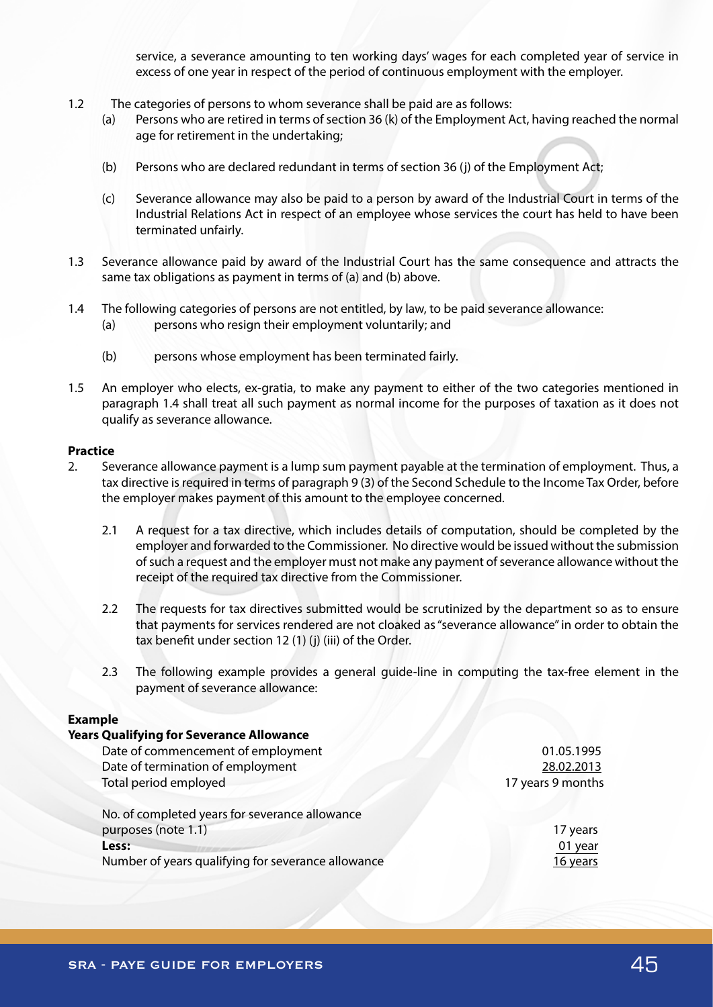service, a severance amounting to ten working days' wages for each completed year of service in excess of one year in respect of the period of continuous employment with the employer.

- 1.2 The categories of persons to whom severance shall be paid are as follows:
	- (a) Persons who are retired in terms of section 36 (k) of the Employment Act, having reached the normal age for retirement in the undertaking;
	- (b) Persons who are declared redundant in terms of section 36 (j) of the Employment Act;
	- (c) Severance allowance may also be paid to a person by award of the Industrial Court in terms of the Industrial Relations Act in respect of an employee whose services the court has held to have been terminated unfairly.
- 1.3 Severance allowance paid by award of the Industrial Court has the same consequence and attracts the same tax obligations as payment in terms of (a) and (b) above.
- 1.4 The following categories of persons are not entitled, by law, to be paid severance allowance:
	- (a) persons who resign their employment voluntarily; and
	- (b) persons whose employment has been terminated fairly.
- 1.5 An employer who elects, ex-gratia, to make any payment to either of the two categories mentioned in paragraph 1.4 shall treat all such payment as normal income for the purposes of taxation as it does not qualify as severance allowance.

#### **Practice**

- 2. Severance allowance payment is a lump sum payment payable at the termination of employment. Thus, a tax directive is required in terms of paragraph 9 (3) of the Second Schedule to the Income Tax Order, before the employer makes payment of this amount to the employee concerned.
	- 2.1 A request for a tax directive, which includes details of computation, should be completed by the employer and forwarded to the Commissioner. No directive would be issued without the submission of such a request and the employer must not make any payment of severance allowance without the receipt of the required tax directive from the Commissioner.
	- 2.2 The requests for tax directives submitted would be scrutinized by the department so as to ensure that payments for services rendered are not cloaked as "severance allowance" in order to obtain the tax benefit under section 12 (1) (j) (iii) of the Order.
	- 2.3 The following example provides a general guide-line in computing the tax-free element in the payment of severance allowance:

## **Example**

| <b>Years Qualifying for Severance Allowance</b>    |                   |
|----------------------------------------------------|-------------------|
| Date of commencement of employment                 | 01.05.1995        |
| Date of termination of employment                  | 28.02.2013        |
| Total period employed                              | 17 years 9 months |
| No. of completed years for severance allowance     |                   |
| purposes (note 1.1)                                | 17 years          |
| Less:                                              | 01 year           |
| Number of years qualifying for severance allowance | 16 years          |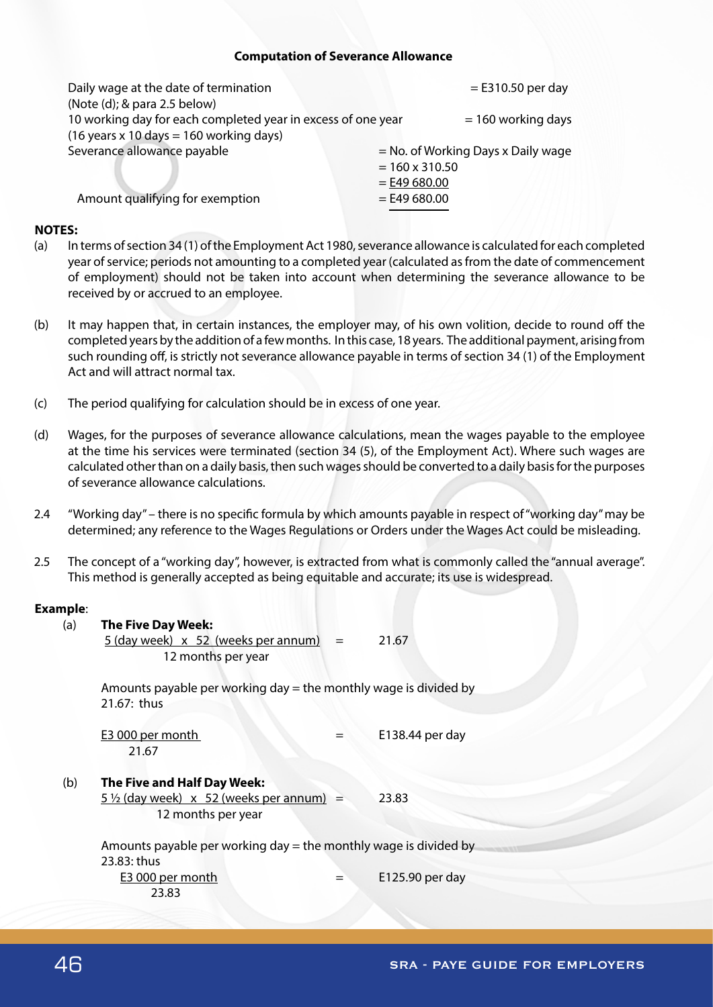#### **Computation of Severance Allowance**

| Daily wage at the date of termination                                  | $=$ E310.50 per day                  |
|------------------------------------------------------------------------|--------------------------------------|
| (Note (d); & para 2.5 below)                                           |                                      |
| 10 working day for each completed year in excess of one year           | $= 160$ working days                 |
| $(16 \text{ years} \times 10 \text{ days} = 160 \text{ working days})$ |                                      |
| Severance allowance payable                                            | $=$ No. of Working Days x Daily wage |
|                                                                        | $= 160 \times 310.50$                |
|                                                                        | $=$ E49 680.00                       |
| Amount qualifying for exemption                                        | $=$ E49 680.00                       |
|                                                                        |                                      |

## **NOTES:**

- (a) In terms of section 34 (1) of the Employment Act 1980, severance allowance is calculated for each completed year of service; periods not amounting to a completed year (calculated as from the date of commencement of employment) should not be taken into account when determining the severance allowance to be received by or accrued to an employee.
- (b) It may happen that, in certain instances, the employer may, of his own volition, decide to round off the completed years by the addition of a few months. In this case, 18 years. The additional payment, arising from such rounding off, is strictly not severance allowance payable in terms of section 34 (1) of the Employment Act and will attract normal tax.
- (c) The period qualifying for calculation should be in excess of one year.
- (d) Wages, for the purposes of severance allowance calculations, mean the wages payable to the employee at the time his services were terminated (section 34 (5), of the Employment Act). Where such wages are calculated other than on a daily basis, then such wages should be converted to a daily basis for the purposes of severance allowance calculations.
- 2.4 "Working day" there is no specific formula by which amounts payable in respect of "working day" may be determined; any reference to the Wages Regulations or Orders under the Wages Act could be misleading.
- 2.5 The concept of a "working day", however, is extracted from what is commonly called the "annual average". This method is generally accepted as being equitable and accurate; its use is widespread.

## **Example**:

| (a) |                             |                                                 |                                                                                                                                                                                                                                                |
|-----|-----------------------------|-------------------------------------------------|------------------------------------------------------------------------------------------------------------------------------------------------------------------------------------------------------------------------------------------------|
|     |                             |                                                 | 21.67                                                                                                                                                                                                                                          |
|     |                             |                                                 |                                                                                                                                                                                                                                                |
|     |                             |                                                 |                                                                                                                                                                                                                                                |
|     |                             |                                                 |                                                                                                                                                                                                                                                |
|     | 21.67: thus                 |                                                 |                                                                                                                                                                                                                                                |
|     |                             |                                                 |                                                                                                                                                                                                                                                |
|     | E3 000 per month            |                                                 | E138.44 per day                                                                                                                                                                                                                                |
|     | 21.67                       |                                                 |                                                                                                                                                                                                                                                |
|     |                             |                                                 |                                                                                                                                                                                                                                                |
| (b) | The Five and Half Day Week: |                                                 |                                                                                                                                                                                                                                                |
|     |                             |                                                 | 23.83                                                                                                                                                                                                                                          |
|     | 12 months per year          |                                                 |                                                                                                                                                                                                                                                |
|     |                             |                                                 |                                                                                                                                                                                                                                                |
|     |                             |                                                 |                                                                                                                                                                                                                                                |
|     | 23.83: thus                 |                                                 |                                                                                                                                                                                                                                                |
|     | E3 000 per month            |                                                 | E125.90 per day                                                                                                                                                                                                                                |
|     | 23.83                       |                                                 |                                                                                                                                                                                                                                                |
|     |                             | <b>The Five Day Week:</b><br>12 months per year | $5$ (day week) $\times$ 52 (weeks per annum) =<br>Amounts payable per working day = the monthly wage is divided by<br>$5\frac{1}{2}$ (day week) x 52 (weeks per annum) =<br>Amounts payable per working day $=$ the monthly wage is divided by |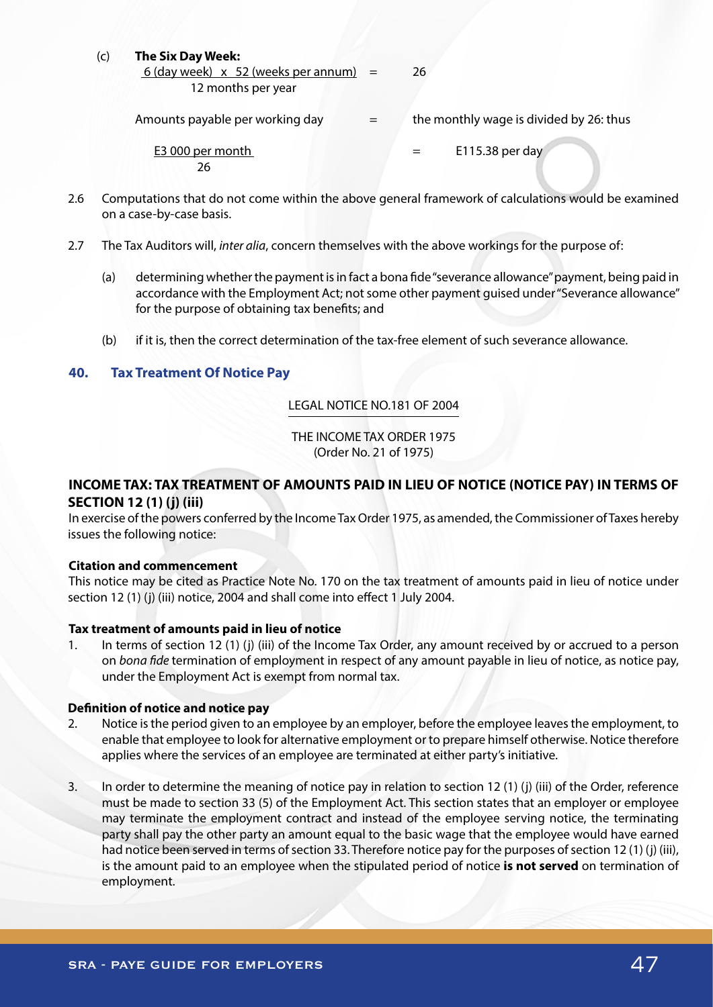## (c) **The Six Day Week:**

 $6$  (day week)  $\times$  52 (weeks per annum) = 26 12 months per year

Amounts payable per working day  $=$  the monthly wage is divided by 26: thus

26

E3 000 per month  $=$  E115.38 per day

- 2.6 Computations that do not come within the above general framework of calculations would be examined on a case-by-case basis.
- 2.7 The Tax Auditors will, *inter alia*, concern themselves with the above workings for the purpose of:
	- (a) determining whether the payment is in fact a bona fide "severance allowance" payment, being paid in accordance with the Employment Act; not some other payment guised under "Severance allowance" for the purpose of obtaining tax benefits; and
	- (b) if it is, then the correct determination of the tax-free element of such severance allowance.

# **40. Tax Treatment Of Notice Pay**

# LEGAL NOTICE NO.181 OF 2004

THE INCOME TAX ORDER 1975 (Order No. 21 of 1975)

# **INCOME TAX: TAX TREATMENT OF AMOUNTS PAID IN LIEU OF NOTICE (NOTICE PAY) IN TERMS OF SECTION 12 (1) (j) (iii)**

In exercise of the powers conferred by the Income Tax Order 1975, as amended, the Commissioner of Taxes hereby issues the following notice:

# **Citation and commencement**

This notice may be cited as Practice Note No. 170 on the tax treatment of amounts paid in lieu of notice under section 12 (1) (j) (iii) notice, 2004 and shall come into effect 1 July 2004.

# **Tax treatment of amounts paid in lieu of notice**

1. In terms of section 12 (1) (j) (iii) of the Income Tax Order, any amount received by or accrued to a person on *bona fide* termination of employment in respect of any amount payable in lieu of notice, as notice pay, under the Employment Act is exempt from normal tax.

# **Definition of notice and notice pay**

- 2. Notice is the period given to an employee by an employer, before the employee leaves the employment, to enable that employee to look for alternative employment or to prepare himself otherwise. Notice therefore applies where the services of an employee are terminated at either party's initiative.
- 3. In order to determine the meaning of notice pay in relation to section 12 (1) (j) (iii) of the Order, reference must be made to section 33 (5) of the Employment Act. This section states that an employer or employee may terminate the employment contract and instead of the employee serving notice, the terminating party shall pay the other party an amount equal to the basic wage that the employee would have earned had notice been served in terms of section 33. Therefore notice pay for the purposes of section 12 (1) (j) (iii), is the amount paid to an employee when the stipulated period of notice **is not served** on termination of employment.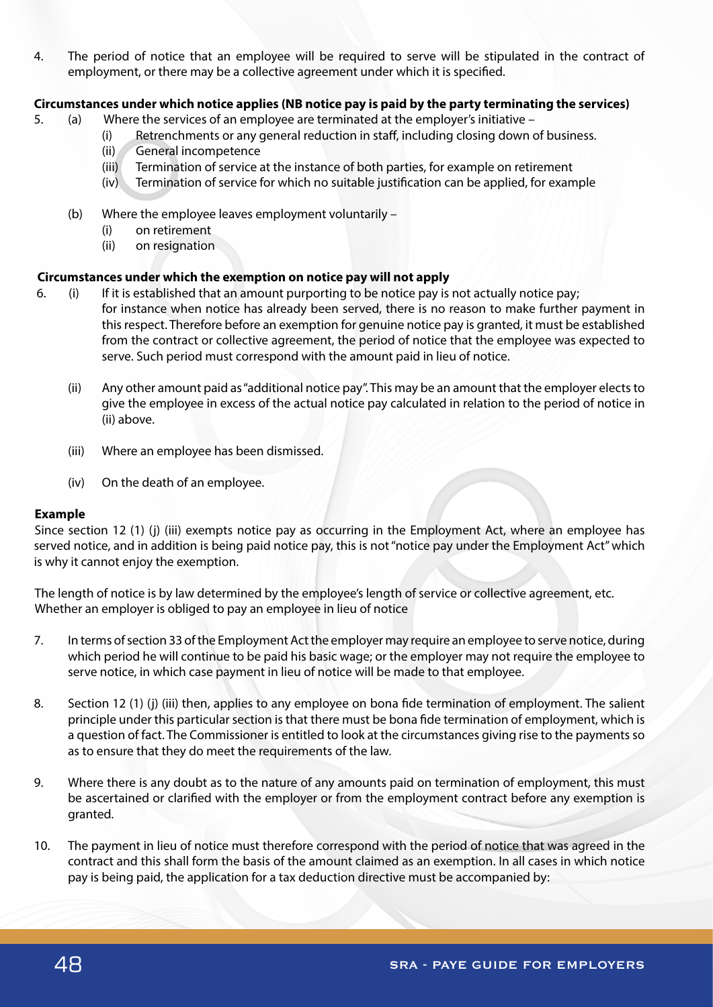4. The period of notice that an employee will be required to serve will be stipulated in the contract of employment, or there may be a collective agreement under which it is specified.

## **Circumstances under which notice applies (NB notice pay is paid by the party terminating the services)**

- 5. (a) Where the services of an employee are terminated at the employer's initiative
	- (i) Retrenchments or any general reduction in staff, including closing down of business.
	- (ii) General incompetence
	- (iii) Termination of service at the instance of both parties, for example on retirement
	- (iv) Termination of service for which no suitable justification can be applied, for example
	- (b) Where the employee leaves employment voluntarily
		- (i) on retirement
		- (ii) on resignation

## **Circumstances under which the exemption on notice pay will not apply**

- 6. (i) If it is established that an amount purporting to be notice pay is not actually notice pay; for instance when notice has already been served, there is no reason to make further payment in this respect. Therefore before an exemption for genuine notice pay is granted, it must be established from the contract or collective agreement, the period of notice that the employee was expected to serve. Such period must correspond with the amount paid in lieu of notice.
	- (ii) Any other amount paid as "additional notice pay". This may be an amount that the employer elects to give the employee in excess of the actual notice pay calculated in relation to the period of notice in (ii) above.
	- (iii) Where an employee has been dismissed.
	- (iv) On the death of an employee.

## **Example**

Since section 12 (1) (j) (iii) exempts notice pay as occurring in the Employment Act, where an employee has served notice, and in addition is being paid notice pay, this is not "notice pay under the Employment Act" which is why it cannot enjoy the exemption.

The length of notice is by law determined by the employee's length of service or collective agreement, etc. Whether an employer is obliged to pay an employee in lieu of notice

- 7. In terms of section 33 of the Employment Act the employer may require an employee to serve notice, during which period he will continue to be paid his basic wage; or the employer may not require the employee to serve notice, in which case payment in lieu of notice will be made to that employee.
- 8. Section 12 (1) (j) (iii) then, applies to any employee on bona fide termination of employment. The salient principle under this particular section is that there must be bona fide termination of employment, which is a question of fact. The Commissioner is entitled to look at the circumstances giving rise to the payments so as to ensure that they do meet the requirements of the law.
- 9. Where there is any doubt as to the nature of any amounts paid on termination of employment, this must be ascertained or clarified with the employer or from the employment contract before any exemption is granted.
- 10. The payment in lieu of notice must therefore correspond with the period of notice that was agreed in the contract and this shall form the basis of the amount claimed as an exemption. In all cases in which notice pay is being paid, the application for a tax deduction directive must be accompanied by: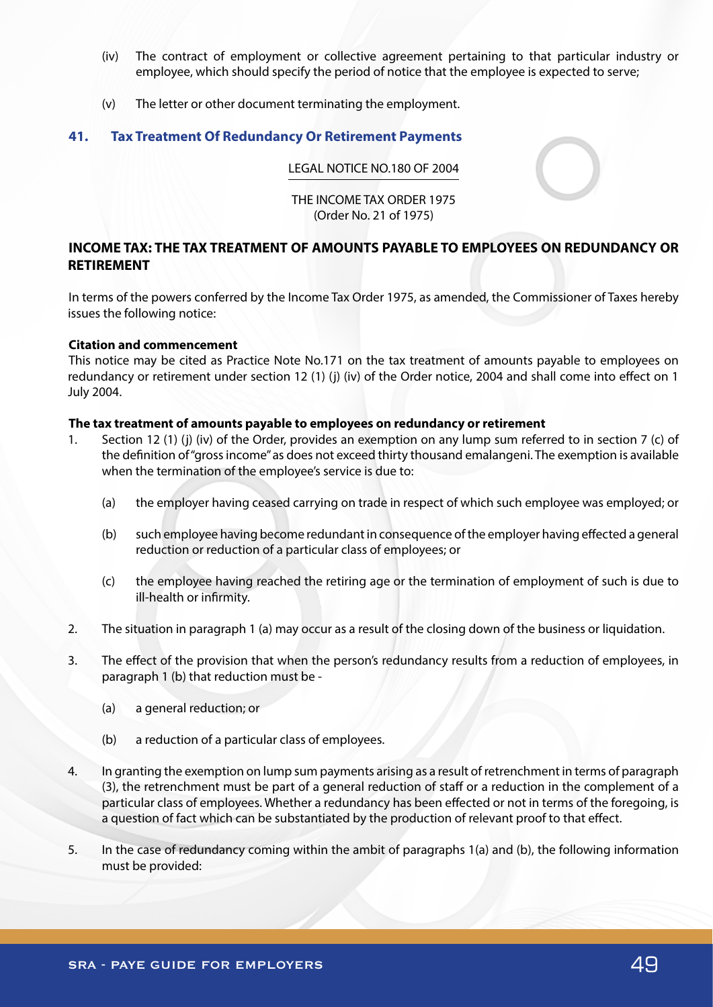- (iv) The contract of employment or collective agreement pertaining to that particular industry or employee, which should specify the period of notice that the employee is expected to serve;
- (v) The letter or other document terminating the employment.

# **41. Tax Treatment Of Redundancy Or Retirement Payments**

## LEGAL NOTICE NO.180 OF 2004

## THE INCOME TAX ORDER 1975 (Order No. 21 of 1975)

# **INCOME TAX: THE TAX TREATMENT OF AMOUNTS PAYABLE TO EMPLOYEES ON REDUNDANCY OR RETIREMENT**

In terms of the powers conferred by the Income Tax Order 1975, as amended, the Commissioner of Taxes hereby issues the following notice:

## **Citation and commencement**

This notice may be cited as Practice Note No.171 on the tax treatment of amounts payable to employees on redundancy or retirement under section 12 (1) (j) (iv) of the Order notice, 2004 and shall come into effect on 1 July 2004.

#### **The tax treatment of amounts payable to employees on redundancy or retirement**

- 1. Section 12 (1) (j) (iv) of the Order, provides an exemption on any lump sum referred to in section 7 (c) of the definition of "gross income" as does not exceed thirty thousand emalangeni. The exemption is available when the termination of the employee's service is due to:
	- (a) the employer having ceased carrying on trade in respect of which such employee was employed; or
	- (b) such employee having become redundant in consequence of the employer having effected a general reduction or reduction of a particular class of employees; or
	- (c) the employee having reached the retiring age or the termination of employment of such is due to ill-health or infirmity.
- 2. The situation in paragraph 1 (a) may occur as a result of the closing down of the business or liquidation.
- 3. The effect of the provision that when the person's redundancy results from a reduction of employees, in paragraph 1 (b) that reduction must be -
	- (a) a general reduction; or
	- (b) a reduction of a particular class of employees.
- 4. In granting the exemption on lump sum payments arising as a result of retrenchment in terms of paragraph (3), the retrenchment must be part of a general reduction of staff or a reduction in the complement of a particular class of employees. Whether a redundancy has been effected or not in terms of the foregoing, is a question of fact which can be substantiated by the production of relevant proof to that effect.
- 5. In the case of redundancy coming within the ambit of paragraphs 1(a) and (b), the following information must be provided: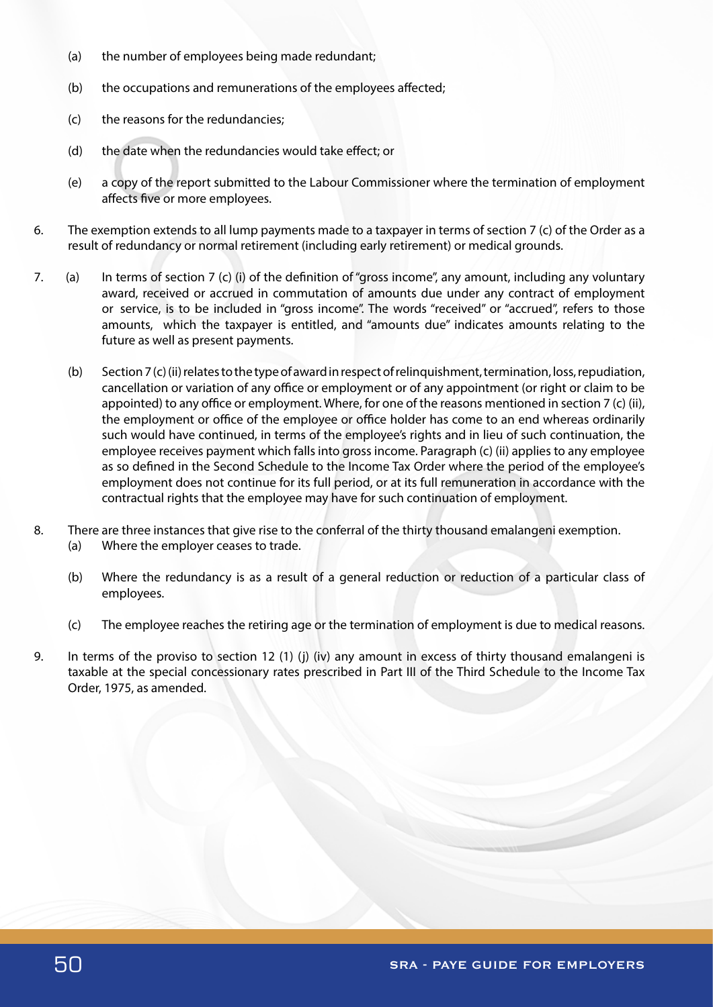- (a) the number of employees being made redundant;
- (b) the occupations and remunerations of the employees affected;
- (c) the reasons for the redundancies;
- (d) the date when the redundancies would take effect; or
- (e) a copy of the report submitted to the Labour Commissioner where the termination of employment affects five or more employees.
- 6. The exemption extends to all lump payments made to a taxpayer in terms of section 7 (c) of the Order as a result of redundancy or normal retirement (including early retirement) or medical grounds.
- 7. (a) In terms of section 7 (c) (i) of the definition of "gross income", any amount, including any voluntary award, received or accrued in commutation of amounts due under any contract of employment or service, is to be included in "gross income". The words "received" or "accrued", refers to those amounts, which the taxpayer is entitled, and "amounts due" indicates amounts relating to the future as well as present payments.
	- (b) Section 7 (c) (ii) relates to the type of award in respect of relinquishment, termination, loss, repudiation, cancellation or variation of any office or employment or of any appointment (or right or claim to be appointed) to any office or employment. Where, for one of the reasons mentioned in section 7 (c) (ii), the employment or office of the employee or office holder has come to an end whereas ordinarily such would have continued, in terms of the employee's rights and in lieu of such continuation, the employee receives payment which falls into gross income. Paragraph (c) (ii) applies to any employee as so defined in the Second Schedule to the Income Tax Order where the period of the employee's employment does not continue for its full period, or at its full remuneration in accordance with the contractual rights that the employee may have for such continuation of employment.
- 8. There are three instances that give rise to the conferral of the thirty thousand emalangeni exemption.
	- (a) Where the employer ceases to trade.
	- (b) Where the redundancy is as a result of a general reduction or reduction of a particular class of employees.
	- (c) The employee reaches the retiring age or the termination of employment is due to medical reasons.
- 9. In terms of the proviso to section 12 (1) (j) (iv) any amount in excess of thirty thousand emalangeni is taxable at the special concessionary rates prescribed in Part III of the Third Schedule to the Income Tax Order, 1975, as amended.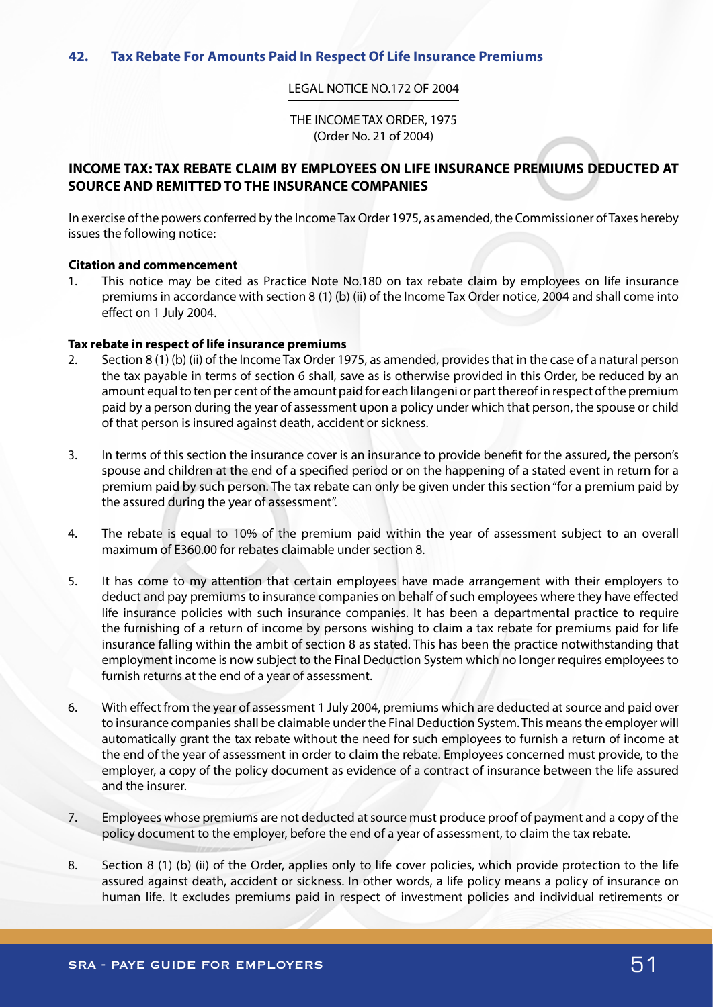#### LEGAL NOTICE NO.172 OF 2004

THE INCOME TAX ORDER, 1975 (Order No. 21 of 2004)

# **INCOME TAX: TAX REBATE CLAIM BY EMPLOYEES ON LIFE INSURANCE PREMIUMS DEDUCTED AT SOURCE AND REMITTED TO THE INSURANCE COMPANIES**

In exercise of the powers conferred by the Income Tax Order 1975, as amended, the Commissioner of Taxes hereby issues the following notice:

#### **Citation and commencement**

1. This notice may be cited as Practice Note No.180 on tax rebate claim by employees on life insurance premiums in accordance with section 8 (1) (b) (ii) of the Income Tax Order notice, 2004 and shall come into effect on 1 July 2004.

#### **Tax rebate in respect of life insurance premiums**

- 2. Section 8 (1) (b) (ii) of the Income Tax Order 1975, as amended, provides that in the case of a natural person the tax payable in terms of section 6 shall, save as is otherwise provided in this Order, be reduced by an amount equal to ten per cent of the amount paid for each lilangeni or part thereof in respect of the premium paid by a person during the year of assessment upon a policy under which that person, the spouse or child of that person is insured against death, accident or sickness.
- 3. In terms of this section the insurance cover is an insurance to provide benefit for the assured, the person's spouse and children at the end of a specified period or on the happening of a stated event in return for a premium paid by such person. The tax rebate can only be given under this section "for a premium paid by the assured during the year of assessment".
- 4. The rebate is equal to 10% of the premium paid within the year of assessment subject to an overall maximum of E360.00 for rebates claimable under section 8.
- 5. It has come to my attention that certain employees have made arrangement with their employers to deduct and pay premiums to insurance companies on behalf of such employees where they have effected life insurance policies with such insurance companies. It has been a departmental practice to require the furnishing of a return of income by persons wishing to claim a tax rebate for premiums paid for life insurance falling within the ambit of section 8 as stated. This has been the practice notwithstanding that employment income is now subject to the Final Deduction System which no longer requires employees to furnish returns at the end of a year of assessment.
- 6. With effect from the year of assessment 1 July 2004, premiums which are deducted at source and paid over to insurance companies shall be claimable under the Final Deduction System. This means the employer will automatically grant the tax rebate without the need for such employees to furnish a return of income at the end of the year of assessment in order to claim the rebate. Employees concerned must provide, to the employer, a copy of the policy document as evidence of a contract of insurance between the life assured and the insurer.
- 7. Employees whose premiums are not deducted at source must produce proof of payment and a copy of the policy document to the employer, before the end of a year of assessment, to claim the tax rebate.
- 8. Section 8 (1) (b) (ii) of the Order, applies only to life cover policies, which provide protection to the life assured against death, accident or sickness. In other words, a life policy means a policy of insurance on human life. It excludes premiums paid in respect of investment policies and individual retirements or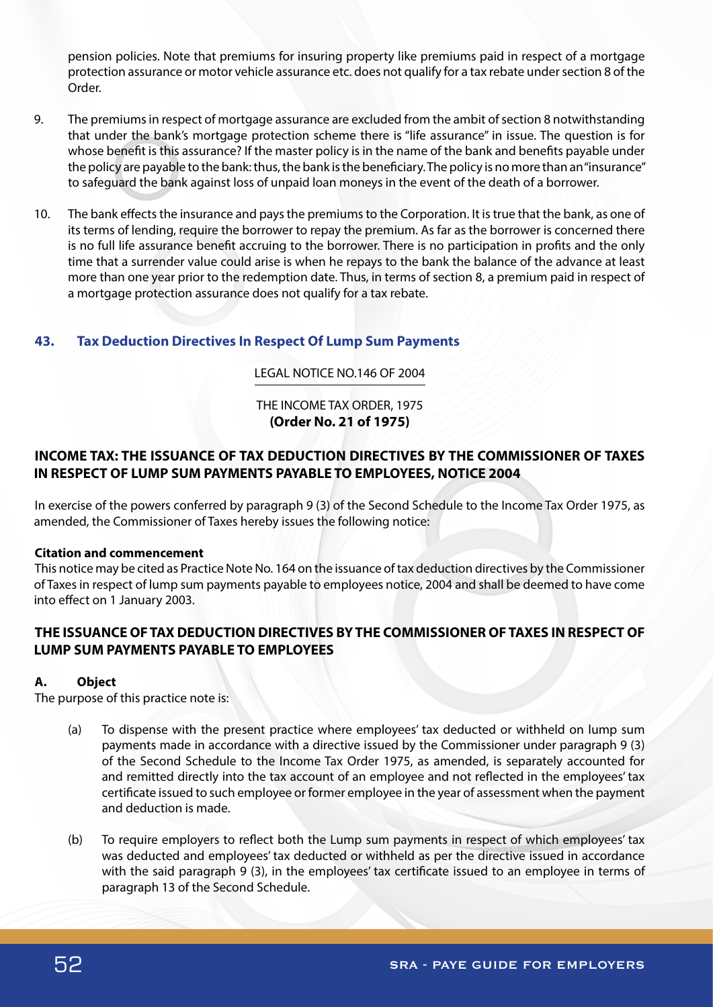pension policies. Note that premiums for insuring property like premiums paid in respect of a mortgage protection assurance or motor vehicle assurance etc. does not qualify for a tax rebate under section 8 of the Order.

- 9. The premiums in respect of mortgage assurance are excluded from the ambit of section 8 notwithstanding that under the bank's mortgage protection scheme there is "life assurance" in issue. The question is for whose benefit is this assurance? If the master policy is in the name of the bank and benefits payable under the policy are payable to the bank: thus, the bank is the beneficiary. The policy is no more than an "insurance" to safeguard the bank against loss of unpaid loan moneys in the event of the death of a borrower.
- 10. The bank effects the insurance and pays the premiums to the Corporation. It is true that the bank, as one of its terms of lending, require the borrower to repay the premium. As far as the borrower is concerned there is no full life assurance benefit accruing to the borrower. There is no participation in profits and the only time that a surrender value could arise is when he repays to the bank the balance of the advance at least more than one year prior to the redemption date. Thus, in terms of section 8, a premium paid in respect of a mortgage protection assurance does not qualify for a tax rebate.

# **43. Tax Deduction Directives In Respect Of Lump Sum Payments**

## LEGAL NOTICE NO.146 OF 2004

# THE INCOME TAX ORDER, 1975 **(Order No. 21 of 1975)**

# **INCOME TAX: THE ISSUANCE OF TAX DEDUCTION DIRECTIVES BY THE COMMISSIONER OF TAXES IN RESPECT OF LUMP SUM PAYMENTS PAYABLE TO EMPLOYEES, NOTICE 2004**

In exercise of the powers conferred by paragraph 9 (3) of the Second Schedule to the Income Tax Order 1975, as amended, the Commissioner of Taxes hereby issues the following notice:

## **Citation and commencement**

This notice may be cited as Practice Note No. 164 on the issuance of tax deduction directives by the Commissioner of Taxes in respect of lump sum payments payable to employees notice, 2004 and shall be deemed to have come into effect on 1 January 2003.

# **THE ISSUANCE OF TAX DEDUCTION DIRECTIVES BY THE COMMISSIONER OF TAXES IN RESPECT OF LUMP SUM PAYMENTS PAYABLE TO EMPLOYEES**

## **A. Object**

The purpose of this practice note is:

- (a) To dispense with the present practice where employees' tax deducted or withheld on lump sum payments made in accordance with a directive issued by the Commissioner under paragraph 9 (3) of the Second Schedule to the Income Tax Order 1975, as amended, is separately accounted for and remitted directly into the tax account of an employee and not reflected in the employees' tax certificate issued to such employee or former employee in the year of assessment when the payment and deduction is made.
- (b) To require employers to reflect both the Lump sum payments in respect of which employees' tax was deducted and employees' tax deducted or withheld as per the directive issued in accordance with the said paragraph 9 (3), in the employees' tax certificate issued to an employee in terms of paragraph 13 of the Second Schedule.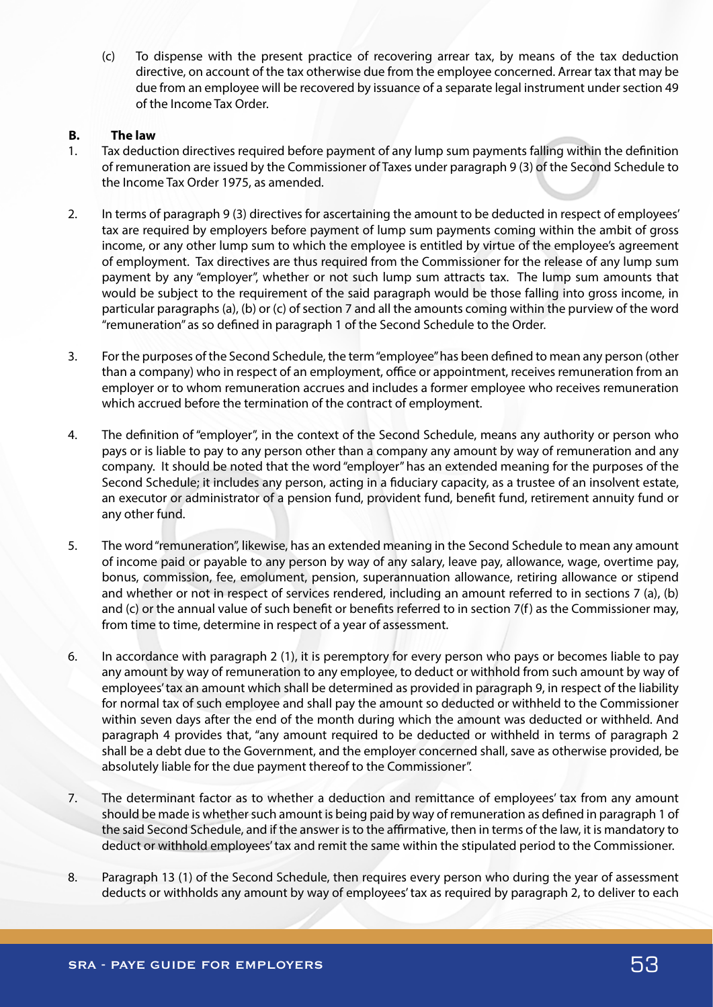(c) To dispense with the present practice of recovering arrear tax, by means of the tax deduction directive, on account of the tax otherwise due from the employee concerned. Arrear tax that may be due from an employee will be recovered by issuance of a separate legal instrument under section 49 of the Income Tax Order.

## **B. The law**

- 1. Tax deduction directives required before payment of any lump sum payments falling within the definition of remuneration are issued by the Commissioner of Taxes under paragraph 9 (3) of the Second Schedule to the Income Tax Order 1975, as amended.
- 2. In terms of paragraph 9 (3) directives for ascertaining the amount to be deducted in respect of employees' tax are required by employers before payment of lump sum payments coming within the ambit of gross income, or any other lump sum to which the employee is entitled by virtue of the employee's agreement of employment. Tax directives are thus required from the Commissioner for the release of any lump sum payment by any "employer", whether or not such lump sum attracts tax. The lump sum amounts that would be subject to the requirement of the said paragraph would be those falling into gross income, in particular paragraphs (a), (b) or (c) of section 7 and all the amounts coming within the purview of the word "remuneration" as so defined in paragraph 1 of the Second Schedule to the Order.
- 3. For the purposes of the Second Schedule, the term "employee" has been defined to mean any person (other than a company) who in respect of an employment, office or appointment, receives remuneration from an employer or to whom remuneration accrues and includes a former employee who receives remuneration which accrued before the termination of the contract of employment.
- 4. The definition of "employer", in the context of the Second Schedule, means any authority or person who pays or is liable to pay to any person other than a company any amount by way of remuneration and any company. It should be noted that the word "employer" has an extended meaning for the purposes of the Second Schedule; it includes any person, acting in a fiduciary capacity, as a trustee of an insolvent estate, an executor or administrator of a pension fund, provident fund, benefit fund, retirement annuity fund or any other fund.
- 5. The word "remuneration", likewise, has an extended meaning in the Second Schedule to mean any amount of income paid or payable to any person by way of any salary, leave pay, allowance, wage, overtime pay, bonus, commission, fee, emolument, pension, superannuation allowance, retiring allowance or stipend and whether or not in respect of services rendered, including an amount referred to in sections 7 (a), (b) and (c) or the annual value of such benefit or benefits referred to in section 7(f) as the Commissioner may, from time to time, determine in respect of a year of assessment.
- 6. In accordance with paragraph 2 (1), it is peremptory for every person who pays or becomes liable to pay any amount by way of remuneration to any employee, to deduct or withhold from such amount by way of employees' tax an amount which shall be determined as provided in paragraph 9, in respect of the liability for normal tax of such employee and shall pay the amount so deducted or withheld to the Commissioner within seven days after the end of the month during which the amount was deducted or withheld. And paragraph 4 provides that, "any amount required to be deducted or withheld in terms of paragraph 2 shall be a debt due to the Government, and the employer concerned shall, save as otherwise provided, be absolutely liable for the due payment thereof to the Commissioner".
- 7. The determinant factor as to whether a deduction and remittance of employees' tax from any amount should be made is whether such amount is being paid by way of remuneration as defined in paragraph 1 of the said Second Schedule, and if the answer is to the affirmative, then in terms of the law, it is mandatory to deduct or withhold employees' tax and remit the same within the stipulated period to the Commissioner.
- 8. Paragraph 13 (1) of the Second Schedule, then requires every person who during the year of assessment deducts or withholds any amount by way of employees' tax as required by paragraph 2, to deliver to each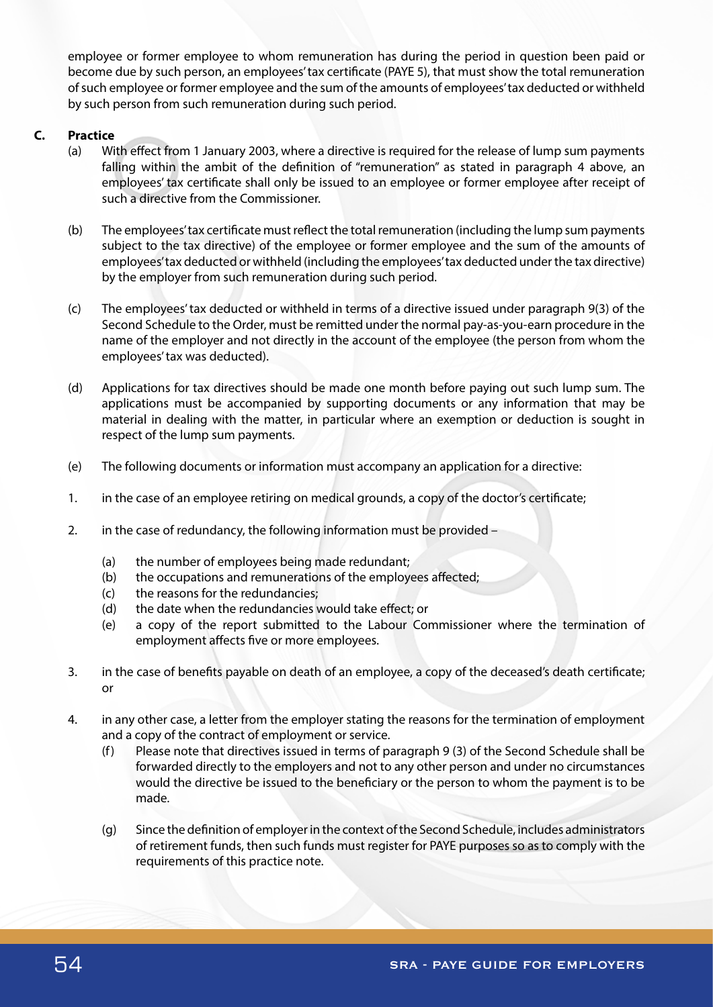employee or former employee to whom remuneration has during the period in question been paid or become due by such person, an employees' tax certificate (PAYE 5), that must show the total remuneration of such employee or former employee and the sum of the amounts of employees' tax deducted or withheld by such person from such remuneration during such period.

# **C. Practice**

- (a) With effect from 1 January 2003, where a directive is required for the release of lump sum payments falling within the ambit of the definition of "remuneration" as stated in paragraph 4 above, an employees' tax certificate shall only be issued to an employee or former employee after receipt of such a directive from the Commissioner.
- (b) The employees' tax certificate must reflect the total remuneration (including the lump sum payments subject to the tax directive) of the employee or former employee and the sum of the amounts of employees' tax deducted or withheld (including the employees' tax deducted under the tax directive) by the employer from such remuneration during such period.
- (c) The employees' tax deducted or withheld in terms of a directive issued under paragraph 9(3) of the Second Schedule to the Order, must be remitted under the normal pay-as-you-earn procedure in the name of the employer and not directly in the account of the employee (the person from whom the employees' tax was deducted).
- (d) Applications for tax directives should be made one month before paying out such lump sum. The applications must be accompanied by supporting documents or any information that may be material in dealing with the matter, in particular where an exemption or deduction is sought in respect of the lump sum payments.
- (e) The following documents or information must accompany an application for a directive:
- 1. in the case of an employee retiring on medical grounds, a copy of the doctor's certificate;
- 2. in the case of redundancy, the following information must be provided
	- (a) the number of employees being made redundant;
	- (b) the occupations and remunerations of the employees affected;
	- (c) the reasons for the redundancies;
	- (d) the date when the redundancies would take effect; or
	- (e) a copy of the report submitted to the Labour Commissioner where the termination of employment affects five or more employees.
- 3. in the case of benefits payable on death of an employee, a copy of the deceased's death certificate; or
- 4. in any other case, a letter from the employer stating the reasons for the termination of employment and a copy of the contract of employment or service.
	- (f) Please note that directives issued in terms of paragraph 9 (3) of the Second Schedule shall be forwarded directly to the employers and not to any other person and under no circumstances would the directive be issued to the beneficiary or the person to whom the payment is to be made.
	- (g) Since the definition of employer in the context of the Second Schedule, includes administrators of retirement funds, then such funds must register for PAYE purposes so as to comply with the requirements of this practice note.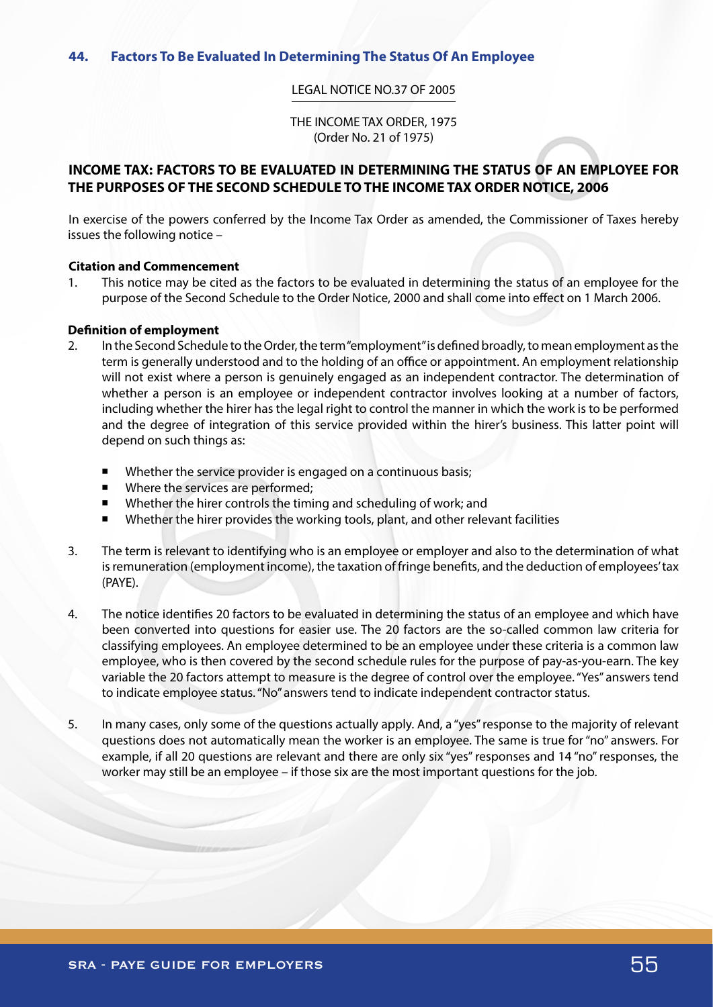#### LEGAL NOTICE NO.37 OF 2005

THE INCOME TAX ORDER, 1975 (Order No. 21 of 1975)

# **INCOME TAX: FACTORS TO BE EVALUATED IN DETERMINING THE STATUS OF AN EMPLOYEE FOR THE PURPOSES OF THE SECOND SCHEDULE TO THE INCOME TAX ORDER NOTICE, 2006**

In exercise of the powers conferred by the Income Tax Order as amended, the Commissioner of Taxes hereby issues the following notice –

#### **Citation and Commencement**

1. This notice may be cited as the factors to be evaluated in determining the status of an employee for the purpose of the Second Schedule to the Order Notice, 2000 and shall come into effect on 1 March 2006.

#### **Definition of employment**

- 2. In the Second Schedule to the Order, the term "employment" is defined broadly, to mean employment as the term is generally understood and to the holding of an office or appointment. An employment relationship will not exist where a person is genuinely engaged as an independent contractor. The determination of whether a person is an employee or independent contractor involves looking at a number of factors, including whether the hirer has the legal right to control the manner in which the work is to be performed and the degree of integration of this service provided within the hirer's business. This latter point will depend on such things as:
	- Whether the service provider is engaged on a continuous basis;
	- Where the services are performed;
	- Whether the hirer controls the timing and scheduling of work; and
	- Whether the hirer provides the working tools, plant, and other relevant facilities
- 3. The term is relevant to identifying who is an employee or employer and also to the determination of what is remuneration (employment income), the taxation of fringe benefits, and the deduction of employees' tax (PAYE).
- 4. The notice identifies 20 factors to be evaluated in determining the status of an employee and which have been converted into questions for easier use. The 20 factors are the so-called common law criteria for classifying employees. An employee determined to be an employee under these criteria is a common law employee, who is then covered by the second schedule rules for the purpose of pay-as-you-earn. The key variable the 20 factors attempt to measure is the degree of control over the employee. "Yes" answers tend to indicate employee status. "No" answers tend to indicate independent contractor status.
- 5. In many cases, only some of the questions actually apply. And, a "yes" response to the majority of relevant questions does not automatically mean the worker is an employee. The same is true for "no" answers. For example, if all 20 questions are relevant and there are only six "yes" responses and 14 "no" responses, the worker may still be an employee – if those six are the most important questions for the job.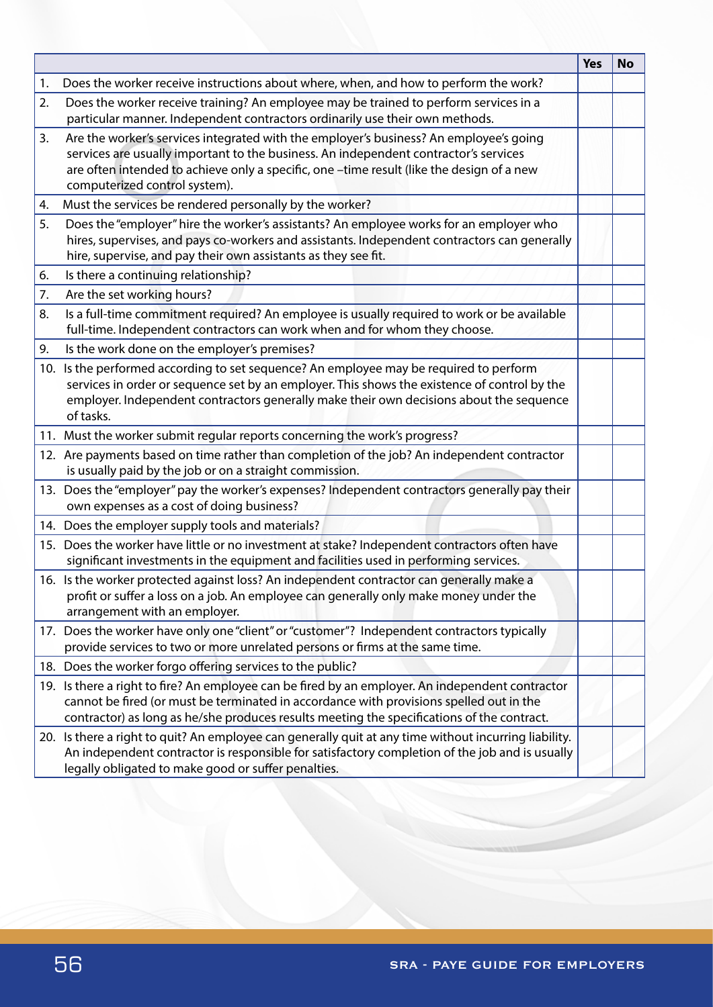|    |                                                                                                                                                                                                                                                                                                              | <b>Yes</b> | <b>No</b> |
|----|--------------------------------------------------------------------------------------------------------------------------------------------------------------------------------------------------------------------------------------------------------------------------------------------------------------|------------|-----------|
| 1. | Does the worker receive instructions about where, when, and how to perform the work?                                                                                                                                                                                                                         |            |           |
| 2. | Does the worker receive training? An employee may be trained to perform services in a<br>particular manner. Independent contractors ordinarily use their own methods.                                                                                                                                        |            |           |
| 3. | Are the worker's services integrated with the employer's business? An employee's going<br>services are usually important to the business. An independent contractor's services<br>are often intended to achieve only a specific, one -time result (like the design of a new<br>computerized control system). |            |           |
| 4. | Must the services be rendered personally by the worker?                                                                                                                                                                                                                                                      |            |           |
| 5. | Does the "employer" hire the worker's assistants? An employee works for an employer who<br>hires, supervises, and pays co-workers and assistants. Independent contractors can generally<br>hire, supervise, and pay their own assistants as they see fit.                                                    |            |           |
| 6. | Is there a continuing relationship?                                                                                                                                                                                                                                                                          |            |           |
| 7. | Are the set working hours?                                                                                                                                                                                                                                                                                   |            |           |
| 8. | Is a full-time commitment required? An employee is usually required to work or be available<br>full-time. Independent contractors can work when and for whom they choose.                                                                                                                                    |            |           |
| 9. | Is the work done on the employer's premises?                                                                                                                                                                                                                                                                 |            |           |
|    | 10. Is the performed according to set sequence? An employee may be required to perform<br>services in order or sequence set by an employer. This shows the existence of control by the<br>employer. Independent contractors generally make their own decisions about the sequence<br>of tasks.               |            |           |
|    | 11. Must the worker submit regular reports concerning the work's progress?                                                                                                                                                                                                                                   |            |           |
|    | 12. Are payments based on time rather than completion of the job? An independent contractor<br>is usually paid by the job or on a straight commission.                                                                                                                                                       |            |           |
|    | 13. Does the "employer" pay the worker's expenses? Independent contractors generally pay their<br>own expenses as a cost of doing business?                                                                                                                                                                  |            |           |
|    | 14. Does the employer supply tools and materials?                                                                                                                                                                                                                                                            |            |           |
|    | 15. Does the worker have little or no investment at stake? Independent contractors often have<br>significant investments in the equipment and facilities used in performing services.                                                                                                                        |            |           |
|    | 16. Is the worker protected against loss? An independent contractor can generally make a<br>profit or suffer a loss on a job. An employee can generally only make money under the<br>arrangement with an employer.                                                                                           |            |           |
|    | 17. Does the worker have only one "client" or "customer"? Independent contractors typically<br>provide services to two or more unrelated persons or firms at the same time.                                                                                                                                  |            |           |
|    | 18. Does the worker forgo offering services to the public?                                                                                                                                                                                                                                                   |            |           |
|    | 19. Is there a right to fire? An employee can be fired by an employer. An independent contractor<br>cannot be fired (or must be terminated in accordance with provisions spelled out in the<br>contractor) as long as he/she produces results meeting the specifications of the contract.                    |            |           |
|    | 20. Is there a right to quit? An employee can generally quit at any time without incurring liability.<br>An independent contractor is responsible for satisfactory completion of the job and is usually<br>legally obligated to make good or suffer penalties.                                               |            |           |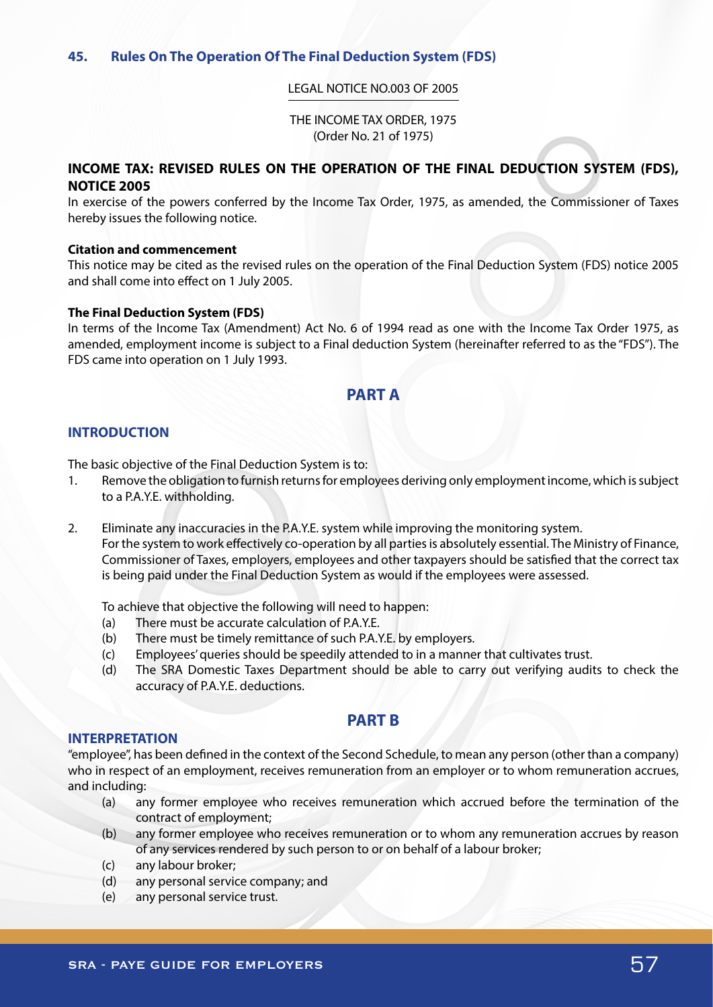#### LEGAL NOTICE NO.003 OF 2005

THE INCOME TAX ORDER, 1975 (Order No. 21 of 1975)

# **INCOME TAX: REVISED RULES ON THE OPERATION OF THE FINAL DEDUCTION SYSTEM (FDS), NOTICE 2005**

In exercise of the powers conferred by the Income Tax Order, 1975, as amended, the Commissioner of Taxes hereby issues the following notice.

#### **Citation and commencement**

This notice may be cited as the revised rules on the operation of the Final Deduction System (FDS) notice 2005 and shall come into effect on 1 July 2005.

#### **The Final Deduction System (FDS)**

In terms of the Income Tax (Amendment) Act No. 6 of 1994 read as one with the Income Tax Order 1975, as amended, employment income is subject to a Final deduction System (hereinafter referred to as the "FDS"). The FDS came into operation on 1 July 1993.

# **PART A**

## **INTRODUCTION**

The basic objective of the Final Deduction System is to:

- 1. Remove the obligation to furnish returns for employees deriving only employment income, which is subject to a P.A.Y.E. withholding.
- 2. Eliminate any inaccuracies in the P.A.Y.E. system while improving the monitoring system. For the system to work effectively co-operation by all parties is absolutely essential. The Ministry of Finance, Commissioner of Taxes, employers, employees and other taxpayers should be satisfied that the correct tax is being paid under the Final Deduction System as would if the employees were assessed.

To achieve that objective the following will need to happen:

- (a) There must be accurate calculation of P.A.Y.E.
- (b) There must be timely remittance of such P.A.Y.E. by employers.
- (c) Employees' queries should be speedily attended to in a manner that cultivates trust.
- (d) The SRA Domestic Taxes Department should be able to carry out verifying audits to check the accuracy of P.A.Y.E. deductions.

# **PART B**

#### **INTERPRETATION**

"employee", has been defined in the context of the Second Schedule, to mean any person (other than a company) who in respect of an employment, receives remuneration from an employer or to whom remuneration accrues, and including:

- (a) any former employee who receives remuneration which accrued before the termination of the contract of employment;
- (b) any former employee who receives remuneration or to whom any remuneration accrues by reason of any services rendered by such person to or on behalf of a labour broker;
- (c) any labour broker;
- (d) any personal service company; and
- (e) any personal service trust.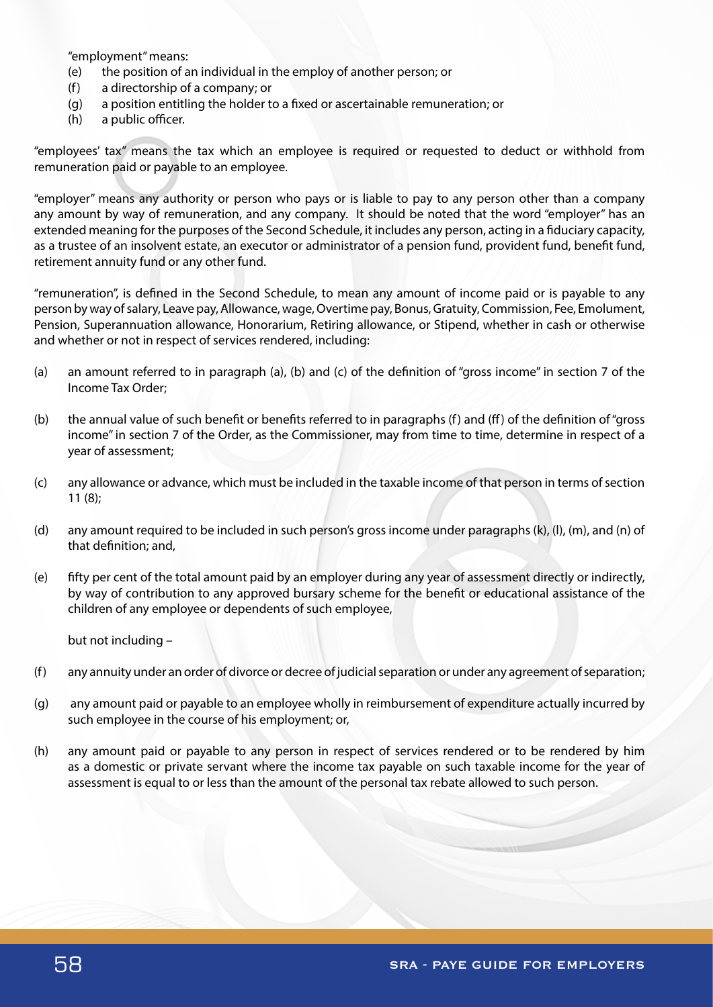"employment" means:

- (e) the position of an individual in the employ of another person; or
- (f) a directorship of a company; or
- (g) a position entitling the holder to a fixed or ascertainable remuneration; or
- (h) a public officer.

"employees' tax" means the tax which an employee is required or requested to deduct or withhold from remuneration paid or payable to an employee.

"employer" means any authority or person who pays or is liable to pay to any person other than a company any amount by way of remuneration, and any company. It should be noted that the word "employer" has an extended meaning for the purposes of the Second Schedule, it includes any person, acting in a fiduciary capacity, as a trustee of an insolvent estate, an executor or administrator of a pension fund, provident fund, benefit fund, retirement annuity fund or any other fund.

"remuneration", is defined in the Second Schedule, to mean any amount of income paid or is payable to any person by way of salary, Leave pay, Allowance, wage, Overtime pay, Bonus, Gratuity, Commission, Fee, Emolument, Pension, Superannuation allowance, Honorarium, Retiring allowance, or Stipend, whether in cash or otherwise and whether or not in respect of services rendered, including:

- (a) an amount referred to in paragraph (a), (b) and (c) of the definition of "gross income" in section 7 of the Income Tax Order;
- (b) the annual value of such benefit or benefits referred to in paragraphs (f) and (ff) of the definition of "gross income" in section 7 of the Order, as the Commissioner, may from time to time, determine in respect of a year of assessment;
- (c) any allowance or advance, which must be included in the taxable income of that person in terms of section 11 (8);
- (d) any amount required to be included in such person's gross income under paragraphs (k), (l), (m), and (n) of that definition; and,
- (e) fifty per cent of the total amount paid by an employer during any year of assessment directly or indirectly, by way of contribution to any approved bursary scheme for the benefit or educational assistance of the children of any employee or dependents of such employee,

but not including –

- (f) any annuity under an order of divorce or decree of judicial separation or under any agreement of separation;
- (g) any amount paid or payable to an employee wholly in reimbursement of expenditure actually incurred by such employee in the course of his employment; or,
- (h) any amount paid or payable to any person in respect of services rendered or to be rendered by him as a domestic or private servant where the income tax payable on such taxable income for the year of assessment is equal to or less than the amount of the personal tax rebate allowed to such person.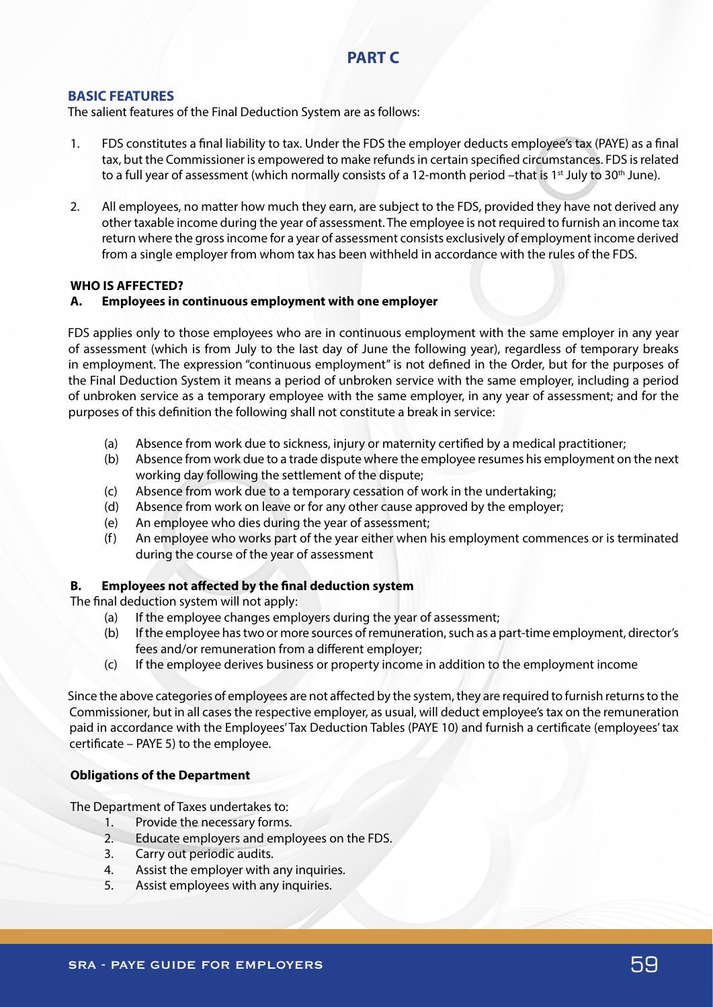# **PART C**

# **BASIC FEATURES**

The salient features of the Final Deduction System are as follows:

- 1. FDS constitutes a final liability to tax. Under the FDS the employer deducts employee's tax (PAYE) as a final tax, but the Commissioner is empowered to make refunds in certain specified circumstances. FDS is related to a full year of assessment (which normally consists of a 12-month period –that is 1<sup>st</sup> July to 30<sup>th</sup> June).
- 2. All employees, no matter how much they earn, are subject to the FDS, provided they have not derived any other taxable income during the year of assessment. The employee is not required to furnish an income tax return where the gross income for a year of assessment consists exclusively of employment income derived from a single employer from whom tax has been withheld in accordance with the rules of the FDS.

## **WHO IS AFFECTED?**

## **A. Employees in continuous employment with one employer**

FDS applies only to those employees who are in continuous employment with the same employer in any year of assessment (which is from July to the last day of June the following year), regardless of temporary breaks in employment. The expression "continuous employment" is not defined in the Order, but for the purposes of the Final Deduction System it means a period of unbroken service with the same employer, including a period of unbroken service as a temporary employee with the same employer, in any year of assessment; and for the purposes of this definition the following shall not constitute a break in service:

- (a) Absence from work due to sickness, injury or maternity certified by a medical practitioner;
- (b) Absence from work due to a trade dispute where the employee resumes his employment on the next working day following the settlement of the dispute;
- (c) Absence from work due to a temporary cessation of work in the undertaking;
- (d) Absence from work on leave or for any other cause approved by the employer;
- (e) An employee who dies during the year of assessment;
- (f) An employee who works part of the year either when his employment commences or is terminated during the course of the year of assessment

# **B. Employees not affected by the final deduction system**

The final deduction system will not apply:

- (a) If the employee changes employers during the year of assessment;
- (b) If the employee has two or more sources of remuneration, such as a part-time employment, director's fees and/or remuneration from a different employer;
- (c) If the employee derives business or property income in addition to the employment income

Since the above categories of employees are not affected by the system, they are required to furnish returns to the Commissioner, but in all cases the respective employer, as usual, will deduct employee's tax on the remuneration paid in accordance with the Employees' Tax Deduction Tables (PAYE 10) and furnish a certificate (employees' tax certificate – PAYE 5) to the employee.

## **Obligations of the Department**

The Department of Taxes undertakes to:

- 1. Provide the necessary forms.
- 2. Educate employers and employees on the FDS.
- 3. Carry out periodic audits.
- 4. Assist the employer with any inquiries.
- 5. Assist employees with any inquiries.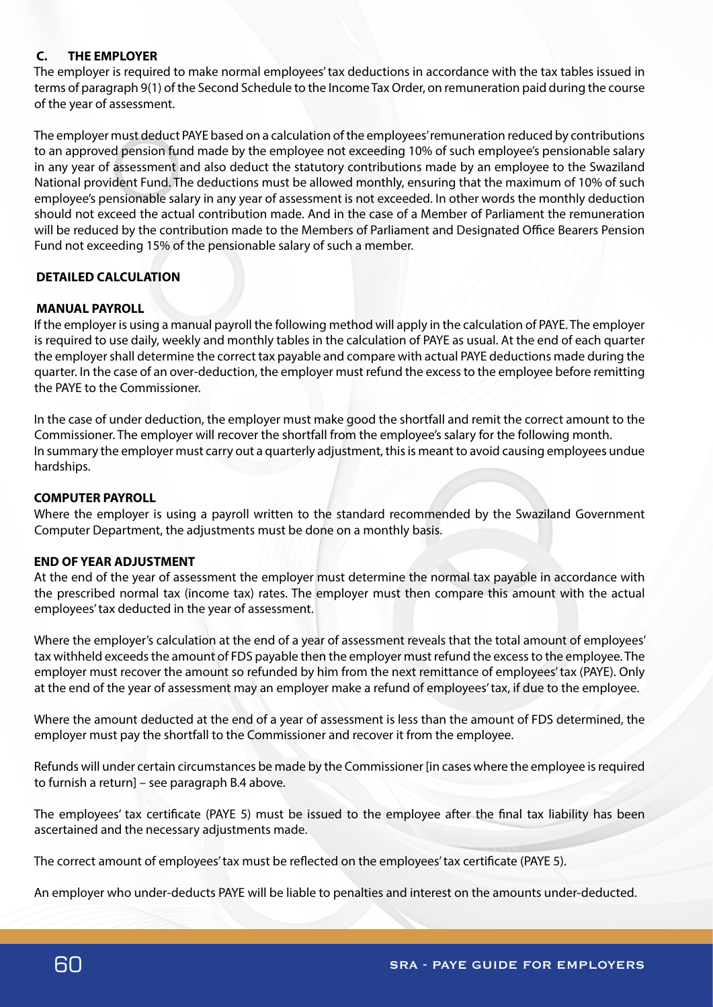# **C. THE EMPLOYER**

The employer is required to make normal employees' tax deductions in accordance with the tax tables issued in terms of paragraph 9(1) of the Second Schedule to the Income Tax Order, on remuneration paid during the course of the year of assessment.

The employer must deduct PAYE based on a calculation of the employees' remuneration reduced by contributions to an approved pension fund made by the employee not exceeding 10% of such employee's pensionable salary in any year of assessment and also deduct the statutory contributions made by an employee to the Swaziland National provident Fund. The deductions must be allowed monthly, ensuring that the maximum of 10% of such employee's pensionable salary in any year of assessment is not exceeded. In other words the monthly deduction should not exceed the actual contribution made. And in the case of a Member of Parliament the remuneration will be reduced by the contribution made to the Members of Parliament and Designated Office Bearers Pension Fund not exceeding 15% of the pensionable salary of such a member.

# **DETAILED CALCULATION**

## **MANUAL PAYROLL**

If the employer is using a manual payroll the following method will apply in the calculation of PAYE. The employer is required to use daily, weekly and monthly tables in the calculation of PAYE as usual. At the end of each quarter the employer shall determine the correct tax payable and compare with actual PAYE deductions made during the quarter. In the case of an over-deduction, the employer must refund the excess to the employee before remitting the PAYE to the Commissioner.

In the case of under deduction, the employer must make good the shortfall and remit the correct amount to the Commissioner. The employer will recover the shortfall from the employee's salary for the following month. In summary the employer must carry out a quarterly adjustment, this is meant to avoid causing employees undue hardships.

## **COMPUTER PAYROLL**

Where the employer is using a payroll written to the standard recommended by the Swaziland Government Computer Department, the adjustments must be done on a monthly basis.

## **END OF YEAR ADJUSTMENT**

At the end of the year of assessment the employer must determine the normal tax payable in accordance with the prescribed normal tax (income tax) rates. The employer must then compare this amount with the actual employees' tax deducted in the year of assessment.

Where the employer's calculation at the end of a year of assessment reveals that the total amount of employees' tax withheld exceeds the amount of FDS payable then the employer must refund the excess to the employee. The employer must recover the amount so refunded by him from the next remittance of employees' tax (PAYE). Only at the end of the year of assessment may an employer make a refund of employees' tax, if due to the employee.

Where the amount deducted at the end of a year of assessment is less than the amount of FDS determined, the employer must pay the shortfall to the Commissioner and recover it from the employee.

Refunds will under certain circumstances be made by the Commissioner [in cases where the employee is required to furnish a return] – see paragraph B.4 above.

The employees' tax certificate (PAYE 5) must be issued to the employee after the final tax liability has been ascertained and the necessary adjustments made.

The correct amount of employees' tax must be reflected on the employees' tax certificate (PAYE 5).

An employer who under-deducts PAYE will be liable to penalties and interest on the amounts under-deducted.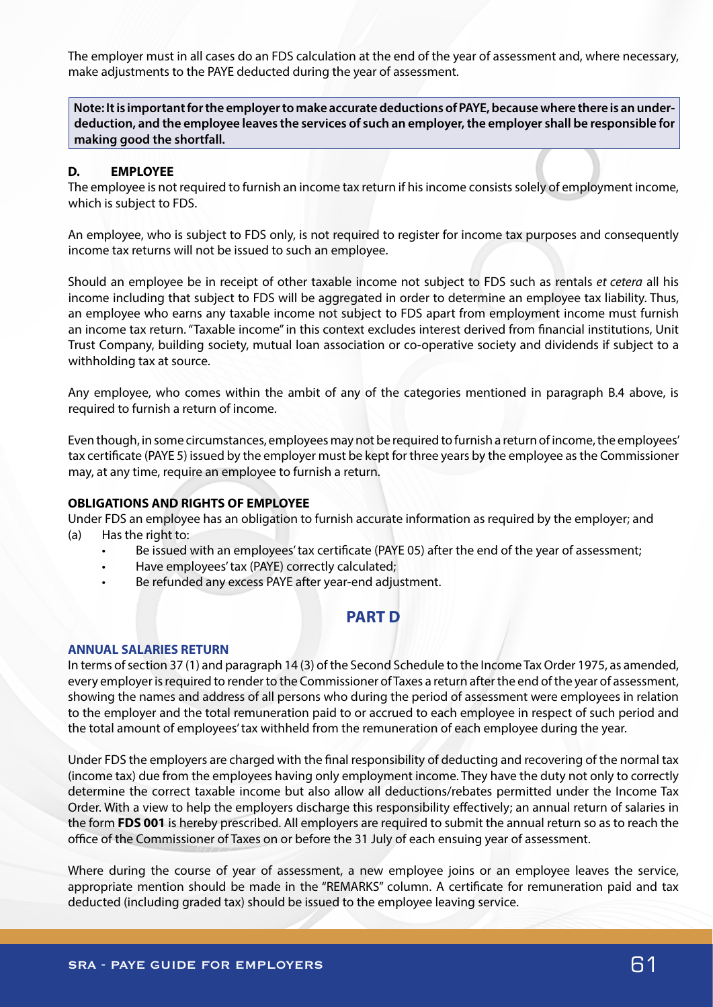The employer must in all cases do an FDS calculation at the end of the year of assessment and, where necessary, make adjustments to the PAYE deducted during the year of assessment.

**Note: It is important for the employer to make accurate deductions of PAYE, because where there is an underdeduction, and the employee leaves the services of such an employer, the employer shall be responsible for making good the shortfall.**

#### **D. EMPLOYEE**

The employee is not required to furnish an income tax return if his income consists solely of employment income, which is subject to FDS.

An employee, who is subject to FDS only, is not required to register for income tax purposes and consequently income tax returns will not be issued to such an employee.

Should an employee be in receipt of other taxable income not subject to FDS such as rentals *et cetera* all his income including that subject to FDS will be aggregated in order to determine an employee tax liability. Thus, an employee who earns any taxable income not subject to FDS apart from employment income must furnish an income tax return. "Taxable income" in this context excludes interest derived from financial institutions, Unit Trust Company, building society, mutual loan association or co-operative society and dividends if subject to a withholding tax at source.

Any employee, who comes within the ambit of any of the categories mentioned in paragraph B.4 above, is required to furnish a return of income.

Even though, in some circumstances, employees may not be required to furnish a return of income, the employees' tax certificate (PAYE 5) issued by the employer must be kept for three years by the employee as the Commissioner may, at any time, require an employee to furnish a return.

#### **OBLIGATIONS AND RIGHTS OF EMPLOYEE**

Under FDS an employee has an obligation to furnish accurate information as required by the employer; and (a) Has the right to:

- Be issued with an employees' tax certificate (PAYE 05) after the end of the year of assessment;
- Have employees' tax (PAYE) correctly calculated;
- Be refunded any excess PAYE after year-end adjustment.

# **PART D**

#### **ANNUAL SALARIES RETURN**

In terms of section 37 (1) and paragraph 14 (3) of the Second Schedule to the Income Tax Order 1975, as amended, every employer is required to render to the Commissioner of Taxes a return after the end of the year of assessment, showing the names and address of all persons who during the period of assessment were employees in relation to the employer and the total remuneration paid to or accrued to each employee in respect of such period and the total amount of employees' tax withheld from the remuneration of each employee during the year.

Under FDS the employers are charged with the final responsibility of deducting and recovering of the normal tax (income tax) due from the employees having only employment income. They have the duty not only to correctly determine the correct taxable income but also allow all deductions/rebates permitted under the Income Tax Order. With a view to help the employers discharge this responsibility effectively; an annual return of salaries in the form **FDS 001** is hereby prescribed. All employers are required to submit the annual return so as to reach the office of the Commissioner of Taxes on or before the 31 July of each ensuing year of assessment.

Where during the course of year of assessment, a new employee joins or an employee leaves the service, appropriate mention should be made in the "REMARKS" column. A certificate for remuneration paid and tax deducted (including graded tax) should be issued to the employee leaving service.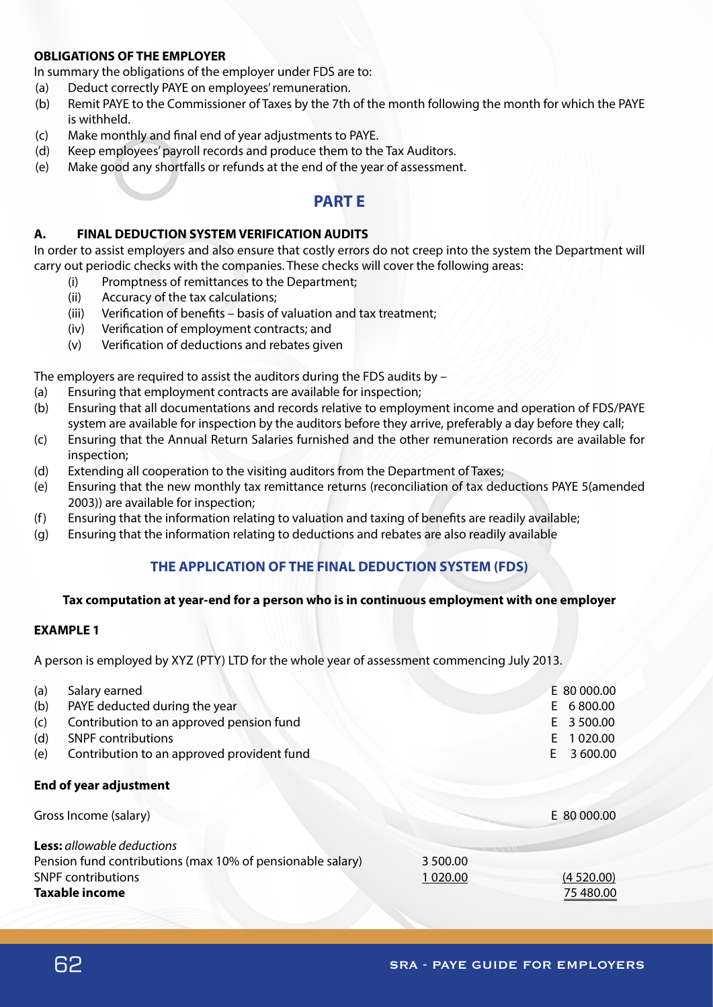## **OBLIGATIONS OF THE EMPLOYER**

In summary the obligations of the employer under FDS are to:

- (a) Deduct correctly PAYE on employees' remuneration.
- (b) Remit PAYE to the Commissioner of Taxes by the 7th of the month following the month for which the PAYE is withheld.
- (c) Make monthly and final end of year adjustments to PAYE.
- (d) Keep employees' payroll records and produce them to the Tax Auditors.
- (e) Make good any shortfalls or refunds at the end of the year of assessment.

# **PART E**

## **A. FINAL DEDUCTION SYSTEM VERIFICATION AUDITS**

In order to assist employers and also ensure that costly errors do not creep into the system the Department will carry out periodic checks with the companies. These checks will cover the following areas:

- (i) Promptness of remittances to the Department;
- (ii) Accuracy of the tax calculations;
- (iii) Verification of benefits basis of valuation and tax treatment;
- (iv) Verification of employment contracts; and
- (v) Verification of deductions and rebates given

The employers are required to assist the auditors during the FDS audits by –

- (a) Ensuring that employment contracts are available for inspection;
- (b) Ensuring that all documentations and records relative to employment income and operation of FDS/PAYE system are available for inspection by the auditors before they arrive, preferably a day before they call;
- (c) Ensuring that the Annual Return Salaries furnished and the other remuneration records are available for inspection;
- (d) Extending all cooperation to the visiting auditors from the Department of Taxes;
- (e) Ensuring that the new monthly tax remittance returns (reconciliation of tax deductions PAYE 5(amended 2003)) are available for inspection;
- (f) Ensuring that the information relating to valuation and taxing of benefits are readily available;
- (g) Ensuring that the information relating to deductions and rebates are also readily available

# **THE APPLICATION OF THE FINAL DEDUCTION SYSTEM (FDS)**

## **Tax computation at year-end for a person who is in continuous employment with one employer**

## **EXAMPLE 1**

A person is employed by XYZ (PTY) LTD for the whole year of assessment commencing July 2013.

| (a) | Salary earned                                              |          | E 80 000.00    |
|-----|------------------------------------------------------------|----------|----------------|
| (b) | PAYE deducted during the year                              |          | 6800.00<br>E.  |
| (c) | Contribution to an approved pension fund                   |          | 3 500.00<br>E. |
| (d) | <b>SNPF</b> contributions                                  |          | 1 020.00<br>E. |
| (e) | Contribution to an approved provident fund                 |          | 3 600.00<br>E  |
|     | <b>End of year adjustment</b>                              |          |                |
|     | Gross Income (salary)                                      |          | E 80 000.00    |
|     | <b>Less:</b> allowable deductions                          |          |                |
|     | Pension fund contributions (max 10% of pensionable salary) | 3 500.00 |                |
|     | <b>SNPF</b> contributions                                  | 1 020.00 | (4520.00)      |
|     | <b>Taxable income</b>                                      |          | 75 480.00      |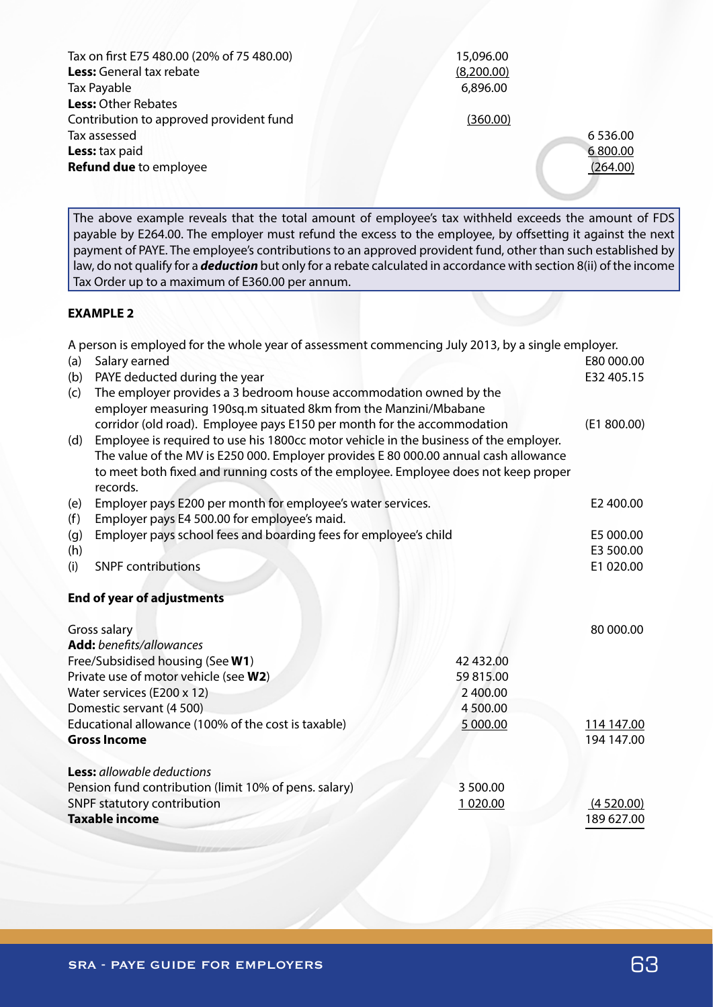| Tax on first E75 480.00 (20% of 75 480.00) | 15,096.00  |             |
|--------------------------------------------|------------|-------------|
| Less: General tax rebate                   | (8,200.00) |             |
| Tax Payable                                | 6,896.00   |             |
| <b>Less: Other Rebates</b>                 |            |             |
| Contribution to approved provident fund    | (360.00)   |             |
| Tax assessed                               |            | 6 5 3 6 .00 |
| Less: tax paid                             |            | 6800.00     |
| <b>Refund due</b> to employee              |            | (264.00)    |
|                                            |            |             |

The above example reveals that the total amount of employee's tax withheld exceeds the amount of FDS payable by E264.00. The employer must refund the excess to the employee, by offsetting it against the next payment of PAYE. The employee's contributions to an approved provident fund, other than such established by law, do not qualify for a *deduction* but only for a rebate calculated in accordance with section 8(ii) of the income Tax Order up to a maximum of E360.00 per annum.

# **EXAMPLE 2**

A person is employed for the whole year of assessment commencing July 2013, by a single employer.

| (a) | Salary earned                                                                                                                          |           | E80 000.00  |
|-----|----------------------------------------------------------------------------------------------------------------------------------------|-----------|-------------|
| (b) | PAYE deducted during the year                                                                                                          |           | E32 405.15  |
| (c) | The employer provides a 3 bedroom house accommodation owned by the<br>employer measuring 190sq.m situated 8km from the Manzini/Mbabane |           |             |
|     | corridor (old road). Employee pays E150 per month for the accommodation                                                                |           | (E1 800.00) |
| (d) | Employee is required to use his 1800cc motor vehicle in the business of the employer.                                                  |           |             |
|     | The value of the MV is E250 000. Employer provides E 80 000.00 annual cash allowance                                                   |           |             |
|     | to meet both fixed and running costs of the employee. Employee does not keep proper<br>records.                                        |           |             |
| (e) | Employer pays E200 per month for employee's water services.                                                                            |           | E2 400.00   |
| (f) | Employer pays E4 500.00 for employee's maid.                                                                                           |           |             |
| (g) | Employer pays school fees and boarding fees for employee's child                                                                       |           | E5 000.00   |
| (h) |                                                                                                                                        |           | E3 500.00   |
| (i) | <b>SNPF</b> contributions                                                                                                              |           | E1 020.00   |
|     | <b>End of year of adjustments</b>                                                                                                      |           |             |
|     | Gross salary                                                                                                                           |           | 80 000.00   |
|     | <b>Add:</b> benefits/allowances                                                                                                        |           |             |
|     | Free/Subsidised housing (See W1)                                                                                                       | 42 432.00 |             |
|     | Private use of motor vehicle (see W2)                                                                                                  | 59815.00  |             |
|     | Water services (E200 x 12)                                                                                                             | 2 400.00  |             |
|     | Domestic servant (4 500)                                                                                                               | 4 500.00  |             |
|     | Educational allowance (100% of the cost is taxable)                                                                                    | 5 000.00  | 114 147.00  |
|     | <b>Gross Income</b>                                                                                                                    |           | 194 147.00  |
|     |                                                                                                                                        |           |             |
|     | <b>Less:</b> allowable deductions                                                                                                      |           |             |
|     | Pension fund contribution (limit 10% of pens. salary)                                                                                  | 3 500.00  |             |
|     | SNPF statutory contribution                                                                                                            | 1 020.00  | (4520.00)   |
|     | <b>Taxable income</b>                                                                                                                  |           | 189 627.00  |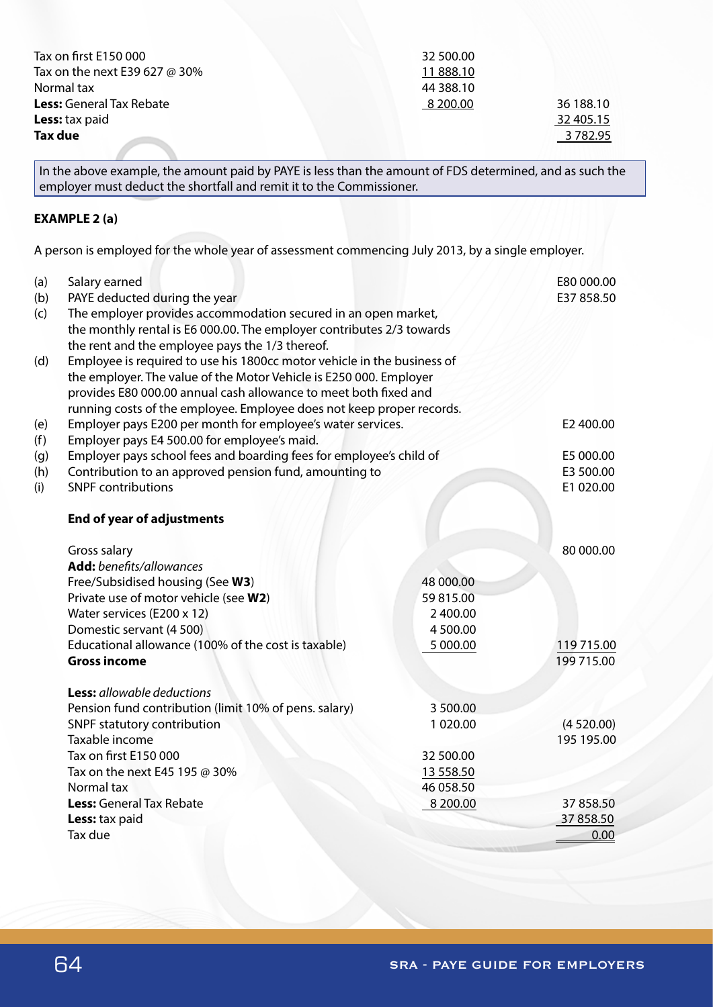| Tax on first E150 000           | 32 500.00 |           |
|---------------------------------|-----------|-----------|
| Tax on the next E39 627 @ 30%   | 11888.10  |           |
| Normal tax                      | 44 388.10 |           |
| <b>Less:</b> General Tax Rebate | 8 200.00  | 36 188.10 |
| <b>Less:</b> tax paid           |           | 32 405.15 |
| Tax due                         |           | 3 782.95  |

In the above example, the amount paid by PAYE is less than the amount of FDS determined, and as such the employer must deduct the shortfall and remit it to the Commissioner.

# **EXAMPLE 2 (a)**

A person is employed for the whole year of assessment commencing July 2013, by a single employer.

| (a)<br>(b) | Salary earned<br>PAYE deducted during the year                                       |           | E80 000.00<br>E37 858.50 |
|------------|--------------------------------------------------------------------------------------|-----------|--------------------------|
| (c)        | The employer provides accommodation secured in an open market,                       |           |                          |
|            | the monthly rental is E6 000.00. The employer contributes 2/3 towards                |           |                          |
|            | the rent and the employee pays the 1/3 thereof.                                      |           |                          |
| (d)        | Employee is required to use his 1800cc motor vehicle in the business of              |           |                          |
|            | the employer. The value of the Motor Vehicle is E250 000. Employer                   |           |                          |
|            | provides E80 000.00 annual cash allowance to meet both fixed and                     |           |                          |
|            | running costs of the employee. Employee does not keep proper records.                |           |                          |
| (e)        | Employer pays E200 per month for employee's water services.                          |           | E2 400.00                |
| (f)        | Employer pays E4 500.00 for employee's maid.                                         |           |                          |
| (g)        | Employer pays school fees and boarding fees for employee's child of                  |           | E5 000.00                |
| (h)        | Contribution to an approved pension fund, amounting to                               |           | E3 500.00                |
| (i)        | <b>SNPF contributions</b>                                                            |           | E1 020.00                |
|            | <b>End of year of adjustments</b>                                                    |           |                          |
|            |                                                                                      |           |                          |
|            | Gross salary                                                                         |           | 80 000.00                |
|            | Add: benefits/allowances                                                             |           |                          |
|            | Free/Subsidised housing (See W3)                                                     | 48 000.00 |                          |
|            | Private use of motor vehicle (see W2)                                                | 59 815.00 |                          |
|            | Water services (E200 x 12)                                                           | 2 400.00  |                          |
|            | Domestic servant (4 500)                                                             | 4 500.00  |                          |
|            | Educational allowance (100% of the cost is taxable)                                  | 5 000.00  | 119 715.00               |
|            | <b>Gross income</b>                                                                  |           | 199 715.00               |
|            | <b>Less:</b> allowable deductions                                                    |           |                          |
|            |                                                                                      | 3 500.00  |                          |
|            | Pension fund contribution (limit 10% of pens. salary)<br>SNPF statutory contribution | 1020.00   | (4520.00)                |
|            | Taxable income                                                                       |           | 195 195.00               |
|            | Tax on first E150 000                                                                | 32 500.00 |                          |
|            | Tax on the next E45 195 @ 30%                                                        | 13 558.50 |                          |
|            | Normal tax                                                                           | 46 058.50 |                          |
|            | Less: General Tax Rebate                                                             | 8 200.00  | 37 858.50                |
|            | Less: tax paid                                                                       |           | 37 858.50                |
|            | Tax due                                                                              |           | 0.00                     |
|            |                                                                                      |           |                          |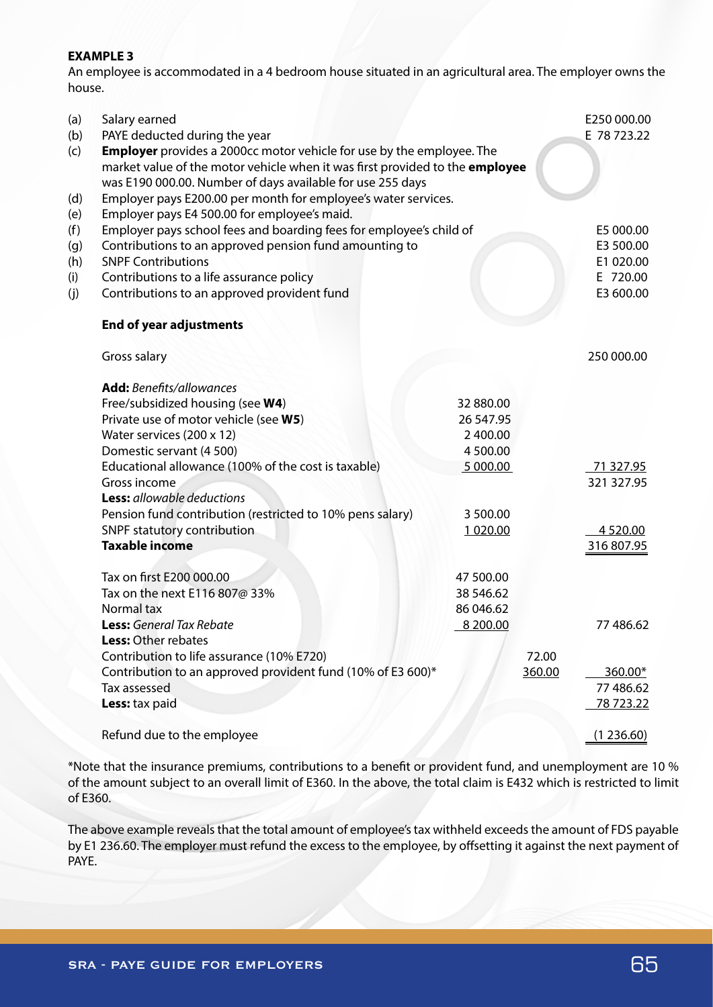## **EXAMPLE 3**

An employee is accommodated in a 4 bedroom house situated in an agricultural area. The employer owns the house.

| (a)<br>(b)<br>(c)<br>(d)               | Salary earned<br>PAYE deducted during the year<br><b>Employer</b> provides a 2000cc motor vehicle for use by the employee. The<br>market value of the motor vehicle when it was first provided to the employee<br>was E190 000.00. Number of days available for use 255 days<br>Employer pays E200.00 per month for employee's water services.                                                         |                                                                                         |                 | E250 000.00<br>E 78 723.22                                   |
|----------------------------------------|--------------------------------------------------------------------------------------------------------------------------------------------------------------------------------------------------------------------------------------------------------------------------------------------------------------------------------------------------------------------------------------------------------|-----------------------------------------------------------------------------------------|-----------------|--------------------------------------------------------------|
| (e)<br>(f)<br>(g)<br>(h)<br>(i)<br>(j) | Employer pays E4 500.00 for employee's maid.<br>Employer pays school fees and boarding fees for employee's child of<br>Contributions to an approved pension fund amounting to<br><b>SNPF Contributions</b><br>Contributions to a life assurance policy<br>Contributions to an approved provident fund                                                                                                  |                                                                                         |                 | E5 000.00<br>E3 500.00<br>E1 020.00<br>E 720.00<br>E3 600.00 |
|                                        | <b>End of year adjustments</b>                                                                                                                                                                                                                                                                                                                                                                         |                                                                                         |                 |                                                              |
|                                        | Gross salary                                                                                                                                                                                                                                                                                                                                                                                           |                                                                                         |                 | 250 000.00                                                   |
|                                        | <b>Add:</b> Benefits/allowances<br>Free/subsidized housing (see W4)<br>Private use of motor vehicle (see W5)<br>Water services (200 x 12)<br>Domestic servant (4 500)<br>Educational allowance (100% of the cost is taxable)<br>Gross income<br><b>Less:</b> allowable deductions<br>Pension fund contribution (restricted to 10% pens salary)<br>SNPF statutory contribution<br><b>Taxable income</b> | 32 880.00<br>26 547.95<br>2 400.00<br>4 500.00<br>5 000.00<br>3 500.00<br>1 0 2 0 . 0 0 |                 | 71 327.95<br>321 327.95<br>4 5 20.00<br>316807.95            |
|                                        | Tax on first E200 000.00<br>Tax on the next E116 807@ 33%<br>Normal tax<br><b>Less:</b> General Tax Rebate<br><b>Less:</b> Other rebates<br>Contribution to life assurance (10% E720)<br>Contribution to an approved provident fund (10% of E3 600)*                                                                                                                                                   | 47 500.00<br>38 546.62<br>86 046.62<br>8 200.00                                         | 72.00<br>360.00 | 77 486.62<br>$360.00*$                                       |
|                                        | Tax assessed<br>Less: tax paid                                                                                                                                                                                                                                                                                                                                                                         |                                                                                         |                 | 77 486.62<br><u>78 723.22</u>                                |
|                                        | Refund due to the employee                                                                                                                                                                                                                                                                                                                                                                             |                                                                                         |                 | (1236.60)                                                    |

\*Note that the insurance premiums, contributions to a benefit or provident fund, and unemployment are 10 % of the amount subject to an overall limit of E360. In the above, the total claim is E432 which is restricted to limit of E360.

The above example reveals that the total amount of employee's tax withheld exceeds the amount of FDS payable by E1 236.60. The employer must refund the excess to the employee, by offsetting it against the next payment of PAYE.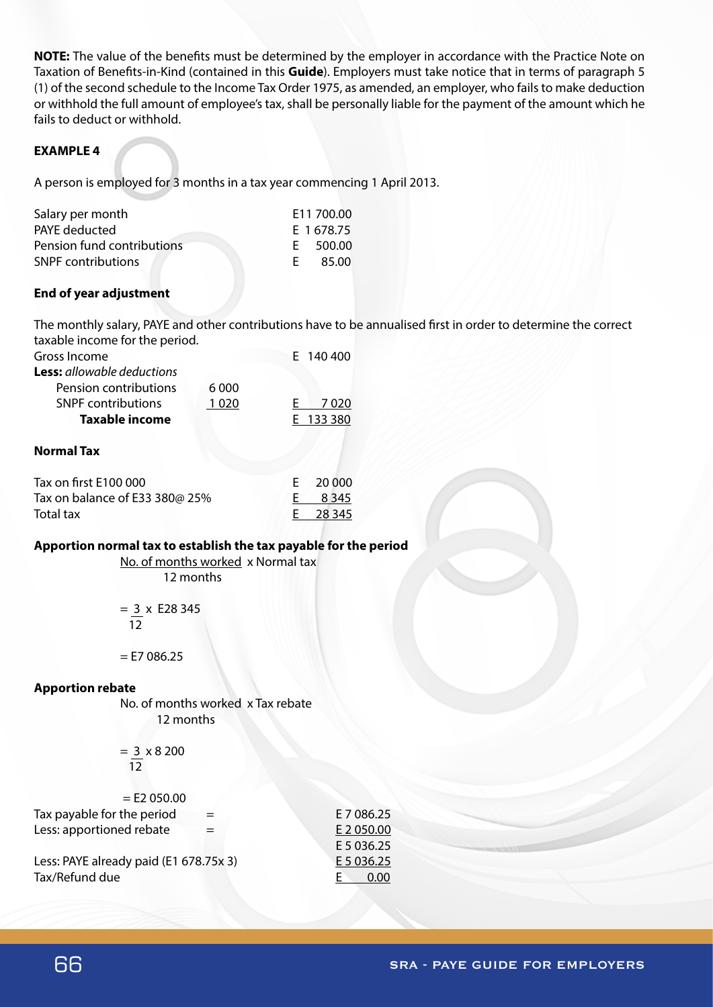**NOTE:** The value of the benefits must be determined by the employer in accordance with the Practice Note on Taxation of Benefits-in-Kind (contained in this **Guide**). Employers must take notice that in terms of paragraph 5 (1) of the second schedule to the Income Tax Order 1975, as amended, an employer, who fails to make deduction or withhold the full amount of employee's tax, shall be personally liable for the payment of the amount which he fails to deduct or withhold.

# **EXAMPLE 4**

A person is employed for 3 months in a tax year commencing 1 April 2013.

| Salary per month           |    | E11 700.00 |
|----------------------------|----|------------|
| PAYE deducted              |    | E 1678.75  |
| Pension fund contributions |    | E 500.00   |
| <b>SNPF</b> contributions  | E. | 85.00      |

## **End of year adjustment**

The monthly salary, PAYE and other contributions have to be annualised first in order to determine the correct taxable income for the period.

| Gross Income                      |         | E 140 400 |
|-----------------------------------|---------|-----------|
| <b>Less:</b> allowable deductions |         |           |
| Pension contributions             | 6 0 0 0 |           |
| <b>SNPF</b> contributions         | 1 0 2 0 | 7020      |
| Taxable income                    |         | E 133 380 |
|                                   |         |           |

## **Normal Tax**

| Tax on first E100 000                  | E 20 000 |
|----------------------------------------|----------|
| Tax on balance of E33 380 $\omega$ 25% | E 8345   |
| Total tax                              | E 28 345 |

# **Apportion normal tax to establish the tax payable for the period**

 No. of months worked x Normal tax 12 months

 $= 3 \times E28345$ 

 $\overline{12}$ 

 $=$  E7 086.25

#### **Apportion rebate**

 No. of months worked x Tax rebate 12 months

 $= 3 \times 8200$ <u>12</u>

| $=$ E2 050.00                          |            |
|----------------------------------------|------------|
| Tax payable for the period             | E 7 086.25 |
| Less: apportioned rebate               | E 2 050.00 |
|                                        | E 5 036.25 |
| Less: PAYE already paid (E1 678.75x 3) | E 5 036.25 |
| Tax/Refund due                         | 0.00       |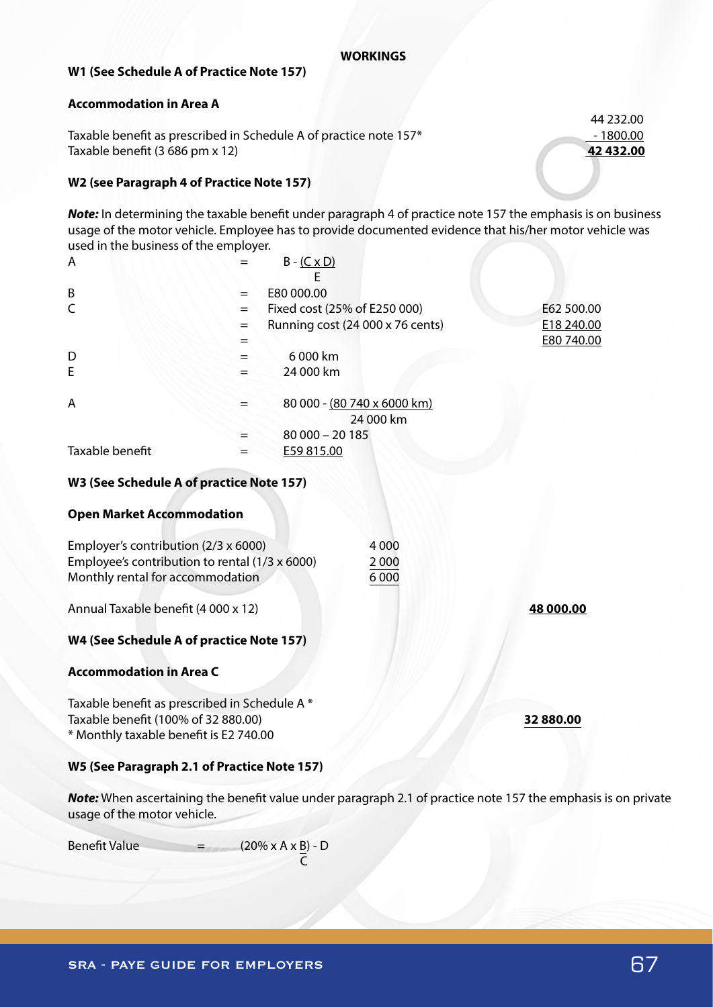## **WORKINGS**

## **W1 (See Schedule A of Practice Note 157)**

#### **Accommodation in Area A**

Taxable benefit as prescribed in Schedule A of practice note 157\* 1800.00 Taxable benefit (3 686 pm x 12) **42 432.00**

## **W2 (see Paragraph 4 of Practice Note 157)**

*Note:* In determining the taxable benefit under paragraph 4 of practice note 157 the emphasis is on business usage of the motor vehicle. Employee has to provide documented evidence that his/her motor vehicle was used in the business of the employer.

| A               |     | $B - (C \times D)$               |            |
|-----------------|-----|----------------------------------|------------|
|                 |     |                                  |            |
| B               |     | E80 000.00                       |            |
| C               | $=$ | Fixed cost (25% of E250 000)     | E62 500.00 |
|                 | $=$ | Running cost (24 000 x 76 cents) | E18 240.00 |
|                 |     |                                  | E80 740.00 |
| D               |     | 6 000 km                         |            |
| E               |     | 24 000 km                        |            |
| A               |     | 80 000 - (80 740 x 6000 km)      |            |
|                 |     | 24 000 km                        |            |
|                 |     | $80000 - 20185$                  |            |
| Taxable benefit |     | E59 815.00                       |            |
|                 |     |                                  |            |

## **W3 (See Schedule A of practice Note 157)**

#### **Open Market Accommodation**

| Employer's contribution (2/3 x 6000)           | 4 0 0 0 |
|------------------------------------------------|---------|
| Employee's contribution to rental (1/3 x 6000) | 2000    |
| Monthly rental for accommodation               | 6 0 0 0 |

Annual Taxable benefit (4 000 x 12) **48 000.00**

## **W4 (See Schedule A of practice Note 157)**

## **Accommodation in Area C**

Taxable benefit as prescribed in Schedule A \* Taxable benefit (100% of 32 880.00) **32 880.00** \* Monthly taxable benefit is E2 740.00

## **W5 (See Paragraph 2.1 of Practice Note 157)**

*Note:* When ascertaining the benefit value under paragraph 2.1 of practice note 157 the emphasis is on private usage of the motor vehicle.

Benefit Value  $=$   $(20\% \times A \times B) - D$ 

**C** 

44 232.00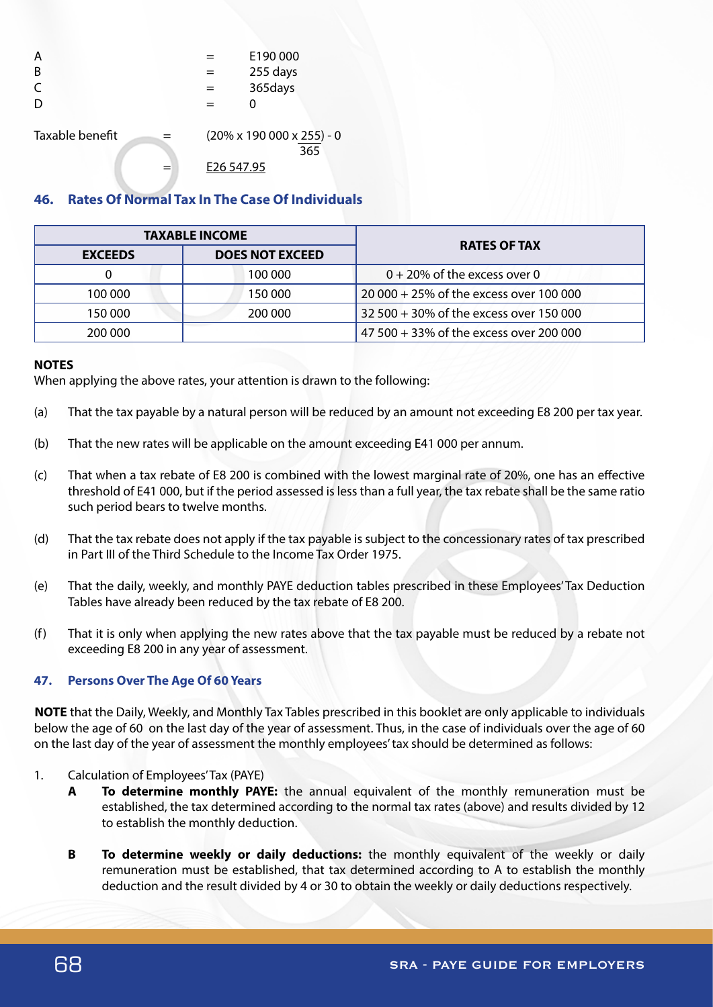| А<br>B<br>C            |            | E190000<br>255 days<br>365days                 |
|------------------------|------------|------------------------------------------------|
| Taxable benefit<br>$=$ | E26 547.95 | $(20\% \times 190\,000 \times 255) - 0$<br>365 |

# **46. Rates Of Normal Tax In The Case Of Individuals**

| <b>TAXABLE INCOME</b> |                        | <b>RATES OF TAX</b>                     |
|-----------------------|------------------------|-----------------------------------------|
| <b>EXCEEDS</b>        | <b>DOES NOT EXCEED</b> |                                         |
|                       | 100 000                | $0 + 20\%$ of the excess over 0         |
| 100 000               | 150 000                | 20 000 + 25% of the excess over 100 000 |
| 150 000               | 200 000                | 32 500 + 30% of the excess over 150 000 |
| 200 000               |                        | 47 500 + 33% of the excess over 200 000 |

#### **NOTES**

When applying the above rates, your attention is drawn to the following:

- (a) That the tax payable by a natural person will be reduced by an amount not exceeding E8 200 per tax year.
- (b) That the new rates will be applicable on the amount exceeding E41 000 per annum.
- (c) That when a tax rebate of E8 200 is combined with the lowest marginal rate of 20%, one has an effective threshold of E41 000, but if the period assessed is less than a full year, the tax rebate shall be the same ratio such period bears to twelve months.
- (d) That the tax rebate does not apply if the tax payable is subject to the concessionary rates of tax prescribed in Part III of the Third Schedule to the Income Tax Order 1975.
- (e) That the daily, weekly, and monthly PAYE deduction tables prescribed in these Employees' Tax Deduction Tables have already been reduced by the tax rebate of E8 200.
- (f) That it is only when applying the new rates above that the tax payable must be reduced by a rebate not exceeding E8 200 in any year of assessment.

## **47. Persons Over The Age Of 60 Years**

**NOTE** that the Daily, Weekly, and Monthly Tax Tables prescribed in this booklet are only applicable to individuals below the age of 60 on the last day of the year of assessment. Thus, in the case of individuals over the age of 60 on the last day of the year of assessment the monthly employees' tax should be determined as follows:

- 1. Calculation of Employees' Tax (PAYE)
	- **A To determine monthly PAYE:** the annual equivalent of the monthly remuneration must be established, the tax determined according to the normal tax rates (above) and results divided by 12 to establish the monthly deduction.
	- **B To determine weekly or daily deductions:** the monthly equivalent of the weekly or daily remuneration must be established, that tax determined according to A to establish the monthly deduction and the result divided by 4 or 30 to obtain the weekly or daily deductions respectively.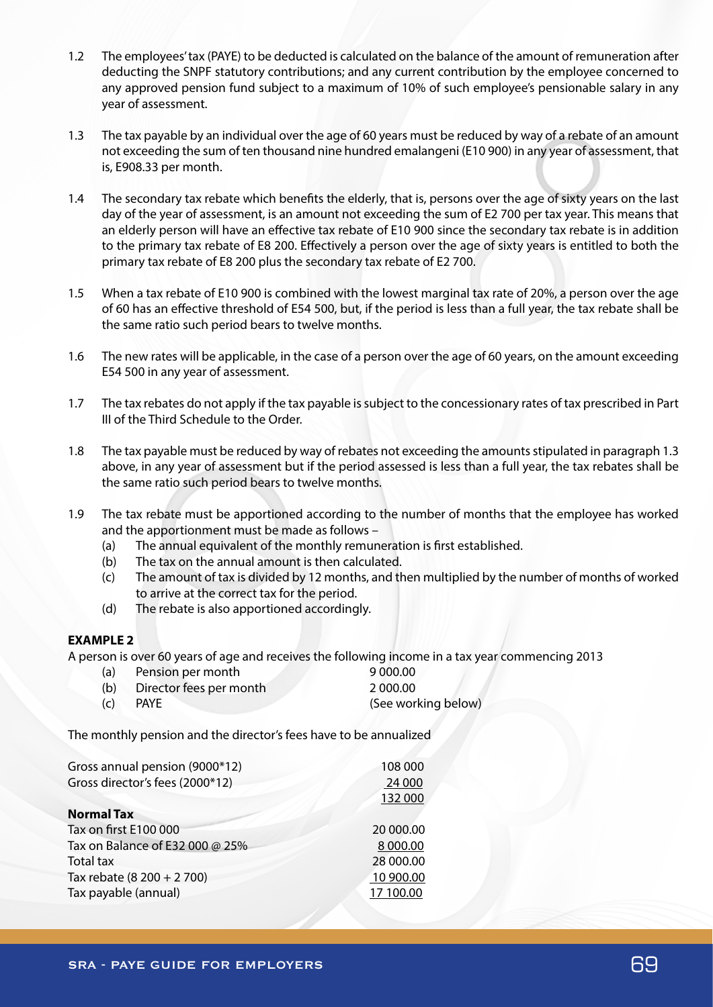- 1.2 The employees' tax (PAYE) to be deducted is calculated on the balance of the amount of remuneration after deducting the SNPF statutory contributions; and any current contribution by the employee concerned to any approved pension fund subject to a maximum of 10% of such employee's pensionable salary in any year of assessment.
- 1.3 The tax payable by an individual over the age of 60 years must be reduced by way of a rebate of an amount not exceeding the sum of ten thousand nine hundred emalangeni (E10 900) in any year of assessment, that is, E908.33 per month.
- 1.4 The secondary tax rebate which benefits the elderly, that is, persons over the age of sixty years on the last day of the year of assessment, is an amount not exceeding the sum of E2 700 per tax year. This means that an elderly person will have an effective tax rebate of E10 900 since the secondary tax rebate is in addition to the primary tax rebate of E8 200. Effectively a person over the age of sixty years is entitled to both the primary tax rebate of E8 200 plus the secondary tax rebate of E2 700.
- 1.5 When a tax rebate of E10 900 is combined with the lowest marginal tax rate of 20%, a person over the age of 60 has an effective threshold of E54 500, but, if the period is less than a full year, the tax rebate shall be the same ratio such period bears to twelve months.
- 1.6 The new rates will be applicable, in the case of a person over the age of 60 years, on the amount exceeding E54 500 in any year of assessment.
- 1.7 The tax rebates do not apply if the tax payable is subject to the concessionary rates of tax prescribed in Part III of the Third Schedule to the Order.
- 1.8 The tax payable must be reduced by way of rebates not exceeding the amounts stipulated in paragraph 1.3 above, in any year of assessment but if the period assessed is less than a full year, the tax rebates shall be the same ratio such period bears to twelve months.
- 1.9 The tax rebate must be apportioned according to the number of months that the employee has worked and the apportionment must be made as follows –
	- (a) The annual equivalent of the monthly remuneration is first established.
	- (b) The tax on the annual amount is then calculated.
	- (c) The amount of tax is divided by 12 months, and then multiplied by the number of months of worked to arrive at the correct tax for the period.
	- (d) The rebate is also apportioned accordingly.

## **EXAMPLE 2**

A person is over 60 years of age and receives the following income in a tax year commencing 2013

(a) Pension per month 9 000.00 (b) Director fees per month 2 000.00 (c) PAYE (See working below)

The monthly pension and the director's fees have to be annualized

| Gross annual pension (9000*12)  | 108 000   |
|---------------------------------|-----------|
| Gross director's fees (2000*12) | 24 000    |
|                                 | 132 000   |
| <b>Normal Tax</b>               |           |
| Tax on first E100 000           | 20 000.00 |
| Tax on Balance of E32 000 @ 25% | 8 000.00  |
| <b>Total tax</b>                | 28 000.00 |
| Tax rebate (8 200 + 2 700)      | 10 900.00 |
| Tax payable (annual)            | 17 100.00 |
|                                 |           |